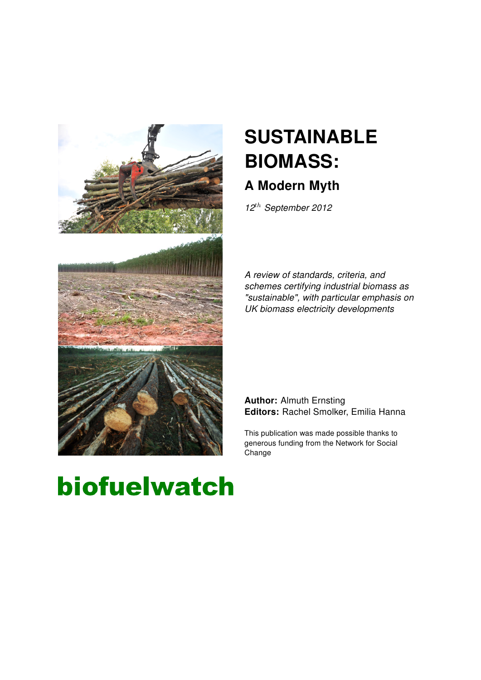

# **SUSTAINABLE** BIOMASS:

# A Modern Myth

 $12^{th}$  September 2012

A review of standards, criteria, and schemes certifying industrial biomass as "sustainable", with particular emphasis on UK biomass electricity developments

#### Author: Almuth Ernsting Editors: Rachel Smolker, Emilia Hanna

This publication was made possible thanks to generous funding from the Network for Social **Change** 

# biofuelwatch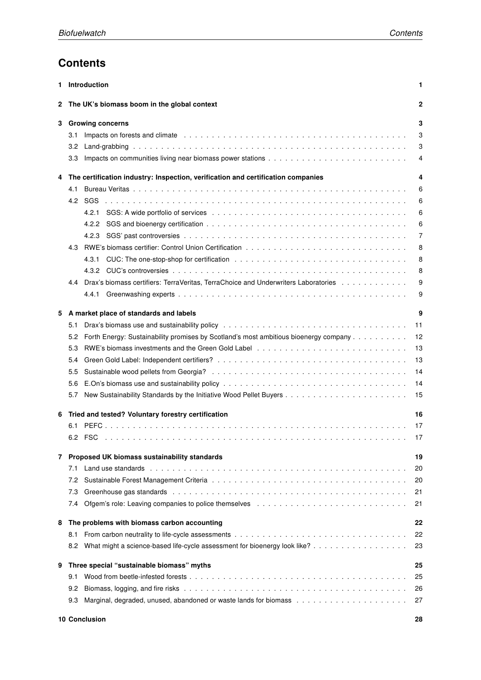## **Contents**

| 1 | Introduction                                                                                                                                                                                                                          | 1  |
|---|---------------------------------------------------------------------------------------------------------------------------------------------------------------------------------------------------------------------------------------|----|
| 2 | The UK's biomass boom in the global context                                                                                                                                                                                           | 2  |
| 3 | <b>Growing concerns</b>                                                                                                                                                                                                               | 3  |
|   | Impacts on forests and climate enterprise in the contract of the contract of the contract of the contract of the contract of the contract of the contract of the contract of the contract of the contract of the contract of t<br>3.1 | 3  |
|   | 3.2                                                                                                                                                                                                                                   | 3  |
|   | 3.3                                                                                                                                                                                                                                   | 4  |
| 4 | The certification industry: Inspection, verification and certification companies                                                                                                                                                      | 4  |
|   | 4.1                                                                                                                                                                                                                                   | 6  |
|   | 4.2<br><b>SGS</b>                                                                                                                                                                                                                     | 6  |
|   | 4.2.1                                                                                                                                                                                                                                 | 6  |
|   | 4.2.2                                                                                                                                                                                                                                 | 6  |
|   | 4.2.3                                                                                                                                                                                                                                 | 7  |
|   |                                                                                                                                                                                                                                       |    |
|   | 4.3                                                                                                                                                                                                                                   | 8  |
|   | 4.3.1                                                                                                                                                                                                                                 | 8  |
|   | 4.3.2                                                                                                                                                                                                                                 | 8  |
|   | Drax's biomass certifiers: TerraVeritas, TerraChoice and Underwriters Laboratories<br>4.4                                                                                                                                             | 9  |
|   |                                                                                                                                                                                                                                       | 9  |
| 5 | A market place of standards and labels                                                                                                                                                                                                | 9  |
|   | 5.1                                                                                                                                                                                                                                   | 11 |
|   | Forth Energy: Sustainability promises by Scotland's most ambitious bioenergy company<br>5.2                                                                                                                                           | 12 |
|   | 5.3                                                                                                                                                                                                                                   | 13 |
|   | 5.4                                                                                                                                                                                                                                   | 13 |
|   | 5.5                                                                                                                                                                                                                                   | 14 |
|   | 5.6                                                                                                                                                                                                                                   | 14 |
|   | 5.7                                                                                                                                                                                                                                   | 15 |
|   |                                                                                                                                                                                                                                       |    |
| 6 | Tried and tested? Voluntary forestry certification                                                                                                                                                                                    | 16 |
|   | 6.1                                                                                                                                                                                                                                   | 17 |
|   | 6.2<br>FSC<br>a dia kaominina mpikambana amin'ny fivondronan-kaominin'i Carlo Barbara, ao amin'ny fivondronan-kaominin'i No                                                                                                           | 17 |
| 7 | Proposed UK biomass sustainability standards                                                                                                                                                                                          | 19 |
|   | 7.1                                                                                                                                                                                                                                   | 20 |
|   | 7.2                                                                                                                                                                                                                                   | 20 |
|   | 7.3<br>Greenhouse gas standards reconservatives in the contract of the contract of the contract of the contract of the contract of the contract of the contract of the contract of the contract of the contract of the contract of th | 21 |
|   | 7.4                                                                                                                                                                                                                                   | 21 |
| 8 | The problems with biomass carbon accounting                                                                                                                                                                                           | 22 |
|   | 8.1                                                                                                                                                                                                                                   | 22 |
|   | What might a science-based life-cycle assessment for bioenergy look like?<br>8.2                                                                                                                                                      | 23 |
| 9 | Three special "sustainable biomass" myths                                                                                                                                                                                             | 25 |
|   | 9.1                                                                                                                                                                                                                                   | 25 |
|   | 9.2                                                                                                                                                                                                                                   | 26 |
|   | 9.3                                                                                                                                                                                                                                   | 27 |
|   |                                                                                                                                                                                                                                       |    |
|   | 10 Conclusion                                                                                                                                                                                                                         | 28 |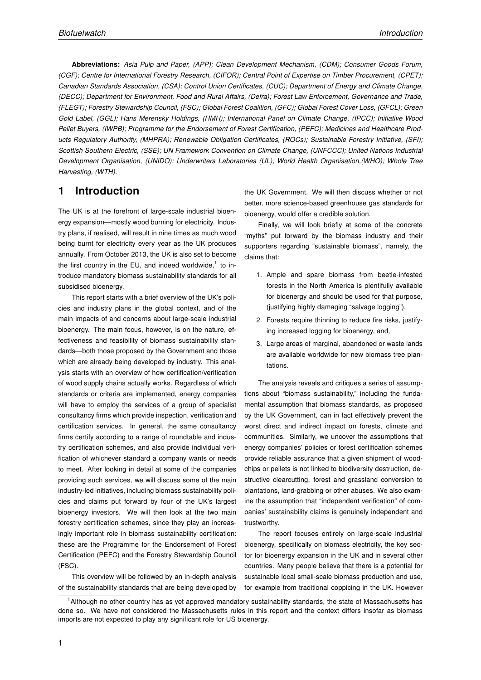Abbreviations: Asia Pulp and Paper, (APP); Clean Development Mechanism, (CDM); Consumer Goods Forum, (CGF); Centre for International Forestry Research, (CIFOR); Central Point of Expertise on Timber Procurement, (CPET); Canadian Standards Association, (CSA); Control Union Certificates, (CUC); Department of Energy and Climate Change, (DECC); Department for Environment, Food and Rural Affairs, (Defra); Forest Law Enforcement, Governance and Trade, (FLEGT); Forestry Stewardship Council, (FSC); Global Forest Coalition, (GFC); Global Forest Cover Loss, (GFCL); Green Gold Label, (GGL); Hans Merensky Holdings, (HMH); International Panel on Climate Change, (IPCC); Initiative Wood Pellet Buyers, (IWPB); Programme for the Endorsement of Forest Certification, (PEFC); Medicines and Healthcare Products Regulatory Authority, (MHPRA); Renewable Obligation Certificates, (ROCs); Sustainable Forestry Initiative, (SFI); Scottish Southern Electric, (SSE); UN Framework Convention on Climate Change, (UNFCCC); United Nations Industrial Development Organisation, (UNIDO); Underwriters Laboratories (UL); World Health Organisation,(WHO); Whole Tree Harvesting, (WTH).

## 1 Introduction

The UK is at the forefront of large-scale industrial bioenergy expansion—mostly wood burning for electricity. Industry plans, if realised, will result in nine times as much wood being burnt for electricity every year as the UK produces annually. From October 2013, the UK is also set to become the first country in the EU, and indeed worldwide, $<sup>1</sup>$  to in-</sup> troduce mandatory biomass sustainability standards for all subsidised bioenergy.

This report starts with a brief overview of the UK's policies and industry plans in the global context, and of the main impacts of and concerns about large-scale industrial bioenergy. The main focus, however, is on the nature, effectiveness and feasibility of biomass sustainability standards—both those proposed by the Government and those which are already being developed by industry. This analysis starts with an overview of how certification/verification of wood supply chains actually works. Regardless of which standards or criteria are implemented, energy companies will have to employ the services of a group of specialist consultancy firms which provide inspection, verification and certification services. In general, the same consultancy firms certify according to a range of roundtable and industry certification schemes, and also provide individual verification of whichever standard a company wants or needs to meet. After looking in detail at some of the companies providing such services, we will discuss some of the main industry-led initiatives, including biomass sustainability policies and claims put forward by four of the UK's largest bioenergy investors. We will then look at the two main forestry certification schemes, since they play an increasingly important role in biomass sustainability certification: these are the Programme for the Endorsement of Forest Certification (PEFC) and the Forestry Stewardship Council (FSC).

This overview will be followed by an in-depth analysis of the sustainability standards that are being developed by the UK Government. We will then discuss whether or not better, more science-based greenhouse gas standards for bioenergy, would offer a credible solution.

Finally, we will look briefly at some of the concrete "myths" put forward by the biomass industry and their supporters regarding "sustainable biomass", namely, the claims that:

- 1. Ample and spare biomass from beetle-infested forests in the North America is plentifully available for bioenergy and should be used for that purpose, (justifying highly damaging "salvage logging"),
- 2. Forests require thinning to reduce fire risks, justifying increased logging for bioenergy, and,
- 3. Large areas of marginal, abandoned or waste lands are available worldwide for new biomass tree plantations.

The analysis reveals and critiques a series of assumptions about "biomass sustainability," including the fundamental assumption that biomass standards, as proposed by the UK Government, can in fact effectively prevent the worst direct and indirect impact on forests, climate and communities. Similarly, we uncover the assumptions that energy companies' policies or forest certification schemes provide reliable assurance that a given shipment of woodchips or pellets is not linked to biodiversity destruction, destructive clearcutting, forest and grassland conversion to plantations, land-grabbing or other abuses. We also examine the assumption that "independent verification" of companies' sustainability claims is genuinely independent and trustworthy.

The report focuses entirely on large-scale industrial bioenergy, specifically on biomass electricity, the key sector for bioenergy expansion in the UK and in several other countries. Many people believe that there is a potential for sustainable local small-scale biomass production and use, for example from traditional coppicing in the UK. However

<sup>1</sup>Although no other country has as yet approved mandatory sustainability standards, the state of Massachusetts has done so. We have not considered the Massachusetts rules in this report and the context differs insofar as biomass imports are not expected to play any significant role for US bioenergy.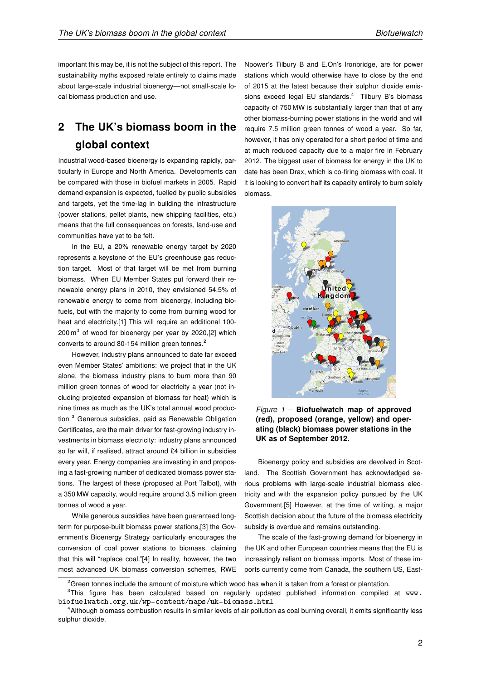important this may be, it is not the subject of this report. The sustainability myths exposed relate entirely to claims made about large-scale industrial bioenergy—not small-scale local biomass production and use.

# 2 The UK's biomass boom in the global context

Industrial wood-based bioenergy is expanding rapidly, particularly in Europe and North America. Developments can be compared with those in biofuel markets in 2005. Rapid demand expansion is expected, fuelled by public subsidies and targets, yet the time-lag in building the infrastructure (power stations, pellet plants, new shipping facilities, etc.) means that the full consequences on forests, land-use and communities have yet to be felt.

In the EU, a 20% renewable energy target by 2020 represents a keystone of the EU's greenhouse gas reduction target. Most of that target will be met from burning biomass. When EU Member States put forward their renewable energy plans in 2010, they envisioned 54.5% of renewable energy to come from bioenergy, including biofuels, but with the majority to come from burning wood for heat and electricity.[1] This will require an additional 100- 200 $\text{m}^3$  of wood for bioenergy per year by 2020,[2] which converts to around 80-154 million green tonnes.<sup>2</sup>

However, industry plans announced to date far exceed even Member States' ambitions: we project that in the UK alone, the biomass industry plans to burn more than 90 million green tonnes of wood for electricity a year (not including projected expansion of biomass for heat) which is nine times as much as the UK's total annual wood production <sup>3</sup> Generous subsidies, paid as Renewable Obligation Certificates, are the main driver for fast-growing industry investments in biomass electricity: industry plans announced so far will, if realised, attract around £4 billion in subsidies every year. Energy companies are investing in and proposing a fast-growing number of dedicated biomass power stations. The largest of these (proposed at Port Talbot), with a 350 MW capacity, would require around 3.5 million green tonnes of wood a year.

While generous subsidies have been guaranteed longterm for purpose-built biomass power stations,[3] the Government's Bioenergy Strategy particularly encourages the conversion of coal power stations to biomass, claiming that this will "replace coal."[4] In reality, however, the two most advanced UK biomass conversion schemes, RWE Npower's Tilbury B and E.On's Ironbridge, are for power stations which would otherwise have to close by the end of 2015 at the latest because their sulphur dioxide emissions exceed legal EU standards.<sup>4</sup> Tilbury B's biomass capacity of 750 MW is substantially larger than that of any other biomass-burning power stations in the world and will require 7.5 million green tonnes of wood a year. So far, however, it has only operated for a short period of time and at much reduced capacity due to a major fire in February 2012. The biggest user of biomass for energy in the UK to date has been Drax, which is co-firing biomass with coal. It it is looking to convert half its capacity entirely to burn solely biomass.



Figure  $1$  – Biofuelwatch map of approved (red), proposed (orange, yellow) and operating (black) biomass power stations in the UK as of September 2012.

Bioenergy policy and subsidies are devolved in Scotland. The Scottish Government has acknowledged serious problems with large-scale industrial biomass electricity and with the expansion policy pursued by the UK Government.[5] However, at the time of writing, a major Scottish decision about the future of the biomass electricity subsidy is overdue and remains outstanding.

The scale of the fast-growing demand for bioenergy in the UK and other European countries means that the EU is increasingly reliant on biomass imports. Most of these imports currently come from Canada, the southern US, East-

 $2G$ reen tonnes include the amount of moisture which wood has when it is taken from a forest or plantation.

<sup>&</sup>lt;sup>3</sup>This figure has been calculated based on regularly updated published information compiled at www. biofuelwatch.org.uk/wp-content/maps/uk-biomass.html

<sup>4</sup>Although biomass combustion results in similar levels of air pollution as coal burning overall, it emits significantly less sulphur dioxide.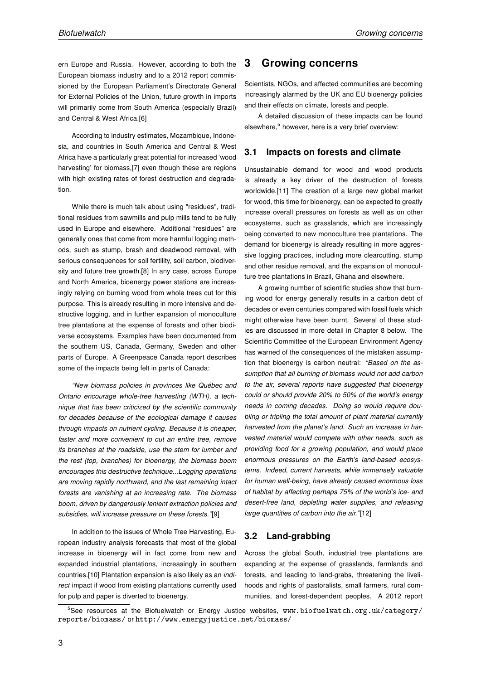ern Europe and Russia. However, according to both the European biomass industry and to a 2012 report commissioned by the European Parliament's Directorate General for External Policies of the Union, future growth in imports will primarily come from South America (especially Brazil) and Central & West Africa.[6]

According to industry estimates, Mozambique, Indonesia, and countries in South America and Central & West Africa have a particularly great potential for increased 'wood harvesting' for biomass,[7] even though these are regions with high existing rates of forest destruction and degradation.

While there is much talk about using "residues", traditional residues from sawmills and pulp mills tend to be fully used in Europe and elsewhere. Additional "residues" are generally ones that come from more harmful logging methods, such as stump, brash and deadwood removal, with serious consequences for soil fertility, soil carbon, biodiversity and future tree growth.[8] In any case, across Europe and North America, bioenergy power stations are increasingly relying on burning wood from whole trees cut for this purpose. This is already resulting in more intensive and destructive logging, and in further expansion of monoculture tree plantations at the expense of forests and other biodiverse ecosystems. Examples have been documented from the southern US, Canada, Germany, Sweden and other parts of Europe. A Greenpeace Canada report describes some of the impacts being felt in parts of Canada:

"New biomass policies in provinces like Québec and Ontario encourage whole-tree harvesting (WTH), a technique that has been criticized by the scientific community for decades because of the ecological damage it causes through impacts on nutrient cycling. Because it is cheaper, faster and more convenient to cut an entire tree, remove its branches at the roadside, use the stem for lumber and the rest (top, branches) for bioenergy, the biomass boom encourages this destructive technique...Logging operations are moving rapidly northward, and the last remaining intact forests are vanishing at an increasing rate. The biomass boom, driven by dangerously lenient extraction policies and subsidies, will increase pressure on these forests."[9]

In addition to the issues of Whole Tree Harvesting, European industry analysis forecasts that most of the global increase in bioenergy will in fact come from new and expanded industrial plantations, increasingly in southern countries.[10] Plantation expansion is also likely as an indirect impact if wood from existing plantations currently used for pulp and paper is diverted to bioenergy.

#### 3 Growing concerns

Scientists, NGOs, and affected communities are becoming increasingly alarmed by the UK and EU bioenergy policies and their effects on climate, forests and people.

A detailed discussion of these impacts can be found elsewhere,<sup>5</sup> however, here is a very brief overview:

#### 3.1 Impacts on forests and climate

Unsustainable demand for wood and wood products is already a key driver of the destruction of forests worldwide.<sup>[11]</sup> The creation of a large new global market for wood, this time for bioenergy, can be expected to greatly increase overall pressures on forests as well as on other ecosystems, such as grasslands, which are increasingly being converted to new monoculture tree plantations. The demand for bioenergy is already resulting in more aggressive logging practices, including more clearcutting, stump and other residue removal, and the expansion of monoculture tree plantations in Brazil, Ghana and elsewhere.

A growing number of scientific studies show that burning wood for energy generally results in a carbon debt of decades or even centuries compared with fossil fuels which might otherwise have been burnt. Several of these studies are discussed in more detail in Chapter 8 below. The Scientific Committee of the European Environment Agency has warned of the consequences of the mistaken assumption that bioenergy is carbon neutral: "Based on the assumption that all burning of biomass would not add carbon to the air, several reports have suggested that bioenergy could or should provide 20% to 50% of the world's energy needs in coming decades. Doing so would require doubling or tripling the total amount of plant material currently harvested from the planet's land. Such an increase in harvested material would compete with other needs, such as providing food for a growing population, and would place enormous pressures on the Earth's land-based ecosystems. Indeed, current harvests, while immensely valuable for human well-being, have already caused enormous loss of habitat by affecting perhaps 75% of the world's ice- and desert-free land, depleting water supplies, and releasing large quantities of carbon into the air."[12]

#### 3.2 Land-grabbing

Across the global South, industrial tree plantations are expanding at the expense of grasslands, farmlands and forests, and leading to land-grabs, threatening the livelihoods and rights of pastoralists, small farmers, rural communities, and forest-dependent peoples. A 2012 report

<sup>&</sup>lt;sup>5</sup>See resources at the Biofuelwatch or Energy Justice websites, www.biofuelwatch.org.uk/category/ reports/biomass/ or http://www.energyjustice.net/biomass/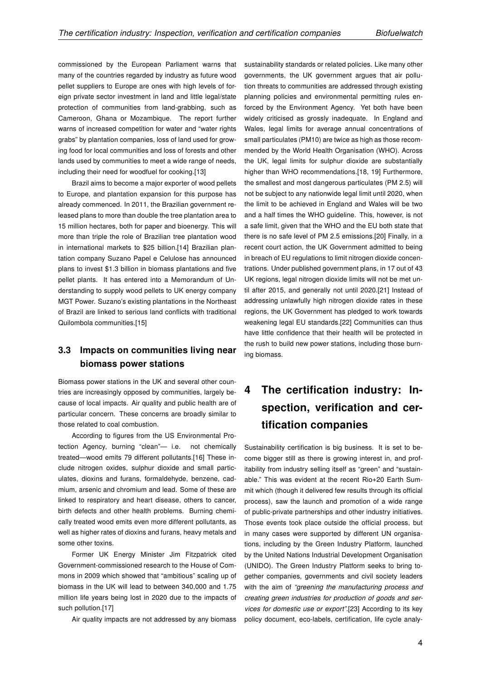commissioned by the European Parliament warns that many of the countries regarded by industry as future wood pellet suppliers to Europe are ones with high levels of foreign private sector investment in land and little legal/state protection of communities from land-grabbing, such as Cameroon, Ghana or Mozambique. The report further warns of increased competition for water and "water rights grabs" by plantation companies, loss of land used for growing food for local communities and loss of forests and other lands used by communities to meet a wide range of needs, including their need for woodfuel for cooking.[13]

Brazil aims to become a major exporter of wood pellets to Europe, and plantation expansion for this purpose has already commenced. In 2011, the Brazilian government released plans to more than double the tree plantation area to 15 million hectares, both for paper and bioenergy. This will more than triple the role of Brazilian tree plantation wood in international markets to \$25 billion.[14] Brazilian plantation company Suzano Papel e Celulose has announced plans to invest \$1.3 billion in biomass plantations and five pellet plants. It has entered into a Memorandum of Understanding to supply wood pellets to UK energy company MGT Power. Suzano's existing plantations in the Northeast of Brazil are linked to serious land conflicts with traditional Quilombola communities.[15]

## 3.3 Impacts on communities living near biomass power stations

Biomass power stations in the UK and several other countries are increasingly opposed by communities, largely because of local impacts. Air quality and public health are of particular concern. These concerns are broadly similar to those related to coal combustion.

According to figures from the US Environmental Protection Agency, burning "clean"— i.e. not chemically treated—wood emits 79 different pollutants.[16] These include nitrogen oxides, sulphur dioxide and small particulates, dioxins and furans, formaldehyde, benzene, cadmium, arsenic and chromium and lead. Some of these are linked to respiratory and heart disease, others to cancer, birth defects and other health problems. Burning chemically treated wood emits even more different pollutants, as well as higher rates of dioxins and furans, heavy metals and some other toxins.

Former UK Energy Minister Jim Fitzpatrick cited Government-commissioned research to the House of Commons in 2009 which showed that "ambitious" scaling up of biomass in the UK will lead to between 340,000 and 1.75 million life years being lost in 2020 due to the impacts of such pollution.<sup>[17]</sup>

Air quality impacts are not addressed by any biomass

sustainability standards or related policies. Like many other governments, the UK government argues that air pollution threats to communities are addressed through existing planning policies and environmental permitting rules enforced by the Environment Agency. Yet both have been widely criticised as grossly inadequate. In England and Wales, legal limits for average annual concentrations of small particulates (PM10) are twice as high as those recommended by the World Health Organisation (WHO). Across the UK, legal limits for sulphur dioxide are substantially higher than WHO recommendations.[18, 19] Furthermore, the smallest and most dangerous particulates (PM 2.5) will not be subject to any nationwide legal limit until 2020, when the limit to be achieved in England and Wales will be two and a half times the WHO guideline. This, however, is not a safe limit, given that the WHO and the EU both state that there is no safe level of PM 2.5 emissions.[20] Finally, in a recent court action, the UK Government admitted to being in breach of EU regulations to limit nitrogen dioxide concentrations. Under published government plans, in 17 out of 43 UK regions, legal nitrogen dioxide limits will not be met until after 2015, and generally not until 2020.[21] Instead of addressing unlawfully high nitrogen dioxide rates in these regions, the UK Government has pledged to work towards weakening legal EU standards.[22] Communities can thus have little confidence that their health will be protected in the rush to build new power stations, including those burning biomass.

# 4 The certification industry: Inspection, verification and certification companies

Sustainability certification is big business. It is set to become bigger still as there is growing interest in, and profitability from industry selling itself as "green" and "sustainable." This was evident at the recent Rio+20 Earth Summit which (though it delivered few results through its official process), saw the launch and promotion of a wide range of public-private partnerships and other industry initiatives. Those events took place outside the official process, but in many cases were supported by different UN organisations, including by the Green Industry Platform, launched by the United Nations Industrial Development Organisation (UNIDO). The Green Industry Platform seeks to bring together companies, governments and civil society leaders with the aim of "greening the manufacturing process and creating green industries for production of goods and services for domestic use or export".[23] According to its key policy document, eco-labels, certification, life cycle analy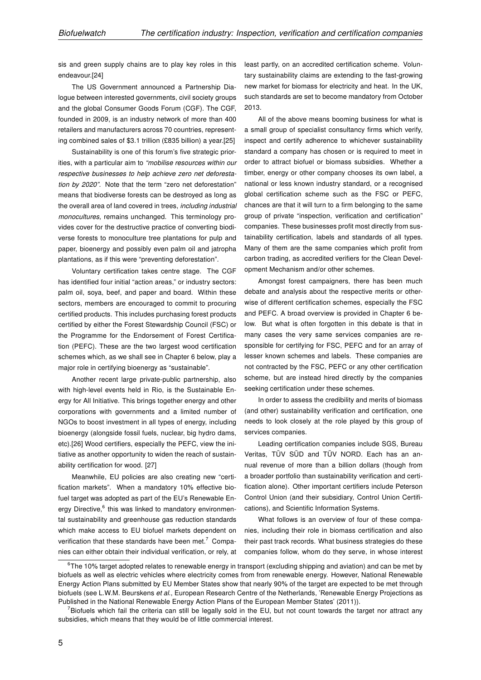sis and green supply chains are to play key roles in this endeavour.[24]

The US Government announced a Partnership Dialogue between interested governments, civil society groups and the global Consumer Goods Forum (CGF). The CGF, founded in 2009, is an industry network of more than 400 retailers and manufacturers across 70 countries, representing combined sales of \$3.1 trillion (£835 billion) a year.[25]

Sustainability is one of this forum's five strategic priorities, with a particular aim to "mobilise resources within our respective businesses to help achieve zero net deforestation by 2020". Note that the term "zero net deforestation" means that biodiverse forests can be destroyed as long as the overall area of land covered in trees, including industrial monocultures, remains unchanged. This terminology provides cover for the destructive practice of converting biodiverse forests to monoculture tree plantations for pulp and paper, bioenergy and possibly even palm oil and jatropha plantations, as if this were "preventing deforestation".

Voluntary certification takes centre stage. The CGF has identified four initial "action areas," or industry sectors: palm oil, soya, beef, and paper and board. Within these sectors, members are encouraged to commit to procuring certified products. This includes purchasing forest products certified by either the Forest Stewardship Council (FSC) or the Programme for the Endorsement of Forest Certification (PEFC). These are the two largest wood certification schemes which, as we shall see in Chapter 6 below, play a major role in certifying bioenergy as "sustainable".

Another recent large private-public partnership, also with high-level events held in Rio, is the Sustainable Energy for All Initiative. This brings together energy and other corporations with governments and a limited number of NGOs to boost investment in all types of energy, including bioenergy (alongside fossil fuels, nuclear, big hydro dams, etc).[26] Wood certifiers, especially the PEFC, view the initiative as another opportunity to widen the reach of sustainability certification for wood. [27]

Meanwhile, EU policies are also creating new "certification markets". When a mandatory 10% effective biofuel target was adopted as part of the EU's Renewable Energy Directive,<sup>6</sup> this was linked to mandatory environmental sustainability and greenhouse gas reduction standards which make access to EU biofuel markets dependent on verification that these standards have been met.<sup>7</sup> Companies can either obtain their individual verification, or rely, at least partly, on an accredited certification scheme. Voluntary sustainability claims are extending to the fast-growing new market for biomass for electricity and heat. In the UK, such standards are set to become mandatory from October 2013.

All of the above means booming business for what is a small group of specialist consultancy firms which verify, inspect and certify adherence to whichever sustainability standard a company has chosen or is required to meet in order to attract biofuel or biomass subsidies. Whether a timber, energy or other company chooses its own label, a national or less known industry standard, or a recognised global certification scheme such as the FSC or PEFC, chances are that it will turn to a firm belonging to the same group of private "inspection, verification and certification" companies. These businesses profit most directly from sustainability certification, labels and standards of all types. Many of them are the same companies which profit from carbon trading, as accredited verifiers for the Clean Development Mechanism and/or other schemes.

Amongst forest campaigners, there has been much debate and analysis about the respective merits or otherwise of different certification schemes, especially the FSC and PEFC. A broad overview is provided in Chapter 6 below. But what is often forgotten in this debate is that in many cases the very same services companies are responsible for certifying for FSC, PEFC and for an array of lesser known schemes and labels. These companies are not contracted by the FSC, PEFC or any other certification scheme, but are instead hired directly by the companies seeking certification under these schemes.

In order to assess the credibility and merits of biomass (and other) sustainability verification and certification, one needs to look closely at the role played by this group of services companies.

Leading certification companies include SGS, Bureau Veritas, TÜV SÜD and TÜV NORD. Each has an annual revenue of more than a billion dollars (though from a broader portfolio than sustainability verification and certification alone). Other important certifiers include Peterson Control Union (and their subsidiary, Control Union Certifications), and Scientific Information Systems.

What follows is an overview of four of these companies, including their role in biomass certification and also their past track records. What business strategies do these companies follow, whom do they serve, in whose interest

 $6$ The 10% target adopted relates to renewable energy in transport (excluding shipping and aviation) and can be met by biofuels as well as electric vehicles where electricity comes from from renewable energy. However, National Renewable Energy Action Plans submitted by EU Member States show that nearly 90% of the target are expected to be met through biofuels (see L.W.M. Beurskens et al., European Research Centre of the Netherlands, 'Renewable Energy Projections as Published in the National Renewable Energy Action Plans of the European Member States' (2011)).

 $^7$ Biofuels which fail the criteria can still be legally sold in the EU, but not count towards the target nor attract any subsidies, which means that they would be of little commercial interest.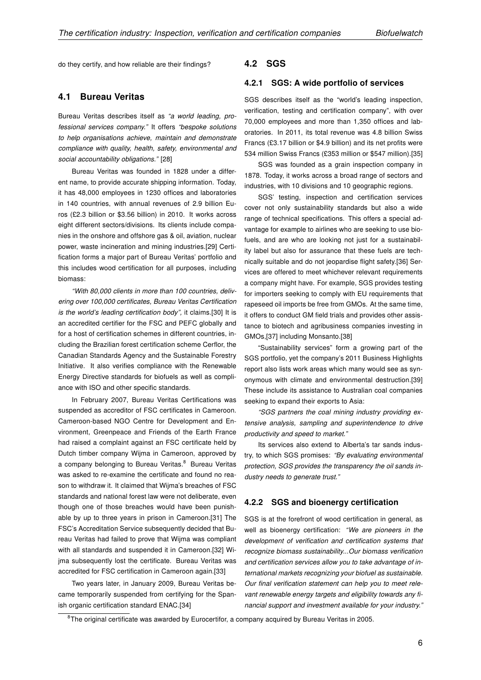do they certify, and how reliable are their findings?

#### 4.1 Bureau Veritas

Bureau Veritas describes itself as "a world leading, professional services company." It offers "bespoke solutions to help organisations achieve, maintain and demonstrate compliance with quality, health, safety, environmental and social accountability obligations." [28]

Bureau Veritas was founded in 1828 under a different name, to provide accurate shipping information. Today, it has 48,000 employees in 1230 offices and laboratories in 140 countries, with annual revenues of 2.9 billion Euros (£2.3 billion or \$3.56 billion) in 2010. It works across eight different sectors/divisions. Its clients include companies in the onshore and offshore gas & oil, aviation, nuclear power, waste incineration and mining industries.[29] Certification forms a major part of Bureau Veritas' portfolio and this includes wood certification for all purposes, including biomass:

"With 80,000 clients in more than 100 countries, delivering over 100,000 certificates, Bureau Veritas Certification is the world's leading certification body", it claims.[30] It is an accredited certifier for the FSC and PEFC globally and for a host of certification schemes in different countries, including the Brazilian forest certification scheme Cerflor, the Canadian Standards Agency and the Sustainable Forestry Initiative. It also verifies compliance with the Renewable Energy Directive standards for biofuels as well as compliance with ISO and other specific standards.

In February 2007, Bureau Veritas Certifications was suspended as accreditor of FSC certificates in Cameroon. Cameroon-based NGO Centre for Development and Environment, Greenpeace and Friends of the Earth France had raised a complaint against an FSC certificate held by Dutch timber company Wijma in Cameroon, approved by a company belonging to Bureau Veritas.<sup>8</sup> Bureau Veritas was asked to re-examine the certificate and found no reason to withdraw it. It claimed that Wijma's breaches of FSC standards and national forest law were not deliberate, even though one of those breaches would have been punishable by up to three years in prison in Cameroon.[31] The FSC's Accreditation Service subsequently decided that Bureau Veritas had failed to prove that Wijma was compliant with all standards and suspended it in Cameroon.[32] Wijma subsequently lost the certificate. Bureau Veritas was accredited for FSC certification in Cameroon again.[33]

Two years later, in January 2009, Bureau Veritas became temporarily suspended from certifying for the Spanish organic certification standard ENAC.[34]

#### 4.2 SGS

#### 4.2.1 SGS: A wide portfolio of services

SGS describes itself as the "world's leading inspection, verification, testing and certification company", with over 70,000 employees and more than 1,350 offices and laboratories. In 2011, its total revenue was 4.8 billion Swiss Francs (£3.17 billion or \$4.9 billion) and its net profits were 534 million Swiss Francs (£353 million or \$547 million).[35]

SGS was founded as a grain inspection company in 1878. Today, it works across a broad range of sectors and industries, with 10 divisions and 10 geographic regions.

SGS' testing, inspection and certification services cover not only sustainability standards but also a wide range of technical specifications. This offers a special advantage for example to airlines who are seeking to use biofuels, and are who are looking not just for a sustainability label but also for assurance that these fuels are technically suitable and do not jeopardise flight safety.[36] Services are offered to meet whichever relevant requirements a company might have. For example, SGS provides testing for importers seeking to comply with EU requirements that rapeseed oil imports be free from GMOs. At the same time, it offers to conduct GM field trials and provides other assistance to biotech and agribusiness companies investing in GMOs,[37] including Monsanto.[38]

"Sustainability services" form a growing part of the SGS portfolio, yet the company's 2011 Business Highlights report also lists work areas which many would see as synonymous with climate and environmental destruction.[39] These include its assistance to Australian coal companies seeking to expand their exports to Asia:

"SGS partners the coal mining industry providing extensive analysis, sampling and superintendence to drive productivity and speed to market."

Its services also extend to Alberta's tar sands industry, to which SGS promises: "By evaluating environmental protection, SGS provides the transparency the oil sands industry needs to generate trust."

#### 4.2.2 SGS and bioenergy certification

SGS is at the forefront of wood certification in general, as well as bioenergy certification: "We are pioneers in the development of verification and certification systems that recognize biomass sustainability...Our biomass verification and certification services allow you to take advantage of international markets recognizing your biofuel as sustainable. Our final verification statement can help you to meet relevant renewable energy targets and eligibility towards any financial support and investment available for your industry."

 $8$ The original certificate was awarded by Eurocertifor, a company acquired by Bureau Veritas in 2005.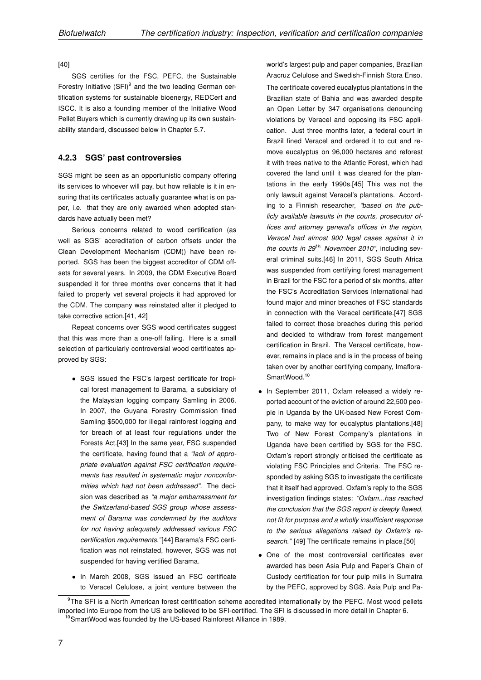[40]

SGS certifies for the FSC, PEFC, the Sustainable Forestry Initiative (SFI)<sup>9</sup> and the two leading German certification systems for sustainable bioenergy, REDCert and ISCC. It is also a founding member of the Initiative Wood Pellet Buyers which is currently drawing up its own sustainability standard, discussed below in Chapter 5.7.

#### 4.2.3 SGS' past controversies

SGS might be seen as an opportunistic company offering its services to whoever will pay, but how reliable is it in ensuring that its certificates actually guarantee what is on paper, i.e. that they are only awarded when adopted standards have actually been met?

Serious concerns related to wood certification (as well as SGS' accreditation of carbon offsets under the Clean Development Mechanism (CDM)) have been reported. SGS has been the biggest accreditor of CDM offsets for several years. In 2009, the CDM Executive Board suspended it for three months over concerns that it had failed to properly vet several projects it had approved for the CDM. The company was reinstated after it pledged to take corrective action.[41, 42]

Repeat concerns over SGS wood certificates suggest that this was more than a one-off failing. Here is a small selection of particularly controversial wood certificates approved by SGS:

- SGS issued the FSC's largest certificate for tropical forest management to Barama, a subsidiary of the Malaysian logging company Samling in 2006. In 2007, the Guyana Forestry Commission fined Samling \$500,000 for illegal rainforest logging and for breach of at least four regulations under the Forests Act.[43] In the same year, FSC suspended the certificate, having found that a "lack of appropriate evaluation against FSC certification requirements has resulted in systematic major nonconformities which had not been addressed". The decision was described as "a major embarrassment for the Switzerland-based SGS group whose assessment of Barama was condemned by the auditors for not having adequately addressed various FSC certification requirements."[44] Barama's FSC certification was not reinstated, however, SGS was not suspended for having vertified Barama.
- In March 2008, SGS issued an FSC certificate to Veracel Celulose, a joint venture between the

world's largest pulp and paper companies, Brazilian Aracruz Celulose and Swedish-Finnish Stora Enso.

The certificate covered eucalyptus plantations in the Brazilian state of Bahia and was awarded despite an Open Letter by 347 organisations denouncing violations by Veracel and opposing its FSC application. Just three months later, a federal court in Brazil fined Veracel and ordered it to cut and remove eucalyptus on 96,000 hectares and reforest it with trees native to the Atlantic Forest, which had covered the land until it was cleared for the plantations in the early 1990s.[45] This was not the only lawsuit against Veracel's plantations. According to a Finnish researcher, "based on the publicly available lawsuits in the courts, prosecutor offices and attorney general's offices in the region, Veracel had almost 900 legal cases against it in the courts in  $29^{th}$  November 2010", including several criminal suits.[46] In 2011, SGS South Africa was suspended from certifying forest management in Brazil for the FSC for a period of six months, after the FSC's Accreditation Services International had found major and minor breaches of FSC standards in connection with the Veracel certificate.[47] SGS failed to correct those breaches during this period and decided to withdraw from forest mangement certification in Brazil. The Veracel certificate, however, remains in place and is in the process of being taken over by another certifying company, Imaflora-SmartWood.<sup>10</sup>

- In September 2011, Oxfam released a widely reported account of the eviction of around 22,500 people in Uganda by the UK-based New Forest Company, to make way for eucalyptus plantations.[48] Two of New Forest Company's plantations in Uganda have been certified by SGS for the FSC. Oxfam's report strongly criticised the certificate as violating FSC Principles and Criteria. The FSC responded by asking SGS to investigate the certificate that it itself had approved. Oxfam's reply to the SGS investigation findings states: "Oxfam...has reached the conclusion that the SGS report is deeply flawed, not fit for purpose and a wholly insufficient response to the serious allegations raised by Oxfam's research." [49] The certificate remains in place.[50]
- One of the most controversial certificates ever awarded has been Asia Pulp and Paper's Chain of Custody certification for four pulp mills in Sumatra by the PEFC, approved by SGS. Asia Pulp and Pa-

<sup>&</sup>lt;sup>9</sup>The SFI is a North American forest certification scheme accredited internationally by the PEFC. Most wood pellets imported into Europe from the US are believed to be SFI-certified. The SFI is discussed in more detail in Chapter 6. <sup>10</sup>SmartWood was founded by the US-based Rainforest Alliance in 1989.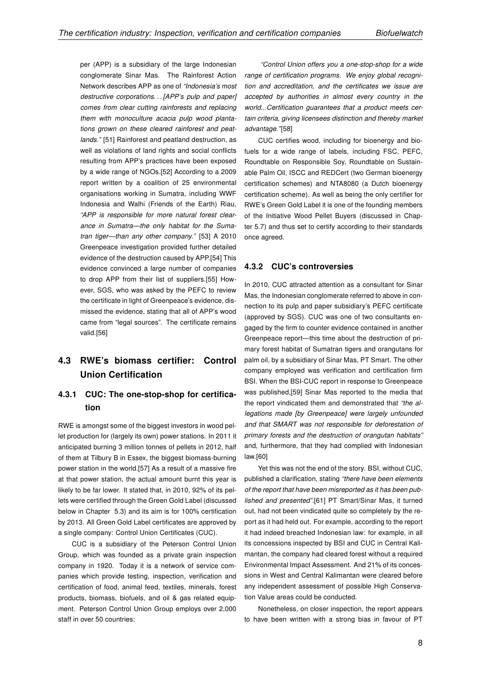per (APP) is a subsidiary of the large Indonesian conglomerate Sinar Mas. The Rainforest Action Network describes APP as one of "Indonesia's most destructive corporations... [APP's pulp and paper] comes from clear cutting rainforests and replacing them with monoculture acacia pulp wood plantations grown on these cleared rainforest and peatlands." [51] Rainforest and peatland destruction, as well as violations of land rights and social conflicts resulting from APP's practices have been exposed by a wide range of NGOs.[52] According to a 2009 report written by a coalition of 25 environmental organisations working in Sumatra, including WWF Indonesia and Walhi (Friends of the Earth) Riau, "APP is responsible for more natural forest clearance in Sumatra—the only habitat for the Sumatran tiger—than any other company." [53] A 2010 Greenpeace investigation provided further detailed evidence of the destruction caused by APP.[54] This evidence convinced a large number of companies to drop APP from their list of suppliers.[55] However, SGS, who was asked by the PEFC to review the certificate in light of Greenpeace's evidence, dismissed the evidence, stating that all of APP's wood came from "legal sources". The certificate remains valid.[56]

## 4.3 RWE's biomass certifier: Control Union Certification

#### 4.3.1 CUC: The one-stop-shop for certification

RWE is amongst some of the biggest investors in wood pellet production for (largely its own) power stations. In 2011 it anticipated burning 3 million tonnes of pellets in 2012, half of them at Tilbury B in Essex, the biggest biomass-burning power station in the world.[57] As a result of a massive fire at that power station, the actual amount burnt this year is likely to be far lower. It stated that, in 2010, 92% of its pellets were certified through the Green Gold Label (discussed below in Chapter 5.3) and its aim is for 100% certification by 2013. All Green Gold Label certificates are approved by a single company: Control Union Certificates (CUC).

CUC is a subsidiary of the Peterson Control Union Group, which was founded as a private grain inspection company in 1920. Today it is a network of service companies which provide testing, inspection, verification and certification of food, animal feed, textiles, minerals, forest products, biomass, biofuels, and oil & gas related equipment. Peterson Control Union Group employs over 2,000 staff in over 50 countries:

"Control Union offers you a one-stop-shop for a wide range of certification programs. We enjoy global recognition and accreditation, and the certificates we issue are accepted by authorities in almost every country in the world...Certification guarantees that a product meets certain criteria, giving licensees distinction and thereby market advantage."[58]

CUC certifies wood, including for bioenergy and biofuels for a wide range of labels, including FSC, PEFC, Roundtable on Responsible Soy, Roundtable on Sustainable Palm Oil, ISCC and REDCert (two German bioenergy certification schemes) and NTA8080 (a Dutch bioenergy certification scheme). As well as being the only certifier for RWE's Green Gold Label it is one of the founding members of the Initiative Wood Pellet Buyers (discussed in Chapter 5.7) and thus set to certify according to their standards once agreed.

#### 4.3.2 CUC's controversies

In 2010, CUC attracted attention as a consultant for Sinar Mas, the Indonesian conglomerate referred to above in connection to its pulp and paper subsidiary's PEFC certificate (approved by SGS). CUC was one of two consultants engaged by the firm to counter evidence contained in another Greenpeace report—this time about the destruction of primary forest habitat of Sumatran tigers and orangutans for palm oil, by a subsidiary of Sinar Mas, PT Smart. The other company employed was verification and certification firm BSI. When the BSI-CUC report in response to Greenpeace was published,[59] Sinar Mas reported to the media that the report vindicated them and demonstrated that "the allegations made [by Greenpeace] were largely unfounded and that SMART was not responsible for deforestation of primary forests and the destruction of orangutan habitats" and, furthermore, that they had complied with Indonesian law.[60]

Yet this was not the end of the story. BSI, without CUC, published a clarification, stating "there have been elements of the report that have been misreported as it has been published and presented".[61] PT Smart/Sinar Mas, it turned out, had not been vindicated quite so completely by the report as it had held out. For example, according to the report it had indeed breached Indonesian law: for example, in all its concessions inspected by BSI and CUC in Central Kalimantan, the company had cleared forest without a required Environmental Impact Assessment. And 21% of its concessions in West and Central Kalimantan were cleared before any independent assessment of possible High Conservation Value areas could be conducted.

Nonetheless, on closer inspection, the report appears to have been written with a strong bias in favour of PT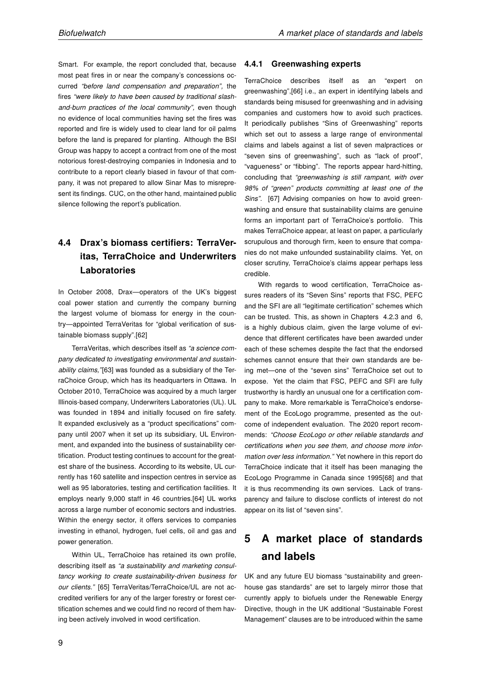Smart. For example, the report concluded that, because most peat fires in or near the company's concessions occurred "before land compensation and preparation", the fires "were likely to have been caused by traditional slashand-burn practices of the local community", even though no evidence of local communities having set the fires was reported and fire is widely used to clear land for oil palms before the land is prepared for planting. Although the BSI Group was happy to accept a contract from one of the most notorious forest-destroying companies in Indonesia and to contribute to a report clearly biased in favour of that company, it was not prepared to allow Sinar Mas to misrepresent its findings. CUC, on the other hand, maintained public silence following the report's publication.

## 4.4 Drax's biomass certifiers: TerraVeritas, TerraChoice and Underwriters Laboratories

In October 2008, Drax—operators of the UK's biggest coal power station and currently the company burning the largest volume of biomass for energy in the country—appointed TerraVeritas for "global verification of sustainable biomass supply".[62]

TerraVeritas, which describes itself as "a science company dedicated to investigating environmental and sustainability claims,"[63] was founded as a subsidiary of the TerraChoice Group, which has its headquarters in Ottawa. In October 2010, TerraChoice was acquired by a much larger Illinois-based company, Underwriters Laboratories (UL). UL was founded in 1894 and initially focused on fire safety. It expanded exclusively as a "product specifications" company until 2007 when it set up its subsidiary, UL Environment, and expanded into the business of sustainability certification. Product testing continues to account for the greatest share of the business. According to its website, UL currently has 160 satellite and inspection centres in service as well as 95 laboratories, testing and certification facilities. It employs nearly 9,000 staff in 46 countries.[64] UL works across a large number of economic sectors and industries. Within the energy sector, it offers services to companies investing in ethanol, hydrogen, fuel cells, oil and gas and power generation.

Within UL, TerraChoice has retained its own profile, describing itself as "a sustainability and marketing consultancy working to create sustainability-driven business for our clients." [65] TerraVeritas/TerraChoice/UL are not accredited verifiers for any of the larger forestry or forest certification schemes and we could find no record of them having been actively involved in wood certification.

#### 4.4.1 Greenwashing experts

TerraChoice describes itself as an "expert on greenwashing",[66] i.e., an expert in identifying labels and standards being misused for greenwashing and in advising companies and customers how to avoid such practices. It periodically publishes "Sins of Greenwashing" reports which set out to assess a large range of environmental claims and labels against a list of seven malpractices or "seven sins of greenwashing", such as "lack of proof", "vagueness" or "fibbing". The reports appear hard-hitting, concluding that "greenwashing is still rampant, with over 98% of "green" products committing at least one of the Sins". [67] Advising companies on how to avoid greenwashing and ensure that sustainability claims are genuine forms an important part of TerraChoice's portfolio. This makes TerraChoice appear, at least on paper, a particularly scrupulous and thorough firm, keen to ensure that companies do not make unfounded sustainability claims. Yet, on closer scrutiny, TerraChoice's claims appear perhaps less credible.

With regards to wood certification, TerraChoice assures readers of its "Seven Sins" reports that FSC, PEFC and the SFI are all "legitimate certification" schemes which can be trusted. This, as shown in Chapters 4.2.3 and 6, is a highly dubious claim, given the large volume of evidence that different certificates have been awarded under each of these schemes despite the fact that the endorsed schemes cannot ensure that their own standards are being met—one of the "seven sins" TerraChoice set out to expose. Yet the claim that FSC, PEFC and SFI are fully trustworthy is hardly an unusual one for a certification company to make. More remarkable is TerraChoice's endorsement of the EcoLogo programme, presented as the outcome of independent evaluation. The 2020 report recommends: "Choose EcoLogo or other reliable standards and certifications when you see them, and choose more information over less information." Yet nowhere in this report do TerraChoice indicate that it itself has been managing the EcoLogo Programme in Canada since 1995[68] and that it is thus recommending its own services. Lack of transparency and failure to disclose conflicts of interest do not appear on its list of "seven sins".

# 5 A market place of standards and labels

UK and any future EU biomass "sustainability and greenhouse gas standards" are set to largely mirror those that currently apply to biofuels under the Renewable Energy Directive, though in the UK additional "Sustainable Forest Management" clauses are to be introduced within the same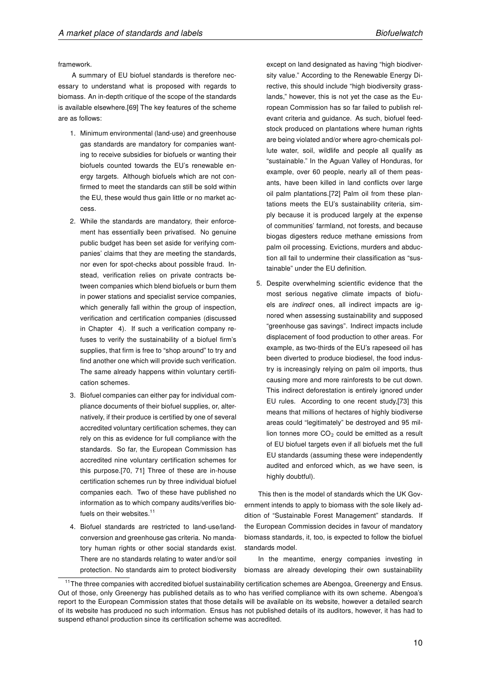framework.

A summary of EU biofuel standards is therefore necessary to understand what is proposed with regards to biomass. An in-depth critique of the scope of the standards is available elsewhere.[69] The key features of the scheme are as follows:

- 1. Minimum environmental (land-use) and greenhouse gas standards are mandatory for companies wanting to receive subsidies for biofuels or wanting their biofuels counted towards the EU's renewable energy targets. Although biofuels which are not confirmed to meet the standards can still be sold within the EU, these would thus gain little or no market access.
- 2. While the standards are mandatory, their enforcement has essentially been privatised. No genuine public budget has been set aside for verifying companies' claims that they are meeting the standards, nor even for spot-checks about possible fraud. Instead, verification relies on private contracts between companies which blend biofuels or burn them in power stations and specialist service companies, which generally fall within the group of inspection, verification and certification companies (discussed in Chapter 4). If such a verification company refuses to verify the sustainability of a biofuel firm's supplies, that firm is free to "shop around" to try and find another one which will provide such verification. The same already happens within voluntary certification schemes.
- 3. Biofuel companies can either pay for individual compliance documents of their biofuel supplies, or, alternatively, if their produce is certified by one of several accredited voluntary certification schemes, they can rely on this as evidence for full compliance with the standards. So far, the European Commission has accredited nine voluntary certification schemes for this purpose.[70, 71] Three of these are in-house certification schemes run by three individual biofuel companies each. Two of these have published no information as to which company audits/verifies biofuels on their websites.<sup>11</sup>
- 4. Biofuel standards are restricted to land-use/landconversion and greenhouse gas criteria. No mandatory human rights or other social standards exist. There are no standards relating to water and/or soil protection. No standards aim to protect biodiversity

except on land designated as having "high biodiversity value." According to the Renewable Energy Directive, this should include "high biodiversity grasslands," however, this is not yet the case as the European Commission has so far failed to publish relevant criteria and guidance. As such, biofuel feedstock produced on plantations where human rights are being violated and/or where agro-chemicals pollute water, soil, wildlife and people all qualify as "sustainable." In the Aguan Valley of Honduras, for example, over 60 people, nearly all of them peasants, have been killed in land conflicts over large oil palm plantations.[72] Palm oil from these plantations meets the EU's sustainability criteria, simply because it is produced largely at the expense of communities' farmland, not forests, and because biogas digesters reduce methane emissions from palm oil processing. Evictions, murders and abduction all fail to undermine their classification as "sustainable" under the EU definition.

5. Despite overwhelming scientific evidence that the most serious negative climate impacts of biofuels are indirect ones, all indirect impacts are ignored when assessing sustainability and supposed "greenhouse gas savings". Indirect impacts include displacement of food production to other areas. For example, as two-thirds of the EU's rapeseed oil has been diverted to produce biodiesel, the food industry is increasingly relying on palm oil imports, thus causing more and more rainforests to be cut down. This indirect deforestation is entirely ignored under EU rules. According to one recent study,[73] this means that millions of hectares of highly biodiverse areas could "legitimately" be destroyed and 95 million tonnes more  $CO<sub>2</sub>$  could be emitted as a result of EU biofuel targets even if all biofuels met the full EU standards (assuming these were independently audited and enforced which, as we have seen, is highly doubtful).

This then is the model of standards which the UK Government intends to apply to biomass with the sole likely addition of "Sustainable Forest Management" standards. If the European Commission decides in favour of mandatory biomass standards, it, too, is expected to follow the biofuel standards model.

In the meantime, energy companies investing in biomass are already developing their own sustainability

<sup>&</sup>lt;sup>11</sup>The three companies with accredited biofuel sustainability certification schemes are Abengoa, Greenergy and Ensus. Out of those, only Greenergy has published details as to who has verified compliance with its own scheme. Abengoa's report to the European Commission states that those details will be available on its website, however a detailed search of its website has produced no such information. Ensus has not published details of its auditors, however, it has had to suspend ethanol production since its certification scheme was accredited.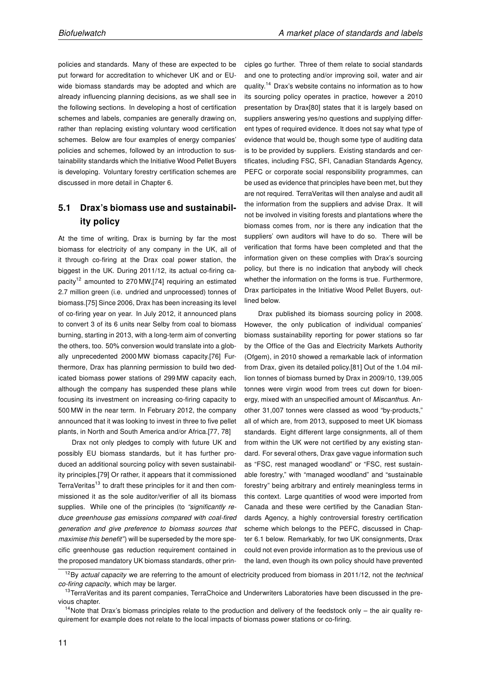policies and standards. Many of these are expected to be put forward for accreditation to whichever UK and or EUwide biomass standards may be adopted and which are already influencing planning decisions, as we shall see in the following sections. In developing a host of certification schemes and labels, companies are generally drawing on, rather than replacing existing voluntary wood certification schemes. Below are four examples of energy companies' policies and schemes, followed by an introduction to sustainability standards which the Initiative Wood Pellet Buyers is developing. Voluntary forestry certification schemes are discussed in more detail in Chapter 6.

## 5.1 Drax's biomass use and sustainability policy

At the time of writing, Drax is burning by far the most biomass for electricity of any company in the UK, all of it through co-firing at the Drax coal power station, the biggest in the UK. During 2011/12, its actual co-firing capacity<sup>12</sup> amounted to 270 MW, [74] requiring an estimated 2.7 million green (i.e. undried and unprocessed) tonnes of biomass.[75] Since 2006, Drax has been increasing its level of co-firing year on year. In July 2012, it announced plans to convert 3 of its 6 units near Selby from coal to biomass burning, starting in 2013, with a long-term aim of converting the others, too. 50% conversion would translate into a globally unprecedented 2000 MW biomass capacity.[76] Furthermore, Drax has planning permission to build two dedicated biomass power stations of 299 MW capacity each, although the company has suspended these plans while focusing its investment on increasing co-firing capacity to 500 MW in the near term. In February 2012, the company announced that it was looking to invest in three to five pellet plants, in North and South America and/or Africa.[77, 78]

Drax not only pledges to comply with future UK and possibly EU biomass standards, but it has further produced an additional sourcing policy with seven sustainability principles.[79] Or rather, it appears that it commissioned TerraVeritas<sup>13</sup> to draft these principles for it and then commissioned it as the sole auditor/verifier of all its biomass supplies. While one of the principles (to "significantly reduce greenhouse gas emissions compared with coal-fired generation and give preference to biomass sources that maximise this benefit") will be superseded by the more specific greenhouse gas reduction requirement contained in the proposed mandatory UK biomass standards, other principles go further. Three of them relate to social standards and one to protecting and/or improving soil, water and air quality.<sup>14</sup> Drax's website contains no information as to how its sourcing policy operates in practice, however a 2010 presentation by Drax[80] states that it is largely based on suppliers answering yes/no questions and supplying different types of required evidence. It does not say what type of evidence that would be, though some type of auditing data is to be provided by suppliers. Existing standards and certificates, including FSC, SFI, Canadian Standards Agency, PEFC or corporate social responsibility programmes, can be used as evidence that principles have been met, but they are not required. TerraVeritas will then analyse and audit all the information from the suppliers and advise Drax. It will not be involved in visiting forests and plantations where the biomass comes from, nor is there any indication that the suppliers' own auditors will have to do so. There will be verification that forms have been completed and that the information given on these complies with Drax's sourcing policy, but there is no indication that anybody will check whether the information on the forms is true. Furthermore, Drax participates in the Initiative Wood Pellet Buyers, outlined below.

Drax published its biomass sourcing policy in 2008. However, the only publication of individual companies' biomass sustainability reporting for power stations so far by the Office of the Gas and Electricity Markets Authority (Ofgem), in 2010 showed a remarkable lack of information from Drax, given its detailed policy.[81] Out of the 1.04 million tonnes of biomass burned by Drax in 2009/10, 139,005 tonnes were virgin wood from trees cut down for bioenergy, mixed with an unspecified amount of Miscanthus. Another 31,007 tonnes were classed as wood "by-products," all of which are, from 2013, supposed to meet UK biomass standards. Eight different large consignments, all of them from within the UK were not certified by any existing standard. For several others, Drax gave vague information such as "FSC, rest managed woodland" or "FSC, rest sustainable forestry," with "managed woodland" and "sustainable forestry" being arbitrary and entirely meaningless terms in this context. Large quantities of wood were imported from Canada and these were certified by the Canadian Standards Agency, a highly controversial forestry certification scheme which belongs to the PEFC, discussed in Chapter 6.1 below. Remarkably, for two UK consignments, Drax could not even provide information as to the previous use of the land, even though its own policy should have prevented

 $12$ By actual capacity we are referring to the amount of electricity produced from biomass in 2011/12, not the technical co-firing capacity, which may be larger.

<sup>&</sup>lt;sup>13</sup>TerraVeritas and its parent companies, TerraChoice and Underwriters Laboratories have been discussed in the previous chapter.

 $14$ Note that Drax's biomass principles relate to the production and delivery of the feedstock only – the air quality requirement for example does not relate to the local impacts of biomass power stations or co-firing.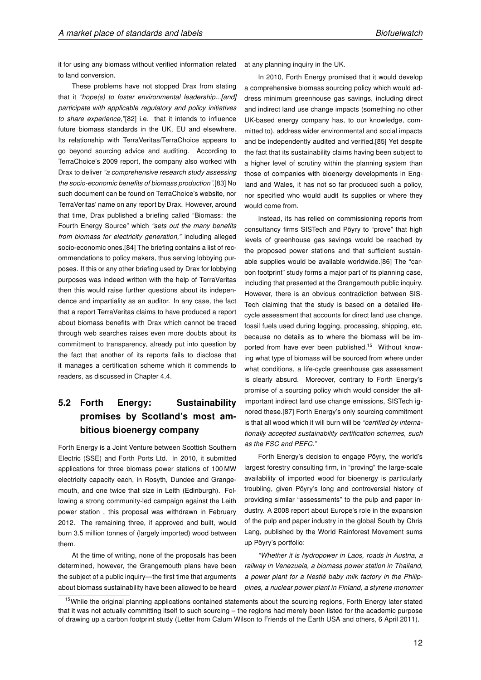it for using any biomass without verified information related to land conversion.

These problems have not stopped Drax from stating that it "hope(s) to foster environmental leadership...[and] participate with applicable regulatory and policy initiatives to share experience,"[82] i.e. that it intends to influence future biomass standards in the UK, EU and elsewhere. Its relationship with TerraVeritas/TerraChoice appears to go beyond sourcing advice and auditing. According to TerraChoice's 2009 report, the company also worked with Drax to deliver "a comprehensive research study assessing the socio-economic benefits of biomass production".[83] No such document can be found on TerraChoice's website, nor TerraVeritas' name on any report by Drax. However, around that time, Drax published a briefing called "Biomass: the Fourth Energy Source" which "sets out the many benefits from biomass for electricity generation," including alleged socio-economic ones.[84] The briefing contains a list of recommendations to policy makers, thus serving lobbying purposes. If this or any other briefing used by Drax for lobbying purposes was indeed written with the help of TerraVeritas then this would raise further questions about its independence and impartiality as an auditor. In any case, the fact that a report TerraVeritas claims to have produced a report about biomass benefits with Drax which cannot be traced through web searches raises even more doubts about its commitment to transparency, already put into question by the fact that another of its reports fails to disclose that it manages a certification scheme which it commends to readers, as discussed in Chapter 4.4.

## 5.2 Forth Energy: Sustainability promises by Scotland's most ambitious bioenergy company

Forth Energy is a Joint Venture between Scottish Southern Electric (SSE) and Forth Ports Ltd. In 2010, it submitted applications for three biomass power stations of 100 MW electricity capacity each, in Rosyth, Dundee and Grangemouth, and one twice that size in Leith (Edinburgh). Following a strong community-led campaign against the Leith power station , this proposal was withdrawn in February 2012. The remaining three, if approved and built, would burn 3.5 million tonnes of (largely imported) wood between them.

At the time of writing, none of the proposals has been determined, however, the Grangemouth plans have been the subject of a public inquiry—the first time that arguments about biomass sustainability have been allowed to be heard at any planning inquiry in the UK.

In 2010, Forth Energy promised that it would develop a comprehensive biomass sourcing policy which would address minimum greenhouse gas savings, including direct and indirect land use change impacts (something no other UK-based energy company has, to our knowledge, committed to), address wider environmental and social impacts and be independently audited and verified.[85] Yet despite the fact that its sustainability claims having been subject to a higher level of scrutiny within the planning system than those of companies with bioenergy developments in England and Wales, it has not so far produced such a policy, nor specified who would audit its supplies or where they would come from.

Instead, its has relied on commissioning reports from consultancy firms SISTech and Pöyry to "prove" that high levels of greenhouse gas savings would be reached by the proposed power stations and that sufficient sustainable supplies would be available worldwide.[86] The "carbon footprint" study forms a major part of its planning case, including that presented at the Grangemouth public inquiry. However, there is an obvious contradiction between SIS-Tech claiming that the study is based on a detailed lifecycle assessment that accounts for direct land use change, fossil fuels used during logging, processing, shipping, etc, because no details as to where the biomass will be imported from have ever been published.<sup>15</sup> Without knowing what type of biomass will be sourced from where under what conditions, a life-cycle greenhouse gas assessment is clearly absurd. Moreover, contrary to Forth Energy's promise of a sourcing policy which would consider the allimportant indirect land use change emissions, SISTech ignored these.[87] Forth Energy's only sourcing commitment is that all wood which it will burn will be "certified by internationally accepted sustainability certification schemes, such as the FSC and PEFC."

Forth Energy's decision to engage Pöyry, the world's largest forestry consulting firm, in "proving" the large-scale availability of imported wood for bioenergy is particularly troubling, given Pöyry's long and controversial history of providing similar "assessments" to the pulp and paper industry. A 2008 report about Europe's role in the expansion of the pulp and paper industry in the global South by Chris Lang, published by the World Rainforest Movement sums up Pöyry's portfolio:

"Whether it is hydropower in Laos, roads in Austria, a railway in Venezuela, a biomass power station in Thailand, a power plant for a Nestlé baby milk factory in the Philippines, a nuclear power plant in Finland, a styrene monomer

<sup>&</sup>lt;sup>15</sup>While the original planning applications contained statements about the sourcing regions, Forth Energy later stated that it was not actually committing itself to such sourcing – the regions had merely been listed for the academic purpose of drawing up a carbon footprint study (Letter from Calum Wilson to Friends of the Earth USA and others, 6 April 2011).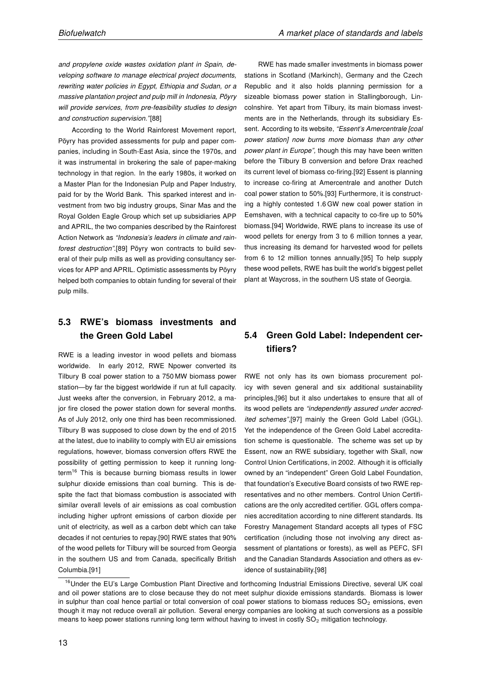and propylene oxide wastes oxidation plant in Spain, developing software to manage electrical project documents, rewriting water policies in Egypt, Ethiopia and Sudan, or a massive plantation project and pulp mill in Indonesia, Pöyry will provide services, from pre-feasibility studies to design and construction supervision."[88]

According to the World Rainforest Movement report, Pöyry has provided assessments for pulp and paper companies, including in South-East Asia, since the 1970s, and it was instrumental in brokering the sale of paper-making technology in that region. In the early 1980s, it worked on a Master Plan for the Indonesian Pulp and Paper Industry, paid for by the World Bank. This sparked interest and investment from two big industry groups, Sinar Mas and the Royal Golden Eagle Group which set up subsidiaries APP and APRIL, the two companies described by the Rainforest Action Network as "Indonesia's leaders in climate and rainforest destruction".[89] Pöyry won contracts to build several of their pulp mills as well as providing consultancy services for APP and APRIL. Optimistic assessments by Pöyry helped both companies to obtain funding for several of their pulp mills.

## 5.3 RWE's biomass investments and the Green Gold Label

RWE is a leading investor in wood pellets and biomass worldwide. In early 2012, RWE Npower converted its Tilbury B coal power station to a 750 MW biomass power station—by far the biggest worldwide if run at full capacity. Just weeks after the conversion, in February 2012, a major fire closed the power station down for several months. As of July 2012, only one third has been recommissioned. Tilbury B was supposed to close down by the end of 2015 at the latest, due to inability to comply with EU air emissions regulations, however, biomass conversion offers RWE the possibility of getting permission to keep it running longterm<sup>16</sup> This is because burning biomass results in lower sulphur dioxide emissions than coal burning. This is despite the fact that biomass combustion is associated with similar overall levels of air emissions as coal combustion including higher upfront emissions of carbon dioxide per unit of electricity, as well as a carbon debt which can take decades if not centuries to repay.[90] RWE states that 90% of the wood pellets for Tilbury will be sourced from Georgia in the southern US and from Canada, specifically British Columbia.[91]

RWE has made smaller investments in biomass power stations in Scotland (Markinch), Germany and the Czech Republic and it also holds planning permission for a sizeable biomass power station in Stallingborough, Lincolnshire. Yet apart from Tilbury, its main biomass investments are in the Netherlands, through its subsidiary Essent. According to its website, "Essent's Amercentrale [coal power station] now burns more biomass than any other power plant in Europe", though this may have been written before the Tilbury B conversion and before Drax reached its current level of biomass co-firing.[92] Essent is planning to increase co-firing at Amercentrale and another Dutch coal power station to 50%.[93] Furthermore, it is constructing a highly contested 1.6 GW new coal power station in Eemshaven, with a technical capacity to co-fire up to 50% biomass.[94] Worldwide, RWE plans to increase its use of wood pellets for energy from 3 to 6 million tonnes a year, thus increasing its demand for harvested wood for pellets from 6 to 12 million tonnes annually.[95] To help supply these wood pellets, RWE has built the world's biggest pellet plant at Waycross, in the southern US state of Georgia.

### 5.4 Green Gold Label: Independent certifiers?

RWE not only has its own biomass procurement policy with seven general and six additional sustainability principles,[96] but it also undertakes to ensure that all of its wood pellets are "independently assured under accredited schemes",[97] mainly the Green Gold Label (GGL). Yet the independence of the Green Gold Label accreditation scheme is questionable. The scheme was set up by Essent, now an RWE subsidiary, together with Skall, now Control Union Certifications, in 2002. Although it is officially owned by an "independent" Green Gold Label Foundation, that foundation's Executive Board consists of two RWE representatives and no other members. Control Union Certifications are the only accredited certifier. GGL offers companies accreditation according to nine different standards. Its Forestry Management Standard accepts all types of FSC certification (including those not involving any direct assessment of plantations or forests), as well as PEFC, SFI and the Canadian Standards Association and others as evidence of sustainability.[98]

<sup>&</sup>lt;sup>16</sup>Under the EU's Large Combustion Plant Directive and forthcoming Industrial Emissions Directive, several UK coal and oil power stations are to close because they do not meet sulphur dioxide emissions standards. Biomass is lower in sulphur than coal hence partial or total conversion of coal power stations to biomass reduces  $SO_2$  emissions, even though it may not reduce overall air pollution. Several energy companies are looking at such conversions as a possible means to keep power stations running long term without having to invest in costly  $SO<sub>2</sub>$  mitigation technology.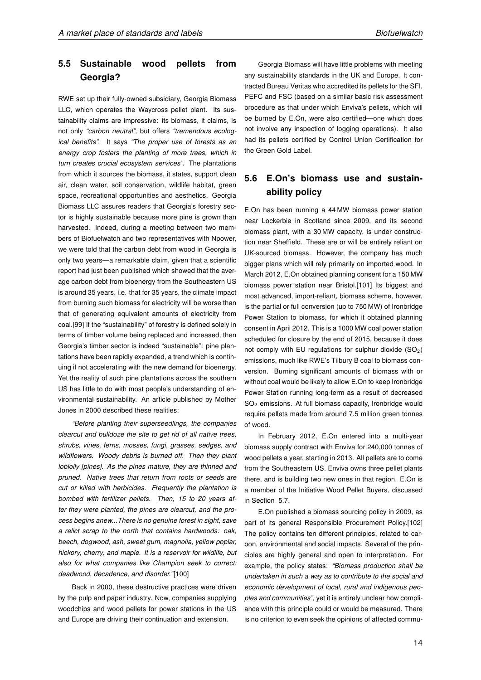## 5.5 Sustainable wood pellets from Georgia?

RWE set up their fully-owned subsidiary, Georgia Biomass LLC, which operates the Waycross pellet plant. Its sustainability claims are impressive: its biomass, it claims, is not only "carbon neutral", but offers "tremendous ecological benefits". It says "The proper use of forests as an energy crop fosters the planting of more trees, which in turn creates crucial ecosystem services". The plantations from which it sources the biomass, it states, support clean air, clean water, soil conservation, wildlife habitat, green space, recreational opportunities and aesthetics. Georgia Biomass LLC assures readers that Georgia's forestry sector is highly sustainable because more pine is grown than harvested. Indeed, during a meeting between two members of Biofuelwatch and two representatives with Npower, we were told that the carbon debt from wood in Georgia is only two years—a remarkable claim, given that a scientific report had just been published which showed that the average carbon debt from bioenergy from the Southeastern US is around 35 years, i.e. that for 35 years, the climate impact from burning such biomass for electricity will be worse than that of generating equivalent amounts of electricity from coal.[99] If the "sustainability" of forestry is defined solely in terms of timber volume being replaced and increased, then Georgia's timber sector is indeed "sustainable": pine plantations have been rapidly expanded, a trend which is continuing if not accelerating with the new demand for bioenergy. Yet the reality of such pine plantations across the southern US has little to do with most people's understanding of environmental sustainability. An article published by Mother Jones in 2000 described these realities:

"Before planting their superseedlings, the companies clearcut and bulldoze the site to get rid of all native trees, shrubs, vines, ferns, mosses, fungi, grasses, sedges, and wildflowers. Woody debris is burned off. Then they plant loblolly [pines]. As the pines mature, they are thinned and pruned. Native trees that return from roots or seeds are cut or killed with herbicides. Frequently the plantation is bombed with fertilizer pellets. Then, 15 to 20 years after they were planted, the pines are clearcut, and the process begins anew...There is no genuine forest in sight, save a relict scrap to the north that contains hardwoods: oak, beech, dogwood, ash, sweet gum, magnolia, yellow poplar, hickory, cherry, and maple. It is a reservoir for wildlife, but also for what companies like Champion seek to correct: deadwood, decadence, and disorder."[100]

Back in 2000, these destructive practices were driven by the pulp and paper industry. Now, companies supplying woodchips and wood pellets for power stations in the US and Europe are driving their continuation and extension.

Georgia Biomass will have little problems with meeting any sustainability standards in the UK and Europe. It contracted Bureau Veritas who accredited its pellets for the SFI, PEFC and FSC (based on a similar basic risk assessment procedure as that under which Enviva's pellets, which will be burned by E.On, were also certified—one which does not involve any inspection of logging operations). It also had its pellets certified by Control Union Certification for the Green Gold Label.

## 5.6 E.On's biomass use and sustainability policy

E.On has been running a 44 MW biomass power station near Lockerbie in Scotland since 2009, and its second biomass plant, with a 30 MW capacity, is under construction near Sheffield. These are or will be entirely reliant on UK-sourced biomass. However, the company has much bigger plans which will rely primarily on imported wood. In March 2012, E.On obtained planning consent for a 150 MW biomass power station near Bristol.[101] Its biggest and most advanced, import-reliant, biomass scheme, however, is the partial or full conversion (up to 750 MW) of Ironbridge Power Station to biomass, for which it obtained planning consent in April 2012. This is a 1000 MW coal power station scheduled for closure by the end of 2015, because it does not comply with EU regulations for sulphur dioxide  $(SO_2)$ emissions, much like RWE's Tilbury B coal to biomass conversion. Burning significant amounts of biomass with or without coal would be likely to allow E.On to keep Ironbridge Power Station running long-term as a result of decreased  $SO<sub>2</sub>$  emissions. At full biomass capacity, Ironbridge would require pellets made from around 7.5 million green tonnes of wood.

In February 2012, E.On entered into a multi-year biomass supply contract with Enviva for 240,000 tonnes of wood pellets a year, starting in 2013. All pellets are to come from the Southeastern US. Enviva owns three pellet plants there, and is building two new ones in that region. E.On is a member of the Initiative Wood Pellet Buyers, discussed in Section 5.7.

E.On published a biomass sourcing policy in 2009, as part of its general Responsible Procurement Policy.[102] The policy contains ten different principles, related to carbon, environmental and social impacts. Several of the principles are highly general and open to interpretation. For example, the policy states: "Biomass production shall be undertaken in such a way as to contribute to the social and economic development of local, rural and indigenous peoples and communities", yet it is entirely unclear how compliance with this principle could or would be measured. There is no criterion to even seek the opinions of affected commu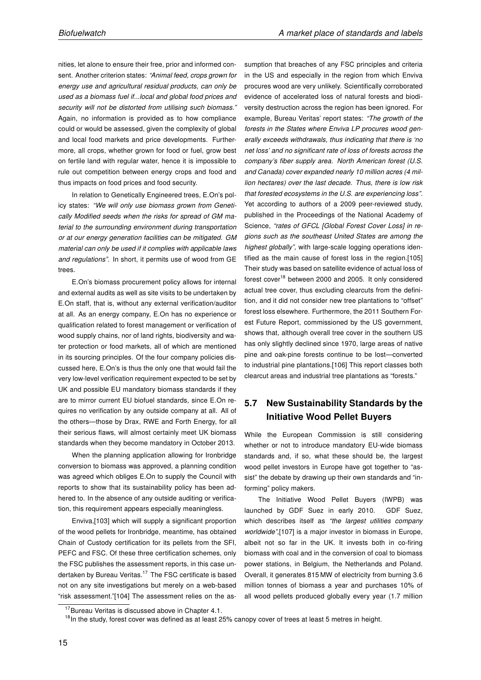nities, let alone to ensure their free, prior and informed consent. Another criterion states: "Animal feed, crops grown for energy use and agricultural residual products, can only be used as a biomass fuel if...local and global food prices and security will not be distorted from utilising such biomass." Again, no information is provided as to how compliance could or would be assessed, given the complexity of global and local food markets and price developments. Furthermore, all crops, whether grown for food or fuel, grow best on fertile land with regular water, hence it is impossible to rule out competition between energy crops and food and thus impacts on food prices and food security.

In relation to Genetically Engineered trees, E.On's policy states: "We will only use biomass grown from Genetically Modified seeds when the risks for spread of GM material to the surrounding environment during transportation or at our energy generation facilities can be mitigated. GM material can only be used if it complies with applicable laws and regulations". In short, it permits use of wood from GE trees.

E.On's biomass procurement policy allows for internal and external audits as well as site visits to be undertaken by E.On staff, that is, without any external verification/auditor at all. As an energy company, E.On has no experience or qualification related to forest management or verification of wood supply chains, nor of land rights, biodiversity and water protection or food markets, all of which are mentioned in its sourcing principles. Of the four company policies discussed here, E.On's is thus the only one that would fail the very low-level verification requirement expected to be set by UK and possible EU mandatory biomass standards if they are to mirror current EU biofuel standards, since E.On requires no verification by any outside company at all. All of the others—those by Drax, RWE and Forth Energy, for all their serious flaws, will almost certainly meet UK biomass standards when they become mandatory in October 2013.

When the planning application allowing for Ironbridge conversion to biomass was approved, a planning condition was agreed which obliges E.On to supply the Council with reports to show that its sustainability policy has been adhered to. In the absence of any outside auditing or verification, this requirement appears especially meaningless.

Enviva,[103] which will supply a significant proportion of the wood pellets for Ironbridge, meantime, has obtained Chain of Custody certification for its pellets from the SFI, PEFC and FSC. Of these three certification schemes, only the FSC publishes the assessment reports, in this case undertaken by Bureau Veritas.<sup>17</sup> The FSC certificate is based not on any site investigations but merely on a web-based "risk assessment."[104] The assessment relies on the assumption that breaches of any FSC principles and criteria in the US and especially in the region from which Enviva procures wood are very unlikely. Scientifically corroborated evidence of accelerated loss of natural forests and biodiversity destruction across the region has been ignored. For example. Bureau Veritas' report states: "The growth of the forests in the States where Enviva LP procures wood generally exceeds withdrawals, thus indicating that there is 'no net loss' and no significant rate of loss of forests across the company's fiber supply area. North American forest (U.S. and Canada) cover expanded nearly 10 million acres (4 million hectares) over the last decade. Thus, there is low risk that forested ecosystems in the U.S. are experiencing loss". Yet according to authors of a 2009 peer-reviewed study, published in the Proceedings of the National Academy of Science, "rates of GFCL [Global Forest Cover Loss] in regions such as the southeast United States are among the highest globally", with large-scale logging operations identified as the main cause of forest loss in the region.[105] Their study was based on satellite evidence of actual loss of forest cover<sup>18</sup> between 2000 and 2005. It only considered actual tree cover, thus excluding clearcuts from the definition, and it did not consider new tree plantations to "offset" forest loss elsewhere. Furthermore, the 2011 Southern Forest Future Report, commissioned by the US government, shows that, although overall tree cover in the southern US has only slightly declined since 1970, large areas of native pine and oak-pine forests continue to be lost—converted to industrial pine plantations.[106] This report classes both clearcut areas and industrial tree plantations as "forests."

## 5.7 New Sustainability Standards by the Initiative Wood Pellet Buyers

While the European Commission is still considering whether or not to introduce mandatory EU-wide biomass standards and, if so, what these should be, the largest wood pellet investors in Europe have got together to "assist" the debate by drawing up their own standards and "informing" policy makers.

The Initiative Wood Pellet Buyers (IWPB) was launched by GDF Suez in early 2010. GDF Suez, which describes itself as "the largest utilities company worldwide",[107] is a major investor in biomass in Europe, albeit not so far in the UK. It invests both in co-firing biomass with coal and in the conversion of coal to biomass power stations, in Belgium, the Netherlands and Poland. Overall, it generates 815 MW of electricity from burning 3.6 million tonnes of biomass a year and purchases 10% of all wood pellets produced globally every year (1.7 million

<sup>&</sup>lt;sup>17</sup>Bureau Veritas is discussed above in Chapter 4.1.

 $18$ In the study, forest cover was defined as at least 25% canopy cover of trees at least 5 metres in height.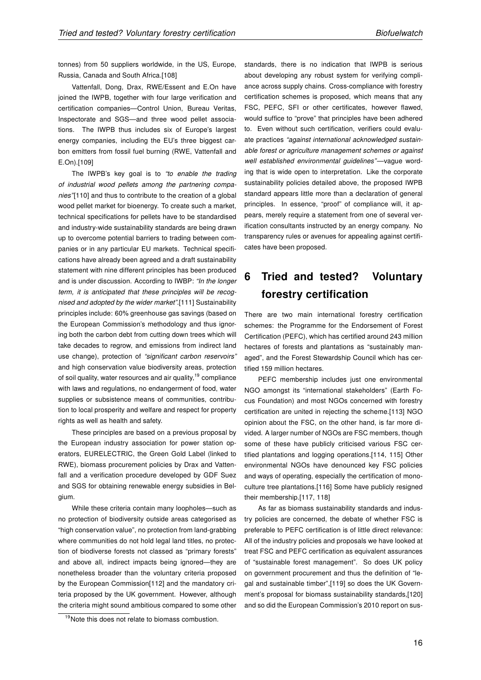tonnes) from 50 suppliers worldwide, in the US, Europe, Russia, Canada and South Africa.[108]

Vattenfall, Dong, Drax, RWE/Essent and E.On have joined the IWPB, together with four large verification and certification companies—Control Union, Bureau Veritas, Inspectorate and SGS—and three wood pellet associations. The IWPB thus includes six of Europe's largest energy companies, including the EU's three biggest carbon emitters from fossil fuel burning (RWE, Vattenfall and E.On).[109]

The IWPB's key goal is to "to enable the trading of industrial wood pellets among the partnering companies"[110] and thus to contribute to the creation of a global wood pellet market for bioenergy. To create such a market, technical specifications for pellets have to be standardised and industry-wide sustainability standards are being drawn up to overcome potential barriers to trading between companies or in any particular EU markets. Technical specifications have already been agreed and a draft sustainability statement with nine different principles has been produced and is under discussion. According to IWBP: "In the longer term, it is anticipated that these principles will be recognised and adopted by the wider market".[111] Sustainability principles include: 60% greenhouse gas savings (based on the European Commission's methodology and thus ignoring both the carbon debt from cutting down trees which will take decades to regrow, and emissions from indirect land use change), protection of "significant carbon reservoirs" and high conservation value biodiversity areas, protection of soil quality, water resources and air quality, <sup>19</sup> compliance with laws and regulations, no endangerment of food, water supplies or subsistence means of communities, contribution to local prosperity and welfare and respect for property rights as well as health and safety.

These principles are based on a previous proposal by the European industry association for power station operators, EURELECTRIC, the Green Gold Label (linked to RWE), biomass procurement policies by Drax and Vattenfall and a verification procedure developed by GDF Suez and SGS for obtaining renewable energy subsidies in Belgium.

While these criteria contain many loopholes—such as no protection of biodiversity outside areas categorised as "high conservation value", no protection from land-grabbing where communities do not hold legal land titles, no protection of biodiverse forests not classed as "primary forests" and above all, indirect impacts being ignored—they are nonetheless broader than the voluntary criteria proposed by the European Commission[112] and the mandatory criteria proposed by the UK government. However, although the criteria might sound ambitious compared to some other standards, there is no indication that IWPB is serious about developing any robust system for verifying compliance across supply chains. Cross-compliance with forestry certification schemes is proposed, which means that any FSC, PEFC, SFI or other certificates, however flawed, would suffice to "prove" that principles have been adhered to. Even without such certification, verifiers could evaluate practices "against international acknowledged sustainable forest or agriculture management schemes or against well established environmental guidelines"—vague wording that is wide open to interpretation. Like the corporate sustainability policies detailed above, the proposed IWPB standard appears little more than a declaration of general principles. In essence, "proof" of compliance will, it appears, merely require a statement from one of several verification consultants instructed by an energy company. No transparency rules or avenues for appealing against certificates have been proposed.

# 6 Tried and tested? Voluntary forestry certification

There are two main international forestry certification schemes: the Programme for the Endorsement of Forest Certification (PEFC), which has certified around 243 million hectares of forests and plantations as "sustainably managed", and the Forest Stewardship Council which has certified 159 million hectares.

PEFC membership includes just one environmental NGO amongst its "international stakeholders" (Earth Focus Foundation) and most NGOs concerned with forestry certification are united in rejecting the scheme.[113] NGO opinion about the FSC, on the other hand, is far more divided. A larger number of NGOs are FSC members, though some of these have publicly criticised various FSC certified plantations and logging operations.[114, 115] Other environmental NGOs have denounced key FSC policies and ways of operating, especially the certification of monoculture tree plantations.[116] Some have publicly resigned their membership.[117, 118]

As far as biomass sustainability standards and industry policies are concerned, the debate of whether FSC is preferable to PEFC certification is of little direct relevance: All of the industry policies and proposals we have looked at treat FSC and PEFC certification as equivalent assurances of "sustainable forest management". So does UK policy on government procurement and thus the definition of "legal and sustainable timber",[119] so does the UK Government's proposal for biomass sustainability standards,[120] and so did the European Commission's 2010 report on sus-

<sup>&</sup>lt;sup>19</sup>Note this does not relate to biomass combustion.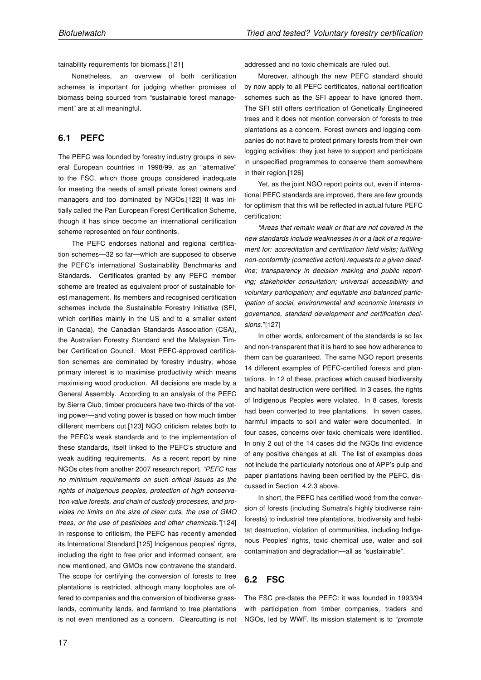tainability requirements for biomass.[121]

Nonetheless, an overview of both certification schemes is important for judging whether promises of biomass being sourced from "sustainable forest management" are at all meaningful.

#### 6.1 PEFC

The PEFC was founded by forestry industry groups in several European countries in 1998/99, as an "alternative" to the FSC, which those groups considered inadequate for meeting the needs of small private forest owners and managers and too dominated by NGOs.[122] It was initially called the Pan European Forest Certification Scheme, though it has since become an international certification scheme represented on four continents.

The PEFC endorses national and regional certification schemes—32 so far—which are supposed to observe the PEFC's international Sustainability Benchmarks and Standards. Certificates granted by any PEFC member scheme are treated as equivalent proof of sustainable forest management. Its members and recognised certification schemes include the Sustainable Forestry Initiative (SFI, which certifies mainly in the US and to a smaller extent in Canada), the Canadian Standards Association (CSA), the Australian Forestry Standard and the Malaysian Timber Certification Council. Most PEFC-approved certification schemes are dominated by forestry industry, whose primary interest is to maximise productivity which means maximising wood production. All decisions are made by a General Assembly. According to an analysis of the PEFC by Sierra Club, timber producers have two-thirds of the voting power—and voting power is based on how much timber different members cut.[123] NGO criticism relates both to the PEFC's weak standards and to the implementation of these standards, itself linked to the PEFC's structure and weak auditing requirements. As a recent report by nine NGOs cites from another 2007 research report, "PEFC has no minimum requirements on such critical issues as the rights of indigenous peoples, protection of high conservation value forests, and chain of custody processes, and provides no limits on the size of clear cuts, the use of GMO trees, or the use of pesticides and other chemicals."[124] In response to criticism, the PEFC has recently amended its International Standard.[125] Indigenous peoples' rights, including the right to free prior and informed consent, are now mentioned, and GMOs now contravene the standard. The scope for certifying the conversion of forests to tree plantations is restricted, although many loopholes are offered to companies and the conversion of biodiverse grasslands, community lands, and farmland to tree plantations is not even mentioned as a concern. Clearcutting is not

Moreover, although the new PEFC standard should by now apply to all PEFC certificates, national certification schemes such as the SFI appear to have ignored them. The SFI still offers certification of Genetically Engineered trees and it does not mention conversion of forests to tree plantations as a concern. Forest owners and logging companies do not have to protect primary forests from their own logging activities: they just have to support and participate in unspecified programmes to conserve them somewhere in their region.[126]

Yet, as the joint NGO report points out, even if international PEFC standards are improved, there are few grounds for optimism that this will be reflected in actual future PEFC certification:

"Areas that remain weak or that are not covered in the new standards include weaknesses in or a lack of a requirement for: accreditation and certification field visits; fulfilling non-conformity (corrective action) requests to a given deadline; transparency in decision making and public reporting; stakeholder consultation; universal accessibility and voluntary participation; and equitable and balanced participation of social, environmental and economic interests in governance, standard development and certification decisions."[127]

In other words, enforcement of the standards is so lax and non-transparent that it is hard to see how adherence to them can be guaranteed. The same NGO report presents 14 different examples of PEFC-certified forests and plantations. In 12 of these, practices which caused biodiversity and habitat destruction were certified. In 3 cases, the rights of Indigenous Peoples were violated. In 8 cases, forests had been converted to tree plantations. In seven cases, harmful impacts to soil and water were documented. In four cases, concerns over toxic chemicals were identified. In only 2 out of the 14 cases did the NGOs find evidence of any positive changes at all. The list of examples does not include the particularly notorious one of APP's pulp and paper plantations having been certified by the PEFC, discussed in Section 4.2.3 above.

In short, the PEFC has certified wood from the conversion of forests (including Sumatra's highly biodiverse rainforests) to industrial tree plantations, biodiversity and habitat destruction, violation of communities, including Indigenous Peoples' rights, toxic chemical use, water and soil contamination and degradation—all as "sustainable".

#### 6.2 FSC

The FSC pre-dates the PEFC: it was founded in 1993/94 with participation from timber companies, traders and NGOs, led by WWF. Its mission statement is to "promote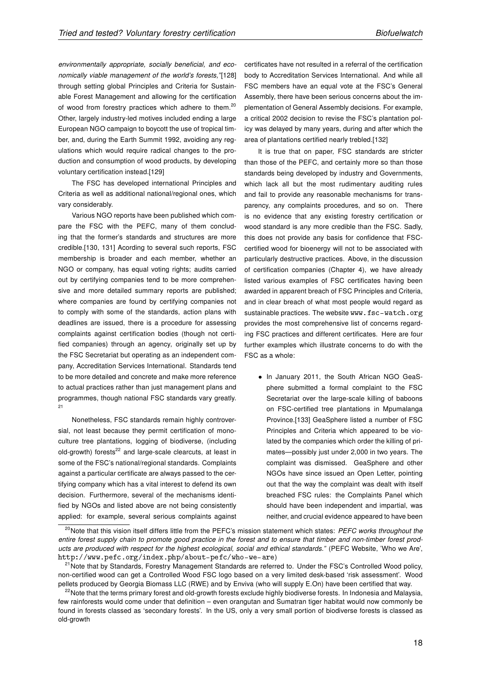environmentally appropriate, socially beneficial, and economically viable management of the world's forests,"[128] through setting global Principles and Criteria for Sustainable Forest Management and allowing for the certification of wood from forestry practices which adhere to them.<sup>20</sup> Other, largely industry-led motives included ending a large European NGO campaign to boycott the use of tropical timber, and, during the Earth Summit 1992, avoiding any regulations which would require radical changes to the production and consumption of wood products, by developing voluntary certification instead.[129]

The FSC has developed international Principles and Criteria as well as additional national/regional ones, which vary considerably.

Various NGO reports have been published which compare the FSC with the PEFC, many of them concluding that the former's standards and structures are more credible.[130, 131] Acording to several such reports, FSC membership is broader and each member, whether an NGO or company, has equal voting rights; audits carried out by certifying companies tend to be more comprehensive and more detailed summary reports are published; where companies are found by certifying companies not to comply with some of the standards, action plans with deadlines are issued, there is a procedure for assessing complaints against certification bodies (though not certified companies) through an agency, originally set up by the FSC Secretariat but operating as an independent company, Accreditation Services International. Standards tend to be more detailed and concrete and make more reference to actual practices rather than just management plans and programmes, though national FSC standards vary greatly. 21

Nonetheless, FSC standards remain highly controversial, not least because they permit certification of monoculture tree plantations, logging of biodiverse, (including old-growth) forests $^{22}$  and large-scale clearcuts, at least in some of the FSC's national/regional standards. Complaints against a particular certificate are always passed to the certifying company which has a vital interest to defend its own decision. Furthermore, several of the mechanisms identified by NGOs and listed above are not being consistently applied: for example, several serious complaints against certificates have not resulted in a referral of the certification body to Accreditation Services International. And while all FSC members have an equal vote at the FSC's General Assembly, there have been serious concerns about the implementation of General Assembly decisions. For example, a critical 2002 decision to revise the FSC's plantation policy was delayed by many years, during and after which the area of plantations certified nearly trebled.[132]

It is true that on paper, FSC standards are stricter than those of the PEFC, and certainly more so than those standards being developed by industry and Governments, which lack all but the most rudimentary auditing rules and fail to provide any reasonable mechanisms for transparency, any complaints procedures, and so on. There is no evidence that any existing forestry certification or wood standard is any more credible than the FSC. Sadly, this does not provide any basis for confidence that FSCcertified wood for bioenergy will not to be associated with particularly destructive practices. Above, in the discussion of certification companies (Chapter 4), we have already listed various examples of FSC certificates having been awarded in apparent breach of FSC Principles and Criteria, and in clear breach of what most people would regard as sustainable practices. The website www.fsc-watch.org provides the most comprehensive list of concerns regarding FSC practices and different certificates. Here are four further examples which illustrate concerns to do with the FSC as a whole:

• In January 2011, the South African NGO GeaSphere submitted a formal complaint to the FSC Secretariat over the large-scale killing of baboons on FSC-certified tree plantations in Mpumalanga Province.[133] GeaSphere listed a number of FSC Principles and Criteria which appeared to be violated by the companies which order the killing of primates—possibly just under 2,000 in two years. The complaint was dismissed. GeaSphere and other NGOs have since issued an Open Letter, pointing out that the way the complaint was dealt with itself breached FSC rules: the Complaints Panel which should have been independent and impartial, was neither, and crucial evidence appeared to have been

<sup>&</sup>lt;sup>20</sup>Note that this vision itself differs little from the PEFC's mission statement which states: PEFC works throughout the entire forest supply chain to promote good practice in the forest and to ensure that timber and non-timber forest products are produced with respect for the highest ecological, social and ethical standards." (PEFC Website, 'Who we Are', http://www.pefc.org/index.php/about-pefc/who-we-are)

<sup>&</sup>lt;sup>21</sup>Note that by Standards, Forestry Management Standards are referred to. Under the FSC's Controlled Wood policy, non-certified wood can get a Controlled Wood FSC logo based on a very limited desk-based 'risk assessment'. Wood pellets produced by Georgia Biomass LLC (RWE) and by Enviva (who will supply E.On) have been certified that way.

<sup>&</sup>lt;sup>22</sup>Note that the terms primary forest and old-growth forests exclude highly biodiverse forests. In Indonesia and Malaysia, few rainforests would come under that definition – even orangutan and Sumatran tiger habitat would now commonly be found in forests classed as 'secondary forests'. In the US, only a very small portion of biodiverse forests is classed as old-growth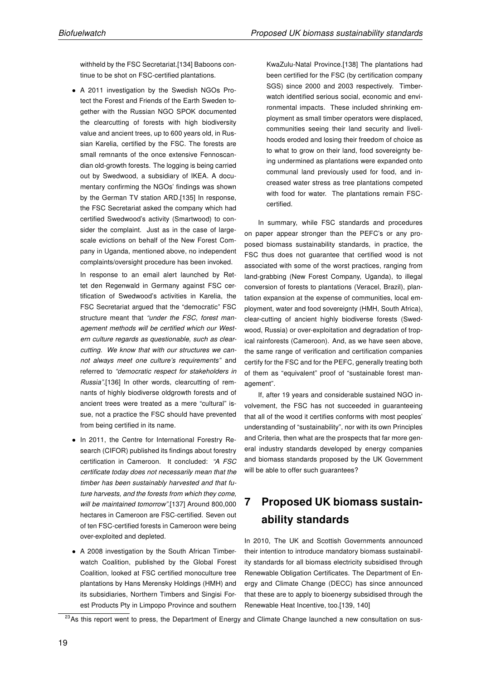withheld by the FSC Secretariat.[134] Baboons continue to be shot on FSC-certified plantations.

• A 2011 investigation by the Swedish NGOs Protect the Forest and Friends of the Earth Sweden together with the Russian NGO SPOK documented the clearcutting of forests with high biodiversity value and ancient trees, up to 600 years old, in Russian Karelia, certified by the FSC. The forests are small remnants of the once extensive Fennoscandian old-growth forests. The logging is being carried out by Swedwood, a subsidiary of IKEA. A documentary confirming the NGOs' findings was shown by the German TV station ARD.[135] In response, the FSC Secretariat asked the company which had certified Swedwood's activity (Smartwood) to consider the complaint. Just as in the case of largescale evictions on behalf of the New Forest Company in Uganda, mentioned above, no independent complaints/oversight procedure has been invoked.

In response to an email alert launched by Rettet den Regenwald in Germany against FSC certification of Swedwood's activities in Karelia, the FSC Secretariat argued that the "democratic" FSC structure meant that "under the FSC, forest management methods will be certified which our Western culture regards as questionable, such as clearcutting. We know that with our structures we cannot always meet one culture's requirements" and referred to "democratic respect for stakeholders in Russia".[136] In other words, clearcutting of remnants of highly biodiverse oldgrowth forests and of ancient trees were treated as a mere "cultural" issue, not a practice the FSC should have prevented from being certified in its name.

- In 2011, the Centre for International Forestry Research (CIFOR) published its findings about forestry certification in Cameroon. It concluded: "A FSC certificate today does not necessarily mean that the timber has been sustainably harvested and that future harvests, and the forests from which they come, will be maintained tomorrow".[137] Around 800,000 hectares in Cameroon are FSC-certified. Seven out of ten FSC-certified forests in Cameroon were being over-exploited and depleted.
- A 2008 investigation by the South African Timberwatch Coalition, published by the Global Forest Coalition, looked at FSC certified monoculture tree plantations by Hans Merensky Holdings (HMH) and its subsidiaries, Northern Timbers and Singisi Forest Products Pty in Limpopo Province and southern

KwaZulu-Natal Province.[138] The plantations had been certified for the FSC (by certification company SGS) since 2000 and 2003 respectively. Timberwatch identified serious social, economic and environmental impacts. These included shrinking employment as small timber operators were displaced, communities seeing their land security and livelihoods eroded and losing their freedom of choice as to what to grow on their land, food sovereignty being undermined as plantations were expanded onto communal land previously used for food, and increased water stress as tree plantations competed with food for water. The plantations remain FSCcertified.

In summary, while FSC standards and procedures on paper appear stronger than the PEFC's or any proposed biomass sustainability standards, in practice, the FSC thus does not guarantee that certified wood is not associated with some of the worst practices, ranging from land-grabbing (New Forest Company, Uganda), to illegal conversion of forests to plantations (Veracel, Brazil), plantation expansion at the expense of communities, local employment, water and food sovereignty (HMH, South Africa), clear-cutting of ancient highly biodiverse forests (Swedwood, Russia) or over-exploitation and degradation of tropical rainforests (Cameroon). And, as we have seen above, the same range of verification and certification companies certify for the FSC and for the PEFC, generally treating both of them as "equivalent" proof of "sustainable forest management".

If, after 19 years and considerable sustained NGO involvement, the FSC has not succeeded in guaranteeing that all of the wood it certifies conforms with most peoples' understanding of "sustainability", nor with its own Principles and Criteria, then what are the prospects that far more general industry standards developed by energy companies and biomass standards proposed by the UK Government will be able to offer such guarantees?

# 7 Proposed UK biomass sustainability standards

In 2010, The UK and Scottish Governments announced their intention to introduce mandatory biomass sustainability standards for all biomass electricity subsidised through Renewable Obligation Certificates. The Department of Energy and Climate Change (DECC) has since announced that these are to apply to bioenergy subsidised through the Renewable Heat Incentive, too.[139, 140]

<sup>&</sup>lt;sup>23</sup>As this report went to press, the Department of Energy and Climate Change launched a new consultation on sus-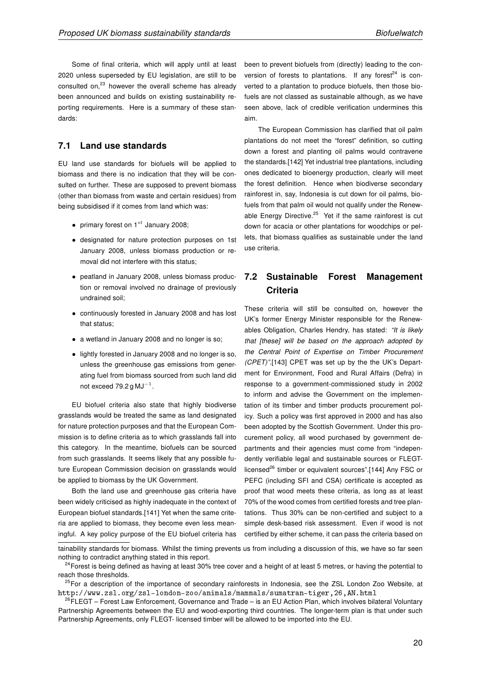Some of final criteria, which will apply until at least 2020 unless superseded by EU legislation, are still to be consulted on,<sup>23</sup> however the overall scheme has already been announced and builds on existing sustainability reporting requirements. Here is a summary of these standards:

#### 7.1 Land use standards

EU land use standards for biofuels will be applied to biomass and there is no indication that they will be consulted on further. These are supposed to prevent biomass (other than biomass from waste and certain residues) from being subsidised if it comes from land which was:

- primary forest on  $1^{st}$  January 2008;
- designated for nature protection purposes on 1st January 2008, unless biomass production or removal did not interfere with this status;
- peatland in January 2008, unless biomass production or removal involved no drainage of previously undrained soil;
- continuously forested in January 2008 and has lost that status;
- a wetland in January 2008 and no longer is so;
- lightly forested in January 2008 and no longer is so, unless the greenhouse gas emissions from generating fuel from biomass sourced from such land did not exceed 79.2 g MJ $^{-1}$ .

EU biofuel criteria also state that highly biodiverse grasslands would be treated the same as land designated for nature protection purposes and that the European Commission is to define criteria as to which grasslands fall into this category. In the meantime, biofuels can be sourced from such grasslands. It seems likely that any possible future European Commission decision on grasslands would be applied to biomass by the UK Government.

Both the land use and greenhouse gas criteria have been widely criticised as highly inadequate in the context of European biofuel standards.[141] Yet when the same criteria are applied to biomass, they become even less meaningful. A key policy purpose of the EU biofuel criteria has been to prevent biofuels from (directly) leading to the conversion of forests to plantations. If any forest<sup>24</sup> is converted to a plantation to produce biofuels, then those biofuels are not classed as sustainable although, as we have seen above, lack of credible verification undermines this aim.

The European Commission has clarified that oil palm plantations do not meet the "forest" definition, so cutting down a forest and planting oil palms would contravene the standards.[142] Yet industrial tree plantations, including ones dedicated to bioenergy production, clearly will meet the forest definition. Hence when biodiverse secondary rainforest in, say, Indonesia is cut down for oil palms, biofuels from that palm oil would not qualify under the Renewable Energy Directive.<sup>25</sup> Yet if the same rainforest is cut down for acacia or other plantations for woodchips or pellets, that biomass qualifies as sustainable under the land use criteria.

## 7.2 Sustainable Forest Management **Criteria**

These criteria will still be consulted on, however the UK's former Energy Minister responsible for the Renewables Obligation, Charles Hendry, has stated: "It is likely that [these] will be based on the approach adopted by the Central Point of Expertise on Timber Procurement (CPET)".[143] CPET was set up by the the UK's Department for Environment, Food and Rural Affairs (Defra) in response to a government-commissioned study in 2002 to inform and advise the Government on the implementation of its timber and timber products procurement policy. Such a policy was first approved in 2000 and has also been adopted by the Scottish Government. Under this procurement policy, all wood purchased by government departments and their agencies must come from "independently verifiable legal and sustainable sources or FLEGTlicensed<sup>26</sup> timber or equivalent sources".[144] Any FSC or PEFC (including SFI and CSA) certificate is accepted as proof that wood meets these criteria, as long as at least 70% of the wood comes from certified forests and tree plantations. Thus 30% can be non-certified and subject to a simple desk-based risk assessment. Even if wood is not certified by either scheme, it can pass the criteria based on

tainability standards for biomass. Whilst the timing prevents us from including a discussion of this, we have so far seen nothing to contradict anything stated in this report.

<sup>&</sup>lt;sup>24</sup> Forest is being defined as having at least 30% tree cover and a height of at least 5 metres, or having the potential to reach those thresholds.

<sup>&</sup>lt;sup>25</sup>For a description of the importance of secondary rainforests in Indonesia, see the ZSL London Zoo Website, at http://www.zsl.org/zsl-london-zoo/animals/mammals/sumatran-tiger,26,AN.html

 $26$ FLEGT – Forest Law Enforcement, Governance and Trade – is an EU Action Plan, which involves bilateral Voluntary Partnership Agreements between the EU and wood-exporting third countries. The longer-term plan is that under such Partnership Agreements, only FLEGT- licensed timber will be allowed to be imported into the EU.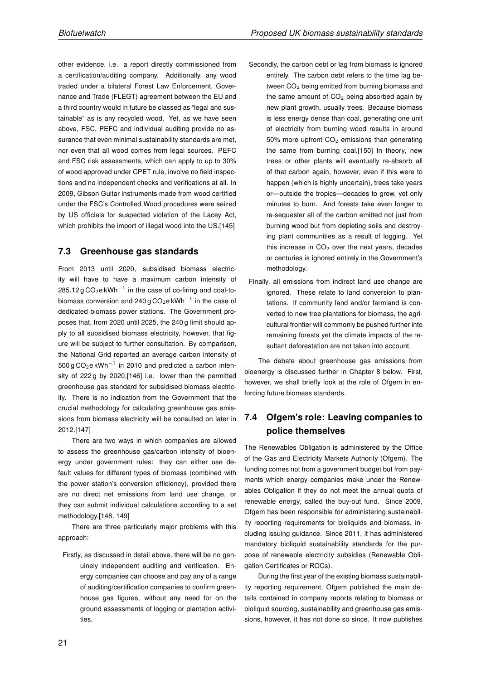other evidence, i.e. a report directly commissioned from a certification/auditing company. Additionally, any wood traded under a bilateral Forest Law Enforcement, Governance and Trade (FLEGT) agreement between the EU and a third country would in future be classed as "legal and sustainable" as is any recycled wood. Yet, as we have seen above, FSC, PEFC and individual auditing provide no assurance that even minimal sustainability standards are met, nor even that all wood comes from legal sources. PEFC and FSC risk assessments, which can apply to up to 30% of wood approved under CPET rule, involve no field inspections and no independent checks and verifications at all. In 2009, Gibson Guitar instruments made from wood certified under the FSC's Controlled Wood procedures were seized by US officials for suspected violation of the Lacey Act, which prohibits the import of illegal wood into the US.[145]

#### 7.3 Greenhouse gas standards

From 2013 until 2020, subsidised biomass electricity will have to have a maximum carbon intensity of 285.12 g CO<sub>2</sub>e kWh<sup>-1</sup> in the case of co-firing and coal-tobiomass conversion and 240 g CO $_2$ e kWh $^{-1}$  in the case of dedicated biomass power stations. The Government proposes that, from 2020 until 2025, the 240 g limit should apply to all subsidised biomass electricity, however, that figure will be subject to further consultation. By comparison, the National Grid reported an average carbon intensity of  $500 g$  CO<sub>2</sub>e kWh<sup>-1</sup> in 2010 and predicted a carbon intensity of 222 g by 2020,[146] i.e. lower than the permitted greenhouse gas standard for subsidised biomass electricity. There is no indication from the Government that the crucial methodology for calculating greenhouse gas emissions from biomass electricity will be consulted on later in 2012.[147]

There are two ways in which companies are allowed to assess the greenhouse gas/carbon intensity of bioenergy under government rules: they can either use default values for different types of biomass (combined with the power station's conversion efficiency), provided there are no direct net emissions from land use change, or they can submit individual calculations according to a set methodology.[148, 149]

There are three particularly major problems with this approach:

Firstly, as discussed in detail above, there will be no genuinely independent auditing and verification. Energy companies can choose and pay any of a range of auditing/certification companies to confirm greenhouse gas figures, without any need for on the ground assessments of logging or plantation activities.

- Secondly, the carbon debt or lag from biomass is ignored entirely. The carbon debt refers to the time lag between  $CO<sub>2</sub>$  being emitted from burning biomass and the same amount of  $CO<sub>2</sub>$  being absorbed again by new plant growth, usually trees. Because biomass is less energy dense than coal, generating one unit of electricity from burning wood results in around 50% more upfront  $CO<sub>2</sub>$  emissions than generating the same from burning coal.[150] In theory, new trees or other plants will eventually re-absorb all of that carbon again, however, even if this were to happen (which is highly uncertain), trees take years or—outside the tropics—decades to grow, yet only minutes to burn. And forests take even longer to re-sequester all of the carbon emitted not just from burning wood but from depleting soils and destroying plant communities as a result of logging. Yet this increase in  $CO<sub>2</sub>$  over the next years, decades or centuries is ignored entirely in the Government's methodology.
- Finally, all emissions from indirect land use change are ignored. These relate to land conversion to plantations. If community land and/or farmland is converted to new tree plantations for biomass, the agricultural frontier will commonly be pushed further into remaining forests yet the climate impacts of the resultant deforestation are not taken into account.

The debate about greenhouse gas emissions from bioenergy is discussed further in Chapter 8 below. First, however, we shall briefly look at the role of Ofgem in enforcing future biomass standards.

## 7.4 Ofgem's role: Leaving companies to police themselves

The Renewables Obligation is administered by the Office of the Gas and Electricity Markets Authority (Ofgem). The funding comes not from a government budget but from payments which energy companies make under the Renewables Obligation if they do not meet the annual quota of renewable energy, called the buy-out fund. Since 2009, Ofgem has been responsible for administering sustainability reporting requirements for bioliquids and biomass, including issuing guidance. Since 2011, it has administered mandatory bioliquid sustainability standards for the purpose of renewable electricity subsidies (Renewable Obligation Certificates or ROCs).

During the first year of the existing biomass sustainability reporting requirement, Ofgem published the main details contained in company reports relating to biomass or bioliquid sourcing, sustainability and greenhouse gas emissions, however, it has not done so since. It now publishes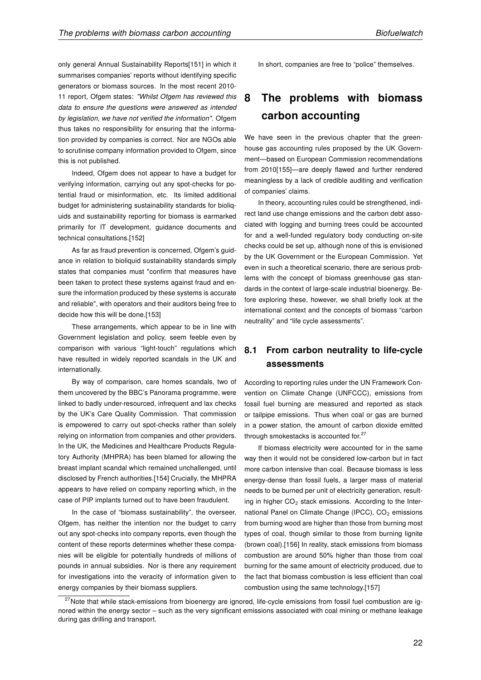only general Annual Sustainability Reports[151] in which it summarises companies' reports without identifying specific generators or biomass sources. In the most recent 2010- 11 report, Ofgem states: "Whilst Ofgem has reviewed this data to ensure the questions were answered as intended by legislation, we have not verified the information". Ofgem thus takes no responsibility for ensuring that the information provided by companies is correct. Nor are NGOs able to scrutinise company information provided to Ofgem, since this is not published.

Indeed, Ofgem does not appear to have a budget for verifying information, carrying out any spot-checks for potential fraud or misinformation, etc. Its limited additional budget for administering sustainability standards for bioliquids and sustainability reporting for biomass is earmarked primarily for IT development, guidance documents and technical consultations.[152]

As far as fraud prevention is concerned, Ofgem's guidance in relation to bioliquid sustainability standards simply states that companies must "confirm that measures have been taken to protect these systems against fraud and ensure the information produced by these systems is accurate and reliable", with operators and their auditors being free to decide how this will be done.[153]

These arrangements, which appear to be in line with Government legislation and policy, seem feeble even by comparison with various "light-touch" regulations which have resulted in widely reported scandals in the UK and internationally.

By way of comparison, care homes scandals, two of them uncovered by the BBC's Panorama programme, were linked to badly under-resourced, infrequent and lax checks by the UK's Care Quality Commission. That commission is empowered to carry out spot-checks rather than solely relying on information from companies and other providers. In the UK, the Medicines and Healthcare Products Regulatory Authority (MHPRA) has been blamed for allowing the breast implant scandal which remained unchallenged, until disclosed by French authorities.[154] Crucially, the MHPRA appears to have relied on company reporting which, in the case of PIP implants turned out to have been fraudulent.

In the case of "biomass sustainability", the overseer, Ofgem, has neither the intention nor the budget to carry out any spot-checks into company reports, even though the content of these reports determines whether these companies will be eligible for potentially hundreds of millions of pounds in annual subsidies. Nor is there any requirement for investigations into the veracity of information given to energy companies by their biomass suppliers.

In short, companies are free to "police" themselves.

## 8 The problems with biomass carbon accounting

We have seen in the previous chapter that the greenhouse gas accounting rules proposed by the UK Government—based on European Commission recommendations from 2010[155]—are deeply flawed and further rendered meaningless by a lack of credible auditing and verification of companies' claims.

In theory, accounting rules could be strengthened, indirect land use change emissions and the carbon debt associated with logging and burning trees could be accounted for and a well-funded regulatory body conducting on-site checks could be set up, although none of this is envisioned by the UK Government or the European Commission. Yet even in such a theoretical scenario, there are serious problems with the concept of biomass greenhouse gas standards in the context of large-scale industrial bioenergy. Before exploring these, however, we shall briefly look at the international context and the concepts of biomass "carbon neutrality" and "life cycle assessments".

### 8.1 From carbon neutrality to life-cycle assessments

According to reporting rules under the UN Framework Convention on Climate Change (UNFCCC), emissions from fossil fuel burning are measured and reported as stack or tailpipe emissions. Thus when coal or gas are burned in a power station, the amount of carbon dioxide emitted through smokestacks is accounted for.<sup>27</sup>

If biomass electricity were accounted for in the same way then it would not be considered low-carbon but in fact more carbon intensive than coal. Because biomass is less energy-dense than fossil fuels, a larger mass of material needs to be burned per unit of electricity generation, resulting in higher  $CO<sub>2</sub>$  stack emissions. According to the International Panel on Climate Change (IPCC), CO<sub>2</sub> emissions from burning wood are higher than those from burning most types of coal, though similar to those from burning lignite (brown coal).[156] In reality, stack emissions from biomass combustion are around 50% higher than those from coal burning for the same amount of electricity produced, due to the fact that biomass combustion is less efficient than coal combustion using the same technology.[157]

<sup>&</sup>lt;sup>27</sup>Note that while stack-emissions from bioenergy are ignored, life-cycle emissions from fossil fuel combustion are ignored within the energy sector – such as the very significant emissions associated with coal mining or methane leakage during gas drilling and transport.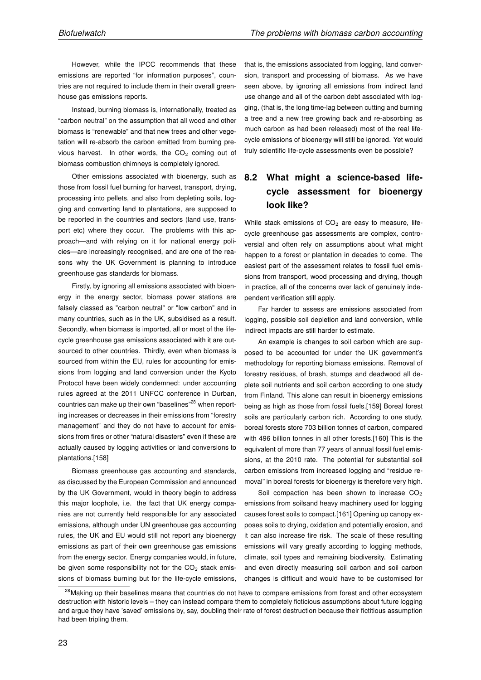However, while the IPCC recommends that these emissions are reported "for information purposes", countries are not required to include them in their overall greenhouse gas emissions reports.

Instead, burning biomass is, internationally, treated as "carbon neutral" on the assumption that all wood and other biomass is "renewable" and that new trees and other vegetation will re-absorb the carbon emitted from burning previous harvest. In other words, the  $CO<sub>2</sub>$  coming out of biomass combustion chimneys is completely ignored.

Other emissions associated with bioenergy, such as those from fossil fuel burning for harvest, transport, drying, processing into pellets, and also from depleting soils, logging and converting land to plantations, are supposed to be reported in the countries and sectors (land use, transport etc) where they occur. The problems with this approach—and with relying on it for national energy policies—are increasingly recognised, and are one of the reasons why the UK Government is planning to introduce greenhouse gas standards for biomass.

Firstly, by ignoring all emissions associated with bioenergy in the energy sector, biomass power stations are falsely classed as "carbon neutral" or "low carbon" and in many countries, such as in the UK, subsidised as a result. Secondly, when biomass is imported, all or most of the lifecycle greenhouse gas emissions associated with it are outsourced to other countries. Thirdly, even when biomass is sourced from within the EU, rules for accounting for emissions from logging and land conversion under the Kyoto Protocol have been widely condemned: under accounting rules agreed at the 2011 UNFCC conference in Durban, countries can make up their own "baselines"<sup>28</sup> when reporting increases or decreases in their emissions from "forestry management" and they do not have to account for emissions from fires or other "natural disasters" even if these are actually caused by logging activities or land conversions to plantations.[158]

Biomass greenhouse gas accounting and standards, as discussed by the European Commission and announced by the UK Government, would in theory begin to address this major loophole, i.e. the fact that UK energy companies are not currently held responsible for any associated emissions, although under UN greenhouse gas accounting rules, the UK and EU would still not report any bioenergy emissions as part of their own greenhouse gas emissions from the energy sector. Energy companies would, in future, be given some responsibility not for the  $CO<sub>2</sub>$  stack emissions of biomass burning but for the life-cycle emissions, that is, the emissions associated from logging, land conversion, transport and processing of biomass. As we have seen above, by ignoring all emissions from indirect land use change and all of the carbon debt associated with logging, (that is, the long time-lag between cutting and burning a tree and a new tree growing back and re-absorbing as much carbon as had been released) most of the real lifecycle emissions of bioenergy will still be ignored. Yet would truly scientific life-cycle assessments even be possible?

## 8.2 What might a science-based lifecycle assessment for bioenergy look like?

While stack emissions of  $CO<sub>2</sub>$  are easy to measure, lifecycle greenhouse gas assessments are complex, controversial and often rely on assumptions about what might happen to a forest or plantation in decades to come. The easiest part of the assessment relates to fossil fuel emissions from transport, wood processing and drying, though in practice, all of the concerns over lack of genuinely independent verification still apply.

Far harder to assess are emissions associated from logging, possible soil depletion and land conversion, while indirect impacts are still harder to estimate.

An example is changes to soil carbon which are supposed to be accounted for under the UK government's methodology for reporting biomass emissions. Removal of forestry residues, of brash, stumps and deadwood all deplete soil nutrients and soil carbon according to one study from Finland. This alone can result in bioenergy emissions being as high as those from fossil fuels.[159] Boreal forest soils are particularly carbon rich. According to one study, boreal forests store 703 billion tonnes of carbon, compared with 496 billion tonnes in all other forests.[160] This is the equivalent of more than 77 years of annual fossil fuel emissions, at the 2010 rate. The potential for substantial soil carbon emissions from increased logging and "residue removal" in boreal forests for bioenergy is therefore very high.

Soil compaction has been shown to increase  $CO<sub>2</sub>$ emissions from soilsand heavy machinery used for logging causes forest soils to compact.[161] Opening up canopy exposes soils to drying, oxidation and potentially erosion, and it can also increase fire risk. The scale of these resulting emissions will vary greatly according to logging methods, climate, soil types and remaining biodiversity. Estimating and even directly measuring soil carbon and soil carbon changes is difficult and would have to be customised for

<sup>&</sup>lt;sup>28</sup> Making up their baselines means that countries do not have to compare emissions from forest and other ecosystem destruction with historic levels – they can instead compare them to completely ficticious assumptions about future logging and argue they have 'saved' emissions by, say, doubling their rate of forest destruction because their fictitious assumption had been tripling them.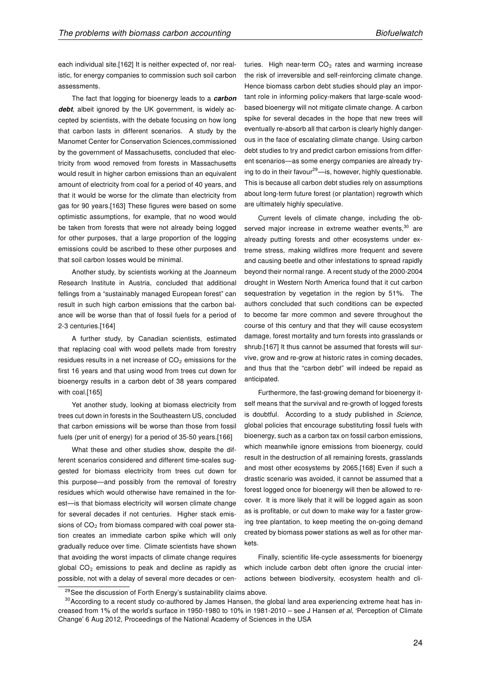each individual site.[162] It is neither expected of, nor realistic, for energy companies to commission such soil carbon assessments.

The fact that logging for bioenergy leads to a carbon debt, albeit ignored by the UK government, is widely accepted by scientists, with the debate focusing on how long that carbon lasts in different scenarios. A study by the Manomet Center for Conservation Sciences,commissioned by the government of Massachusetts, concluded that electricity from wood removed from forests in Massachusetts would result in higher carbon emissions than an equivalent amount of electricity from coal for a period of 40 years, and that it would be worse for the climate than electricity from gas for 90 years.[163] These figures were based on some optimistic assumptions, for example, that no wood would be taken from forests that were not already being logged for other purposes, that a large proportion of the logging emissions could be ascribed to these other purposes and that soil carbon losses would be minimal.

Another study, by scientists working at the Joanneum Research Institute in Austria, concluded that additional fellings from a "sustainably managed European forest" can result in such high carbon emissions that the carbon balance will be worse than that of fossil fuels for a period of 2-3 centuries.[164]

A further study, by Canadian scientists, estimated that replacing coal with wood pellets made from forestry residues results in a net increase of  $CO<sub>2</sub>$  emissions for the first 16 years and that using wood from trees cut down for bioenergy results in a carbon debt of 38 years compared with coal.[165]

Yet another study, looking at biomass electricity from trees cut down in forests in the Southeastern US, concluded that carbon emissions will be worse than those from fossil fuels (per unit of energy) for a period of 35-50 years.[166]

What these and other studies show, despite the different scenarios considered and different time-scales suggested for biomass electricity from trees cut down for this purpose—and possibly from the removal of forestry residues which would otherwise have remained in the forest—is that biomass electricity will worsen climate change for several decades if not centuries. Higher stack emissions of  $CO<sub>2</sub>$  from biomass compared with coal power station creates an immediate carbon spike which will only gradually reduce over time. Climate scientists have shown that avoiding the worst impacts of climate change requires global  $CO<sub>2</sub>$  emissions to peak and decline as rapidly as possible, not with a delay of several more decades or centuries. High near-term  $CO<sub>2</sub>$  rates and warming increase the risk of irreversible and self-reinforcing climate change. Hence biomass carbon debt studies should play an important role in informing policy-makers that large-scale woodbased bioenergy will not mitigate climate change. A carbon spike for several decades in the hope that new trees will eventually re-absorb all that carbon is clearly highly dangerous in the face of escalating climate change. Using carbon debt studies to try and predict carbon emissions from different scenarios—as some energy companies are already trying to do in their favour<sup>29</sup>—is, however, highly questionable. This is because all carbon debt studies rely on assumptions about long-term future forest (or plantation) regrowth which are ultimately highly speculative.

Current levels of climate change, including the observed major increase in extreme weather events,<sup>30</sup> are already putting forests and other ecosystems under extreme stress, making wildfires more frequent and severe and causing beetle and other infestations to spread rapidly beyond their normal range. A recent study of the 2000-2004 drought in Western North America found that it cut carbon sequestration by vegetation in the region by 51%. The authors concluded that such conditions can be expected to become far more common and severe throughout the course of this century and that they will cause ecosystem damage, forest mortality and turn forests into grasslands or shrub.[167] It thus cannot be assumed that forests will survive, grow and re-grow at historic rates in coming decades, and thus that the "carbon debt" will indeed be repaid as anticipated.

Furthermore, the fast-growing demand for bioenergy itself means that the survival and re-growth of logged forests is doubtful. According to a study published in Science, global policies that encourage substituting fossil fuels with bioenergy, such as a carbon tax on fossil carbon emissions, which meanwhile ignore emissions from bioenergy, could result in the destruction of all remaining forests, grasslands and most other ecosystems by 2065.[168] Even if such a drastic scenario was avoided, it cannot be assumed that a forest logged once for bioenergy will then be allowed to recover. It is more likely that it will be logged again as soon as is profitable, or cut down to make way for a faster growing tree plantation, to keep meeting the on-going demand created by biomass power stations as well as for other markets.

Finally, scientific life-cycle assessments for bioenergy which include carbon debt often ignore the crucial interactions between biodiversity, ecosystem health and cli-

<sup>&</sup>lt;sup>29</sup> See the discussion of Forth Energy's sustainability claims above.

 $30$  According to a recent study co-authored by James Hansen, the global land area experiencing extreme heat has increased from 1% of the world's surface in 1950-1980 to 10% in 1981-2010 – see J Hansen et al, 'Perception of Climate Change' 6 Aug 2012, Proceedings of the National Academy of Sciences in the USA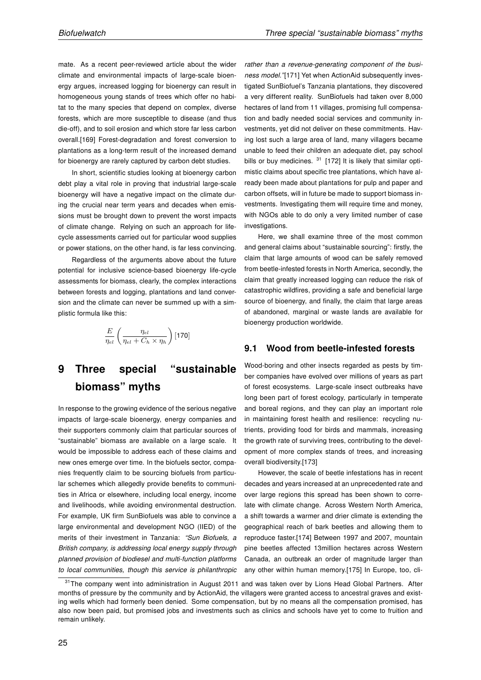mate. As a recent peer-reviewed article about the wider climate and environmental impacts of large-scale bioenergy argues, increased logging for bioenergy can result in homogeneous young stands of trees which offer no habitat to the many species that depend on complex, diverse forests, which are more susceptible to disease (and thus die-off), and to soil erosion and which store far less carbon overall.[169] Forest-degradation and forest conversion to plantations as a long-term result of the increased demand for bioenergy are rarely captured by carbon debt studies.

In short, scientific studies looking at bioenergy carbon debt play a vital role in proving that industrial large-scale bioenergy will have a negative impact on the climate during the crucial near term years and decades when emissions must be brought down to prevent the worst impacts of climate change. Relying on such an approach for lifecycle assessments carried out for particular wood supplies or power stations, on the other hand, is far less convincing.

Regardless of the arguments above about the future potential for inclusive science-based bioenergy life-cycle assessments for biomass, clearly, the complex interactions between forests and logging, plantations and land conversion and the climate can never be summed up with a simplistic formula like this:

$$
\frac{E}{\eta_{el}}\left(\frac{\eta_{el}}{\eta_{el} + C_h \times \eta_h}\right) [170]
$$

## 9 Three special "sustainable biomass" myths

In response to the growing evidence of the serious negative impacts of large-scale bioenergy, energy companies and their supporters commonly claim that particular sources of "sustainable" biomass are available on a large scale. It would be impossible to address each of these claims and new ones emerge over time. In the biofuels sector, companies frequently claim to be sourcing biofuels from particular schemes which allegedly provide benefits to communities in Africa or elsewhere, including local energy, income and livelihoods, while avoiding environmental destruction. For example, UK firm SunBiofuels was able to convince a large environmental and development NGO (IIED) of the merits of their investment in Tanzania: "Sun Biofuels, a British company, is addressing local energy supply through planned provision of biodiesel and multi-function platforms to local communities, though this service is philanthropic rather than a revenue-generating component of the business model."[171] Yet when ActionAid subsequently investigated SunBiofuel's Tanzania plantations, they discovered a very different reality. SunBiofuels had taken over 8,000 hectares of land from 11 villages, promising full compensation and badly needed social services and community investments, yet did not deliver on these commitments. Having lost such a large area of land, many villagers became unable to feed their children an adequate diet, pay school bills or buy medicines.  $31$  [172] It is likely that similar optimistic claims about specific tree plantations, which have already been made about plantations for pulp and paper and carbon offsets, will in future be made to support biomass investments. Investigating them will require time and money, with NGOs able to do only a very limited number of case investigations.

Here, we shall examine three of the most common and general claims about "sustainable sourcing": firstly, the claim that large amounts of wood can be safely removed from beetle-infested forests in North America, secondly, the claim that greatly increased logging can reduce the risk of catastrophic wildfires, providing a safe and beneficial large source of bioenergy, and finally, the claim that large areas of abandoned, marginal or waste lands are available for bioenergy production worldwide.

#### 9.1 Wood from beetle-infested forests

Wood-boring and other insects regarded as pests by timber companies have evolved over millions of years as part of forest ecosystems. Large-scale insect outbreaks have long been part of forest ecology, particularly in temperate and boreal regions, and they can play an important role in maintaining forest health and resilience: recycling nutrients, providing food for birds and mammals, increasing the growth rate of surviving trees, contributing to the development of more complex stands of trees, and increasing overall biodiversity.[173]

However, the scale of beetle infestations has in recent decades and years increased at an unprecedented rate and over large regions this spread has been shown to correlate with climate change. Across Western North America, a shift towards a warmer and drier climate is extending the geographical reach of bark beetles and allowing them to reproduce faster.[174] Between 1997 and 2007, mountain pine beetles affected 13million hectares across Western Canada, an outbreak an order of magnitude larger than any other within human memory.[175] In Europe, too, cli-

<sup>&</sup>lt;sup>31</sup>The company went into administration in August 2011 and was taken over by Lions Head Global Partners. After months of pressure by the community and by ActionAid, the villagers were granted access to ancestral graves and existing wells which had formerly been denied. Some compensation, but by no means all the compensation promised, has also now been paid, but promised jobs and investments such as clinics and schools have yet to come to fruition and remain unlikely.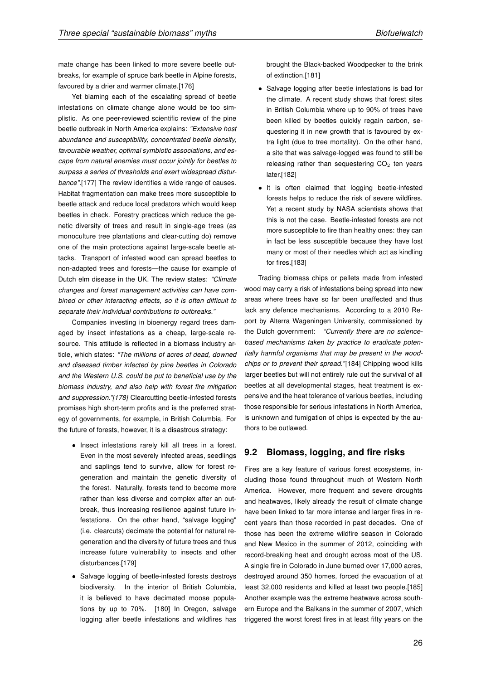mate change has been linked to more severe beetle outbreaks, for example of spruce bark beetle in Alpine forests, favoured by a drier and warmer climate.[176]

Yet blaming each of the escalating spread of beetle infestations on climate change alone would be too simplistic. As one peer-reviewed scientific review of the pine beetle outbreak in North America explains: "Extensive host abundance and susceptibility, concentrated beetle density, favourable weather, optimal symbiotic associations, and escape from natural enemies must occur jointly for beetles to surpass a series of thresholds and exert widespread disturbance".[177] The review identifies a wide range of causes. Habitat fragmentation can make trees more susceptible to beetle attack and reduce local predators which would keep beetles in check. Forestry practices which reduce the genetic diversity of trees and result in single-age trees (as monoculture tree plantations and clear-cutting do) remove one of the main protections against large-scale beetle attacks. Transport of infested wood can spread beetles to non-adapted trees and forests—the cause for example of Dutch elm disease in the UK. The review states: "Climate changes and forest management activities can have combined or other interacting effects, so it is often difficult to separate their individual contributions to outbreaks."

Companies investing in bioenergy regard trees damaged by insect infestations as a cheap, large-scale resource. This attitude is reflected in a biomass industry article, which states: "The millions of acres of dead, downed and diseased timber infected by pine beetles in Colorado and the Western U.S. could be put to beneficial use by the biomass industry, and also help with forest fire mitigation and suppression."[178] Clearcutting beetle-infested forests promises high short-term profits and is the preferred strategy of governments, for example, in British Columbia. For the future of forests, however, it is a disastrous strategy:

- Insect infestations rarely kill all trees in a forest. Even in the most severely infected areas, seedlings and saplings tend to survive, allow for forest regeneration and maintain the genetic diversity of the forest. Naturally, forests tend to become more rather than less diverse and complex after an outbreak, thus increasing resilience against future infestations. On the other hand, "salvage logging" (i.e. clearcuts) decimate the potential for natural regeneration and the diversity of future trees and thus increase future vulnerability to insects and other disturbances.[179]
- Salvage logging of beetle-infested forests destroys biodiversity. In the interior of British Columbia, it is believed to have decimated moose populations by up to 70%. [180] In Oregon, salvage logging after beetle infestations and wildfires has

brought the Black-backed Woodpecker to the brink of extinction.[181]

- Salvage logging after beetle infestations is bad for the climate. A recent study shows that forest sites in British Columbia where up to 90% of trees have been killed by beetles quickly regain carbon, sequestering it in new growth that is favoured by extra light (due to tree mortality). On the other hand, a site that was salvage-logged was found to still be releasing rather than sequestering  $CO<sub>2</sub>$  ten years later.[182]
- It is often claimed that logging beetle-infested forests helps to reduce the risk of severe wildfires. Yet a recent study by NASA scientists shows that this is not the case. Beetle-infested forests are not more susceptible to fire than healthy ones: they can in fact be less susceptible because they have lost many or most of their needles which act as kindling for fires.[183]

Trading biomass chips or pellets made from infested wood may carry a risk of infestations being spread into new areas where trees have so far been unaffected and thus lack any defence mechanisms. According to a 2010 Report by Alterra Wageningen University, commissioned by the Dutch government: "Currently there are no sciencebased mechanisms taken by practice to eradicate potentially harmful organisms that may be present in the woodchips or to prevent their spread."[184] Chipping wood kills larger beetles but will not entirely rule out the survival of all beetles at all developmental stages, heat treatment is expensive and the heat tolerance of various beetles, including those responsible for serious infestations in North America, is unknown and fumigation of chips is expected by the authors to be outlawed.

#### 9.2 Biomass, logging, and fire risks

Fires are a key feature of various forest ecosystems, including those found throughout much of Western North America. However, more frequent and severe droughts and heatwaves, likely already the result of climate change have been linked to far more intense and larger fires in recent years than those recorded in past decades. One of those has been the extreme wildfire season in Colorado and New Mexico in the summer of 2012, coinciding with record-breaking heat and drought across most of the US. A single fire in Colorado in June burned over 17,000 acres, destroyed around 350 homes, forced the evacuation of at least 32,000 residents and killed at least two people.[185] Another example was the extreme heatwave across southern Europe and the Balkans in the summer of 2007, which triggered the worst forest fires in at least fifty years on the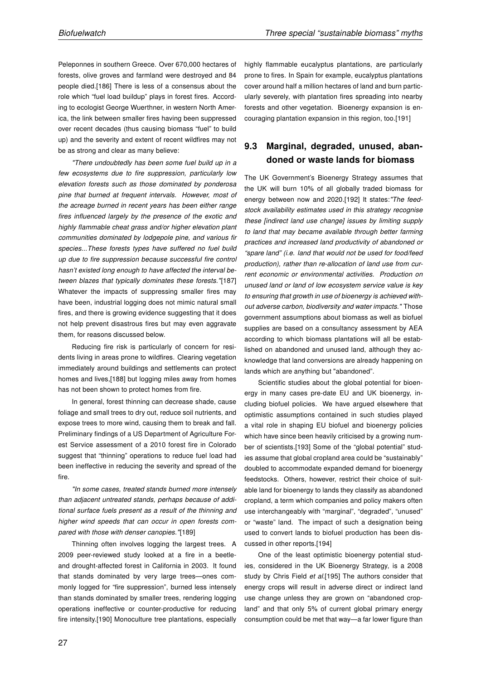Peleponnes in southern Greece. Over 670,000 hectares of forests, olive groves and farmland were destroyed and 84 people died.[186] There is less of a consensus about the role which "fuel load buildup" plays in forest fires. According to ecologist George Wuerthner, in western North America, the link between smaller fires having been suppressed over recent decades (thus causing biomass "fuel" to build up) and the severity and extent of recent wildfires may not be as strong and clear as many believe:

"There undoubtedly has been some fuel build up in a few ecosystems due to fire suppression, particularly low elevation forests such as those dominated by ponderosa pine that burned at frequent intervals. However, most of the acreage burned in recent years has been either range fires influenced largely by the presence of the exotic and highly flammable cheat grass and/or higher elevation plant communities dominated by lodgepole pine, and various fir species...These forests types have suffered no fuel build up due to fire suppression because successful fire control hasn't existed long enough to have affected the interval between blazes that typically dominates these forests."[187] Whatever the impacts of suppressing smaller fires may have been, industrial logging does not mimic natural small fires, and there is growing evidence suggesting that it does not help prevent disastrous fires but may even aggravate them, for reasons discussed below.

Reducing fire risk is particularly of concern for residents living in areas prone to wildfires. Clearing vegetation immediately around buildings and settlements can protect homes and lives,[188] but logging miles away from homes has not been shown to protect homes from fire.

In general, forest thinning can decrease shade, cause foliage and small trees to dry out, reduce soil nutrients, and expose trees to more wind, causing them to break and fall. Preliminary findings of a US Department of Agriculture Forest Service assessment of a 2010 forest fire in Colorado suggest that "thinning" operations to reduce fuel load had been ineffective in reducing the severity and spread of the fire.

"In some cases, treated stands burned more intensely than adjacent untreated stands, perhaps because of additional surface fuels present as a result of the thinning and higher wind speeds that can occur in open forests compared with those with denser canopies."[189]

Thinning often involves logging the largest trees. A 2009 peer-reviewed study looked at a fire in a beetleand drought-affected forest in California in 2003. It found that stands dominated by very large trees—ones commonly logged for "fire suppression", burned less intensely than stands dominated by smaller trees, rendering logging operations ineffective or counter-productive for reducing fire intensity.[190] Monoculture tree plantations, especially highly flammable eucalyptus plantations, are particularly prone to fires. In Spain for example, eucalyptus plantations cover around half a million hectares of land and burn particularly severely, with plantation fires spreading into nearby forests and other vegetation. Bioenergy expansion is encouraging plantation expansion in this region, too.[191]

### 9.3 Marginal, degraded, unused, abandoned or waste lands for biomass

The UK Government's Bioenergy Strategy assumes that the UK will burn 10% of all globally traded biomass for energy between now and 2020.[192] It states:"The feedstock availability estimates used in this strategy recognise these [indirect land use change] issues by limiting supply to land that may became available through better farming practices and increased land productivity of abandoned or "spare land" (i.e. land that would not be used for food/feed production), rather than re-allocation of land use from current economic or environmental activities. Production on unused land or land of low ecosystem service value is key to ensuring that growth in use of bioenergy is achieved without adverse carbon, biodiversity and water impacts." Those government assumptions about biomass as well as biofuel supplies are based on a consultancy assessment by AEA according to which biomass plantations will all be established on abandoned and unused land, although they acknowledge that land conversions are already happening on lands which are anything but "abandoned".

Scientific studies about the global potential for bioenergy in many cases pre-date EU and UK bioenergy, including biofuel policies. We have argued elsewhere that optimistic assumptions contained in such studies played a vital role in shaping EU biofuel and bioenergy policies which have since been heavily criticised by a growing number of scientists.[193] Some of the "global potential" studies assume that global cropland area could be "sustainably" doubled to accommodate expanded demand for bioenergy feedstocks. Others, however, restrict their choice of suitable land for bioenergy to lands they classify as abandoned cropland, a term which companies and policy makers often use interchangeably with "marginal", "degraded", "unused" or "waste" land. The impact of such a designation being used to convert lands to biofuel production has been discussed in other reports.[194]

One of the least optimistic bioenergy potential studies, considered in the UK Bioenergy Strategy, is a 2008 study by Chris Field et al.[195] The authors consider that energy crops will result in adverse direct or indirect land use change unless they are grown on "abandoned cropland" and that only 5% of current global primary energy consumption could be met that way—a far lower figure than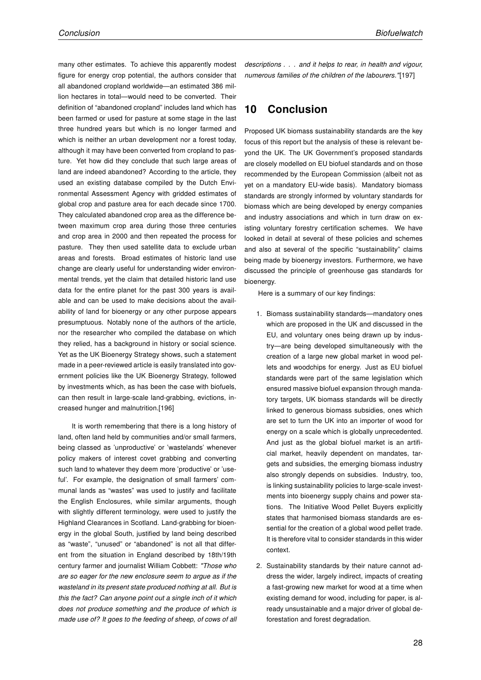many other estimates. To achieve this apparently modest figure for energy crop potential, the authors consider that all abandoned cropland worldwide—an estimated 386 million hectares in total—would need to be converted. Their definition of "abandoned cropland" includes land which has been farmed or used for pasture at some stage in the last three hundred years but which is no longer farmed and which is neither an urban development nor a forest today, although it may have been converted from cropland to pasture. Yet how did they conclude that such large areas of land are indeed abandoned? According to the article, they used an existing database compiled by the Dutch Environmental Assessment Agency with gridded estimates of global crop and pasture area for each decade since 1700. They calculated abandoned crop area as the difference between maximum crop area during those three centuries and crop area in 2000 and then repeated the process for pasture. They then used satellite data to exclude urban areas and forests. Broad estimates of historic land use change are clearly useful for understanding wider environmental trends, yet the claim that detailed historic land use data for the entire planet for the past 300 years is available and can be used to make decisions about the availability of land for bioenergy or any other purpose appears presumptuous. Notably none of the authors of the article, nor the researcher who compiled the database on which they relied, has a background in history or social science. Yet as the UK Bioenergy Strategy shows, such a statement made in a peer-reviewed article is easily translated into government policies like the UK Bioenergy Strategy, followed by investments which, as has been the case with biofuels, can then result in large-scale land-grabbing, evictions, increased hunger and malnutrition.[196]

It is worth remembering that there is a long history of land, often land held by communities and/or small farmers, being classed as 'unproductive' or 'wastelands' whenever policy makers of interest covet grabbing and converting such land to whatever they deem more 'productive' or 'useful'. For example, the designation of small farmers' communal lands as "wastes" was used to justify and facilitate the English Enclosures, while similar arguments, though with slightly different terminology, were used to justify the Highland Clearances in Scotland. Land-grabbing for bioenergy in the global South, justified by land being described as "waste", "unused" or "abandoned" is not all that different from the situation in England described by 18th/19th century farmer and journalist William Cobbett: "Those who are so eager for the new enclosure seem to argue as if the wasteland in its present state produced nothing at all. But is this the fact? Can anyone point out a single inch of it which does not produce something and the produce of which is made use of? It goes to the feeding of sheep, of cows of all descriptions . . . and it helps to rear, in health and vigour, numerous families of the children of the labourers."[197]

## 10 Conclusion

Proposed UK biomass sustainability standards are the key focus of this report but the analysis of these is relevant beyond the UK. The UK Government's proposed standards are closely modelled on EU biofuel standards and on those recommended by the European Commission (albeit not as yet on a mandatory EU-wide basis). Mandatory biomass standards are strongly informed by voluntary standards for biomass which are being developed by energy companies and industry associations and which in turn draw on existing voluntary forestry certification schemes. We have looked in detail at several of these policies and schemes and also at several of the specific "sustainability" claims being made by bioenergy investors. Furthermore, we have discussed the principle of greenhouse gas standards for bioenergy.

Here is a summary of our key findings:

- 1. Biomass sustainability standards—mandatory ones which are proposed in the UK and discussed in the EU, and voluntary ones being drawn up by industry—are being developed simultaneously with the creation of a large new global market in wood pellets and woodchips for energy. Just as EU biofuel standards were part of the same legislation which ensured massive biofuel expansion through mandatory targets, UK biomass standards will be directly linked to generous biomass subsidies, ones which are set to turn the UK into an importer of wood for energy on a scale which is globally unprecedented. And just as the global biofuel market is an artificial market, heavily dependent on mandates, targets and subsidies, the emerging biomass industry also strongly depends on subsidies. Industry, too, is linking sustainability policies to large-scale investments into bioenergy supply chains and power stations. The Initiative Wood Pellet Buyers explicitly states that harmonised biomass standards are essential for the creation of a global wood pellet trade. It is therefore vital to consider standards in this wider context.
- 2. Sustainability standards by their nature cannot address the wider, largely indirect, impacts of creating a fast-growing new market for wood at a time when existing demand for wood, including for paper, is already unsustainable and a major driver of global deforestation and forest degradation.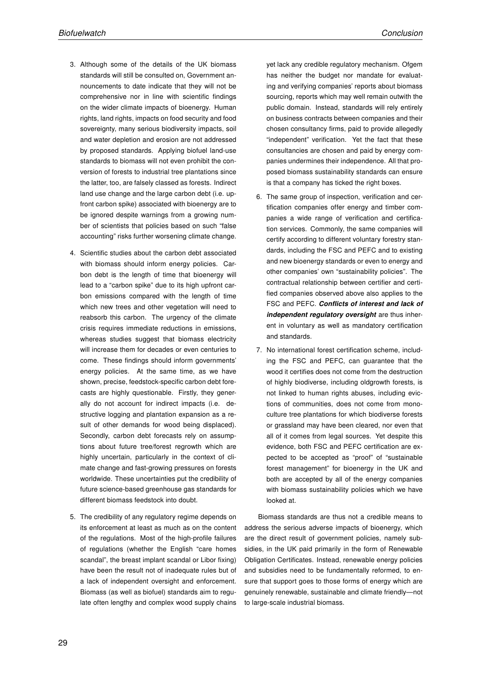- 3. Although some of the details of the UK biomass standards will still be consulted on, Government announcements to date indicate that they will not be comprehensive nor in line with scientific findings on the wider climate impacts of bioenergy. Human rights, land rights, impacts on food security and food sovereignty, many serious biodiversity impacts, soil and water depletion and erosion are not addressed by proposed standards. Applying biofuel land-use standards to biomass will not even prohibit the conversion of forests to industrial tree plantations since the latter, too, are falsely classed as forests. Indirect land use change and the large carbon debt (i.e. upfront carbon spike) associated with bioenergy are to be ignored despite warnings from a growing number of scientists that policies based on such "false accounting" risks further worsening climate change.
- 4. Scientific studies about the carbon debt associated with biomass should inform energy policies. Carbon debt is the length of time that bioenergy will lead to a "carbon spike" due to its high upfront carbon emissions compared with the length of time which new trees and other vegetation will need to reabsorb this carbon. The urgency of the climate crisis requires immediate reductions in emissions, whereas studies suggest that biomass electricity will increase them for decades or even centuries to come. These findings should inform governments' energy policies. At the same time, as we have shown, precise, feedstock-specific carbon debt forecasts are highly questionable. Firstly, they generally do not account for indirect impacts (i.e. destructive logging and plantation expansion as a result of other demands for wood being displaced). Secondly, carbon debt forecasts rely on assumptions about future tree/forest regrowth which are highly uncertain, particularly in the context of climate change and fast-growing pressures on forests worldwide. These uncertainties put the credibility of future science-based greenhouse gas standards for different biomass feedstock into doubt.
- 5. The credibility of any regulatory regime depends on its enforcement at least as much as on the content of the regulations. Most of the high-profile failures of regulations (whether the English "care homes scandal", the breast implant scandal or Libor fixing) have been the result not of inadequate rules but of a lack of independent oversight and enforcement. Biomass (as well as biofuel) standards aim to regulate often lengthy and complex wood supply chains

yet lack any credible regulatory mechanism. Ofgem has neither the budget nor mandate for evaluating and verifying companies' reports about biomass sourcing, reports which may well remain outwith the public domain. Instead, standards will rely entirely on business contracts between companies and their chosen consultancy firms, paid to provide allegedly "independent" verification. Yet the fact that these consultancies are chosen and paid by energy companies undermines their independence. All that proposed biomass sustainability standards can ensure is that a company has ticked the right boxes.

- 6. The same group of inspection, verification and certification companies offer energy and timber companies a wide range of verification and certification services. Commonly, the same companies will certify according to different voluntary forestry standards, including the FSC and PEFC and to existing and new bioenergy standards or even to energy and other companies' own "sustainability policies". The contractual relationship between certifier and certified companies observed above also applies to the FSC and PEFC. Conflicts of interest and lack of independent regulatory oversight are thus inherent in voluntary as well as mandatory certification and standards.
- 7. No international forest certification scheme, including the FSC and PEFC, can guarantee that the wood it certifies does not come from the destruction of highly biodiverse, including oldgrowth forests, is not linked to human rights abuses, including evictions of communities, does not come from monoculture tree plantations for which biodiverse forests or grassland may have been cleared, nor even that all of it comes from legal sources. Yet despite this evidence, both FSC and PEFC certification are expected to be accepted as "proof" of "sustainable forest management" for bioenergy in the UK and both are accepted by all of the energy companies with biomass sustainability policies which we have looked at.

Biomass standards are thus not a credible means to address the serious adverse impacts of bioenergy, which are the direct result of government policies, namely subsidies, in the UK paid primarily in the form of Renewable Obligation Certificates. Instead, renewable energy policies and subsidies need to be fundamentally reformed, to ensure that support goes to those forms of energy which are genuinely renewable, sustainable and climate friendly—not to large-scale industrial biomass.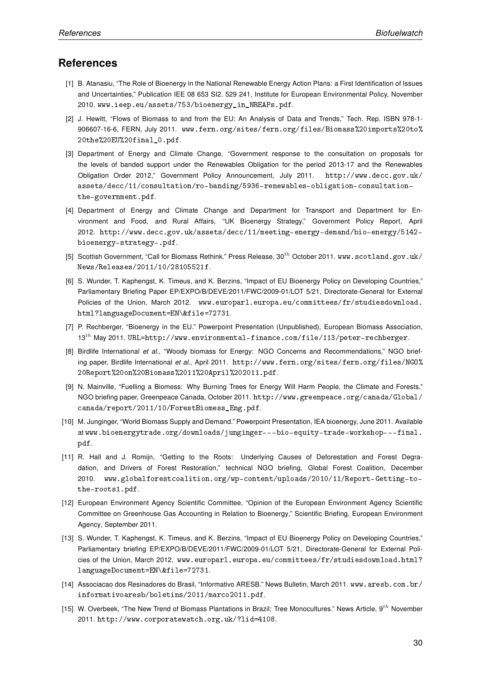### References

- [1] B. Atanasiu, "The Role of Bioenergy in the National Renewable Energy Action Plans: a First Identification of Issues and Uncertainties," Publication IEE 08 653 SI2. 529 241, Institute for European Environmental Policy, November 2010. www.ieep.eu/assets/753/bioenergy\_in\_NREAPs.pdf.
- [2] J. Hewitt, "Flows of Biomass to and from the EU: An Analysis of Data and Trends," Tech. Rep. ISBN 978-1- 906607-16-6, FERN, July 2011. www.fern.org/sites/fern.org/files/Biomass%20imports%20to% 20the%20EU%20final\_0.pdf.
- [3] Department of Energy and Climate Change, "Government response to the consultation on proposals for the levels of banded support under the Renewables Obligation for the period 2013-17 and the Renewables Obligation Order 2012," Government Policy Announcement, July 2011. http://www.decc.gov.uk/ assets/decc/11/consultation/ro-banding/5936-renewables-obligation-consultationthe-government.pdf.
- [4] Department of Energy and Climate Change and Department for Transport and Department for Environment and Food, and Rural Affairs, "UK Bioenergy Strategy," Government Policy Report, April 2012. http://www.decc.gov.uk/assets/decc/11/meeting-energy-demand/bio-energy/5142 bioenergy-strategy-.pdf.
- [5] Scottish Government, "Call for Biomass Rethink." Press Release, 30<sup>th</sup> October 2011. www.scotland.gov.uk/ News/Releases/2011/10/28105521f.
- [6] S. Wunder, T. Kaphengst, K. Timeus, and K. Berzins, "Impact of EU Bioenergy Policy on Developing Countries," Parliamentary Briefing Paper EP/EXPO/B/DEVE/2011/FWC/2009-01/LOT 5/21, Directorate-General for External Policies of the Union, March 2012. www.europarl.europa.eu/committees/fr/studiesdownload. html?languageDocument=EN\&file=72731.
- [7] P. Rechberger, "Bioenergy in the EU." Powerpoint Presentation (Unpublished), European Biomass Association, 13th May 2011. URL=http://www.environmental-finance.com/file/113/peter-rechberger.
- [8] Birdlife International et al., "Woody biomass for Energy: NGO Concerns and Recommendations," NGO briefing paper, Birdlife International et al., April 2011. http://www.fern.org/sites/fern.org/files/NGO% 20Report%20on%20Biomass%2011%20April%202011.pdf.
- [9] N. Mainville, "Fuelling a Biomess: Why Burning Trees for Energy Will Harm People, the Climate and Forests," NGO briefing paper, Greenpeace Canada, October 2011. http://www.greenpeace.org/canada/Global/ canada/report/2011/10/ForestBiomess\_Eng.pdf.
- [10] M. Junginger, "World Biomass Supply and Demand." Powerpoint Presentation, IEA bioenergy, June 2011. Available at www.bioenergytrade.org/downloads/junginger---bio-equity-trade-workshop---final. pdf.
- [11] R. Hall and J. Romijn, "Getting to the Roots: Underlying Causes of Deforestation and Forest Degradation, and Drivers of Forest Restoration," technical NGO briefing, Global Forest Coalition, December 2010. www.globalforestcoalition.org/wp-content/uploads/2010/11/Report-Getting-tothe-roots1.pdf.
- [12] European Environment Agency Scientific Committee, "Opinion of the European Environment Agency Scientific Committee on Greenhouse Gas Accounting in Relation to Bioenergy," Scientific Briefing, European Environment Agency, September 2011.
- [13] S. Wunder, T. Kaphengst, K. Timeus, and K. Berzins, "Impact of EU Bioenergy Policy on Developing Countries," Parliamentary briefing EP/EXPO/B/DEVE/2011/FWC/2009-01/LOT 5/21, Directorate-General for External Policies of the Union, March 2012. www.europarl.europa.eu/committees/fr/studiesdownload.html? languageDocument=EN\&file=72731.
- [14] Associacao dos Resinadores do Brasil, "Informativo ARESB." News Bulletin, March 2011. www.aresb.com.br/ informativoaresb/boletins/2011/marco2011.pdf.
- [15] W. Overbeek, "The New Trend of Biomass Plantations in Brazil: Tree Monocultures." News Article, 9<sup>th</sup> November 2011. http://www.corporatewatch.org.uk/?lid=4108.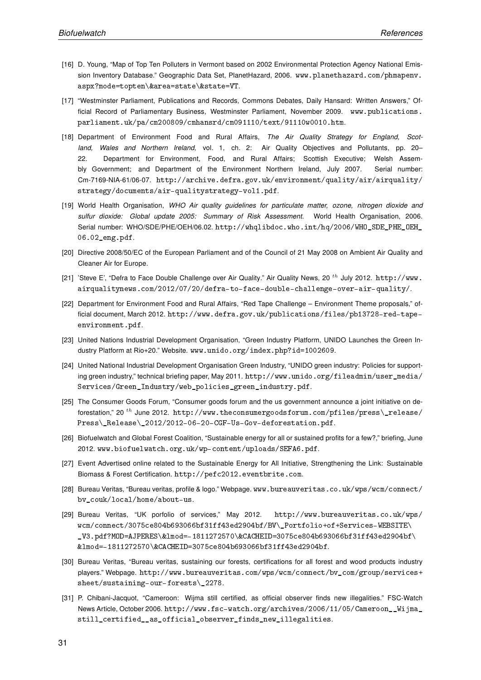- [16] D. Young, "Map of Top Ten Polluters in Vermont based on 2002 Environmental Protection Agency National Emission Inventory Database." Geographic Data Set, PlanetHazard, 2006. www.planethazard.com/phmapenv. aspx?mode=topten\&area=state\&state=VT.
- [17] "Westminster Parliament, Publications and Records, Commons Debates, Daily Hansard: Written Answers," Official Record of Parliamentary Business, Westminster Parliament, November 2009. www.publications. parliament.uk/pa/cm200809/cmhansrd/cm091110/text/91110w0010.htm.
- [18] Department of Environment Food and Rural Affairs, The Air Quality Strategy for England, Scotland, Wales and Northern Ireland, vol. 1, ch. 2: Air Quality Objectives and Pollutants, pp. 20– 22. Department for Environment, Food, and Rural Affairs; Scottish Executive; Welsh Assembly Government; and Department of the Environment Northern Ireland, July 2007. Serial number: Cm-7169-NIA-61/06-07. http://archive.defra.gov.uk/environment/quality/air/airquality/ strategy/documents/air-qualitystrategy-vol1.pdf.
- [19] World Health Organisation, WHO Air quality guidelines for particulate matter, ozone, nitrogen dioxide and sulfur dioxide: Global update 2005: Summary of Risk Assessment. World Health Organisation, 2006. Serial number: WHO/SDE/PHE/OEH/06.02. http://whqlibdoc.who.int/hq/2006/WHO\_SDE\_PHE\_OEH\_ 06.02\_eng.pdf.
- [20] Directive 2008/50/EC of the European Parliament and of the Council of 21 May 2008 on Ambient Air Quality and Cleaner Air for Europe.
- [21] 'Steve E', "Defra to Face Double Challenge over Air Quality." Air Quality News, 20<sup>th</sup> July 2012. http://www. airqualitynews.com/2012/07/20/defra-to-face-double-challenge-over-air-quality/.
- [22] Department for Environment Food and Rural Affairs, "Red Tape Challenge Environment Theme proposals," official document, March 2012. http://www.defra.gov.uk/publications/files/pb13728-red-tapeenvironment.pdf.
- [23] United Nations Industrial Development Organisation, "Green Industry Platform, UNIDO Launches the Green Industry Platform at Rio+20." Website. www.unido.org/index.php?id=1002609.
- [24] United National Industrial Development Organisation Green Industry, "UNIDO green industry: Policies for supporting green industry," technical briefing paper, May 2011. http://www.unido.org/fileadmin/user\_media/ Services/Green\_Industry/web\_policies\_green\_industry.pdf.
- [25] The Consumer Goods Forum, "Consumer goods forum and the us government announce a joint initiative on deforestation," 20 <sup>th</sup> June 2012. http://www.theconsumergoodsforum.com/pfiles/press\release/ Press\\_Release\\_2012/2012-06-20-CGF-Us-Gov-deforestation.pdf.
- [26] Biofuelwatch and Global Forest Coalition, "Sustainable energy for all or sustained profits for a few?," briefing, June 2012. www.biofuelwatch.org.uk/wp-content/uploads/SEFA6.pdf.
- [27] Event Advertised online related to the Sustainable Energy for All Initiative, Strengthening the Link: Sustainable Biomass & Forest Certification. http://pefc2012.eventbrite.com.
- [28] Bureau Veritas, "Bureau veritas, profile & logo." Webpage. www.bureauveritas.co.uk/wps/wcm/connect/ bv\_couk/local/home/about-us.
- [29] Bureau Veritas, "UK porfolio of services," May 2012. http://www.bureauveritas.co.uk/wps/ wcm/connect/3075ce804b693066bf31ff43ed2904bf/BV\\_Portfolio+of+Services-WEBSITE\ \_V3.pdf?MOD=AJPERES\&lmod=-1811272570\&CACHEID=3075ce804b693066bf31ff43ed2904bf\ &lmod=-1811272570\&CACHEID=3075ce804b693066bf31ff43ed2904bf.
- [30] Bureau Veritas, "Bureau veritas, sustaining our forests, certifications for all forest and wood products industry players." Webpage. http://www.bureauveritas.com/wps/wcm/connect/bv\_com/group/services+ sheet/sustaining-our-forests\\_2278.
- [31] P. Chibani-Jacquot, "Cameroon: Wijma still certified, as official observer finds new illegalities." FSC-Watch News Article, October 2006. http://www.fsc-watch.org/archives/2006/11/05/Cameroon\_\_Wijma\_ still\_certified\_\_as\_official\_observer\_finds\_new\_illegalities.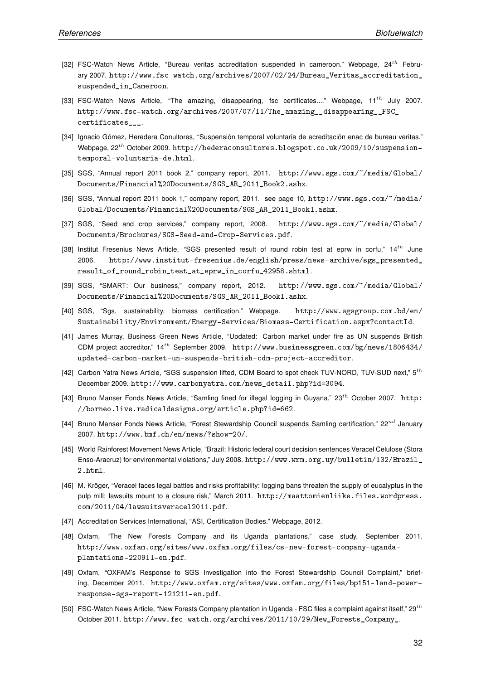- [32] FSC-Watch News Article, "Bureau veritas accreditation suspended in cameroon." Webpage,  $24^{th}$  February 2007. http://www.fsc-watch.org/archives/2007/02/24/Bureau\_Veritas\_accreditation\_ suspended in Cameroon.
- [33] FSC-Watch News Article, "The amazing, disappearing, fsc certificates...." Webpage, 11<sup>th</sup> July 2007. http://www.fsc-watch.org/archives/2007/07/11/The\_amazing\_\_disappearing\_\_FSC\_ certificates\_\_\_.
- [34] Ignacio Gómez, Heredera Conultores, "Suspensión temporal voluntaria de acreditación enac de bureau veritas." Webpage,  $22^{th}$  October 2009. http://hederaconsultores.blogspot.co.uk/2009/10/suspensiontemporal-voluntaria-de.html.
- [35] SGS, "Annual report 2011 book 2," company report, 2011. http://www.sgs.com/~/media/Global/ Documents/Financial%20Documents/SGS\_AR\_2011\_Book2.ashx.
- [36] SGS, "Annual report 2011 book 1," company report, 2011. see page 10, http://www.sgs.com/~/media/ Global/Documents/Financial%20Documents/SGS\_AR\_2011\_Book1.ashx.
- [37] SGS, "Seed and crop services," company report, 2008. http://www.sgs.com/~/media/Global/ Documents/Brochures/SGS-Seed-and-Crop-Services.pdf.
- [38] Institut Fresenius News Article, "SGS presented result of round robin test at eprw in corfu," 14<sup>th</sup> June 2006. http://www.institut-fresenius.de/english/press/news-archive/sgs\_presented\_ result\_of\_round\_robin\_test\_at\_eprw\_in\_corfu\_42958.shtml.
- [39] SGS, "SMART: Our business," company report, 2012. http://www.sgs.com/~/media/Global/ Documents/Financial%20Documents/SGS\_AR\_2011\_Book1.ashx.
- [40] SGS, "Sgs, sustainability, biomass certification." Webpage. http://www.sgsgroup.com.bd/en/ Sustainability/Environment/Energy-Services/Biomass-Certification.aspx?contactId.
- [41] James Murray, Business Green News Article, "Updated: Carbon market under fire as UN suspends British CDM project accreditor," 14th September 2009. http://www.businessgreen.com/bg/news/1806434/ updated-carbon-market-un-suspends-british-cdm-project-accreditor.
- [42] Carbon Yatra News Article, "SGS suspension lifted, CDM Board to spot check TUV-NORD, TUV-SUD next," 5<sup>th</sup> December 2009. http://www.carbonyatra.com/news\_detail.php?id=3094.
- [43] Bruno Manser Fonds News Article, "Samling fined for illegal logging in Guyana,"  $23^{th}$  October 2007. http: //borneo.live.radicaldesigns.org/article.php?id=662.
- [44] Bruno Manser Fonds News Article, "Forest Stewardship Council suspends Samling certification,"  $22^{nd}$  January 2007. http://www.bmf.ch/en/news/?show=20/.
- [45] World Rainforest Movement News Article, "Brazil: Historic federal court decision sentences Veracel Celulose (Stora Enso-Aracruz) for environmental violations," July 2008. http://www.wrm.org.uy/bulletin/132/Brazil\_ 2.html.
- [46] M. Kröger, "Veracel faces legal battles and risks profitability: logging bans threaten the supply of eucalyptus in the pulp mill; lawsuits mount to a closure risk," March 2011. http://maattomienliike.files.wordpress. com/2011/04/lawsuitsveracel2011.pdf.
- [47] Accreditation Services International, "ASI, Certification Bodies." Webpage, 2012.
- [48] Oxfam, "The New Forests Company and its Uganda plantations," case study, September 2011. http://www.oxfam.org/sites/www.oxfam.org/files/cs-new-forest-company-ugandaplantations-220911-en.pdf.
- [49] Oxfam, "OXFAM's Response to SGS Investigation into the Forest Stewardship Council Complaint," briefing, December 2011. http://www.oxfam.org/sites/www.oxfam.org/files/bp151-land-powerresponse-sgs-report-121211-en.pdf.
- [50] FSC-Watch News Article, "New Forests Company plantation in Uganda FSC files a complaint against itself,"  $29^{th}$ October 2011. http://www.fsc-watch.org/archives/2011/10/29/New\_Forests\_Company\_.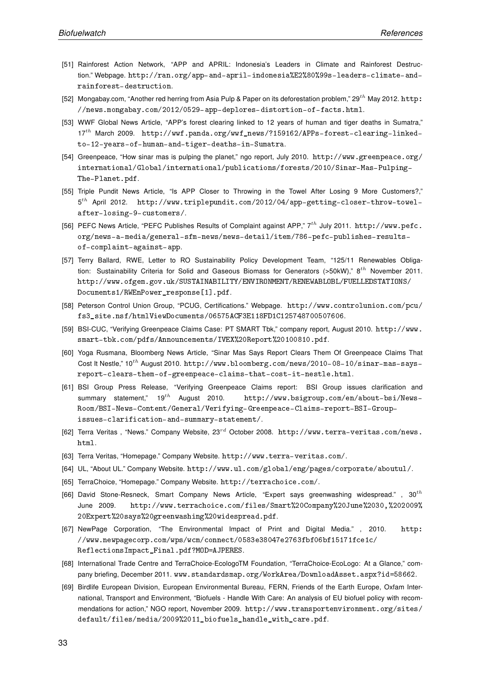- [51] Rainforest Action Network, "APP and APRIL: Indonesia's Leaders in Climate and Rainforest Destruction." Webpage. http://ran.org/app-and-april-indonesia%E2%80%99s-leaders-climate-andrainforest-destruction.
- [52] Mongabay.com, "Another red herring from Asia Pulp & Paper on its deforestation problem,"  $29^{th}$  May 2012. http: //news.mongabay.com/2012/0529-app-deplores-distortion-of-facts.html.
- [53] WWF Global News Article, "APP's forest clearing linked to 12 years of human and tiger deaths in Sumatra," 17th March 2009. http://wwf.panda.org/wwf\_news/?159162/APPs-forest-clearing-linkedto-12-years-of-human-and-tiger-deaths-in-Sumatra.
- [54] Greenpeace, "How sinar mas is pulping the planet," ngo report, July 2010. http://www.greenpeace.org/ international/Global/international/publications/forests/2010/Sinar-Mas-Pulping-The-Planet.pdf.
- [55] Triple Pundit News Article, "Is APP Closer to Throwing in the Towel After Losing 9 More Customers?," 5 th April 2012. http://www.triplepundit.com/2012/04/app-getting-closer-throw-towelafter-losing-9-customers/.
- [56] PEFC News Article, "PEFC Publishes Results of Complaint against APP," 7<sup>th</sup> July 2011. http://www.pefc. org/news-a-media/general-sfm-news/news-detail/item/786-pefc-publishes-resultsof-complaint-against-app.
- [57] Terry Ballard, RWE, Letter to RO Sustainability Policy Development Team, "125/11 Renewables Obligation: Sustainability Criteria for Solid and Gaseous Biomass for Generators (>50kW),"  $8^{th}$  November 2011. http://www.ofgem.gov.uk/SUSTAINABILITY/ENVIRONMENT/RENEWABLOBL/FUELLEDSTATIONS/ Documents1/RWEnPower\_response[1].pdf.
- [58] Peterson Control Union Group, "PCUG, Certifications." Webpage. http://www.controlunion.com/pcu/ fs3\_site.nsf/htmlViewDocuments/06575ACF3E118FD1C125748700507606.
- [59] BSI-CUC, "Verifying Greenpeace Claims Case: PT SMART Tbk," company report, August 2010. http://www. smart-tbk.com/pdfs/Announcements/IVEX%20Report%20100810.pdf.
- [60] Yoga Rusmana, Bloomberg News Article, "Sinar Mas Says Report Clears Them Of Greenpeace Claims That Cost It Nestle,"  $10^{th}$  August 2010. http://www.bloomberg.com/news/2010-08-10/sinar-mas-saysreport-clears-them-of-greenpeace-claims-that-cost-it-nestle.html.
- [61] BSI Group Press Release, "Verifying Greenpeace Claims report: BSI Group issues clarification and summary statement,"  $19^{th}$  August 2010. http://www.bsigroup.com/en/about-bsi/News-Room/BSI-News-Content/General/Verifying-Greenpeace-Claims-report-BSI-Groupissues-clarification-and-summary-statement/.
- [62] Terra Veritas, "News." Company Website, 23<sup>rd</sup> October 2008. http://www.terra-veritas.com/news. html.
- [63] Terra Veritas, "Homepage." Company Website. http://www.terra-veritas.com/.
- [64] UL, "About UL." Company Website. http://www.ul.com/global/eng/pages/corporate/aboutul/.
- [65] TerraChoice, "Homepage." Company Website. http://terrachoice.com/.
- [66] David Stone-Resneck, Smart Company News Article, "Expert says greenwashing widespread.", 30<sup>th</sup> June 2009. http://www.terrachoice.com/files/Smart%20Company%20June%2030,%202009% 20Expert%20says%20greenwashing%20widespread.pdf.
- [67] NewPage Corporation, "The Environmental Impact of Print and Digital Media." , 2010. http: //www.newpagecorp.com/wps/wcm/connect/0583e38047e2763fbf06bf15171fce1c/ ReflectionsImpact\_Final.pdf?MOD=AJPERES.
- [68] International Trade Centre and TerraChoice-EcologoTM Foundation, "TerraChoice-EcoLogo: At a Glance," company briefing, December 2011. www.standardsmap.org/WorkArea/DownloadAsset.aspx?id=58662.
- [69] Birdlife European Division, European Environmental Bureau, FERN, Friends of the Earth Europe, Oxfam International, Transport and Environment, "Biofuels - Handle With Care: An analysis of EU biofuel policy with recommendations for action," NGO report, November 2009. http://www.transportenvironment.org/sites/ default/files/media/2009%2011\_biofuels\_handle\_with\_care.pdf.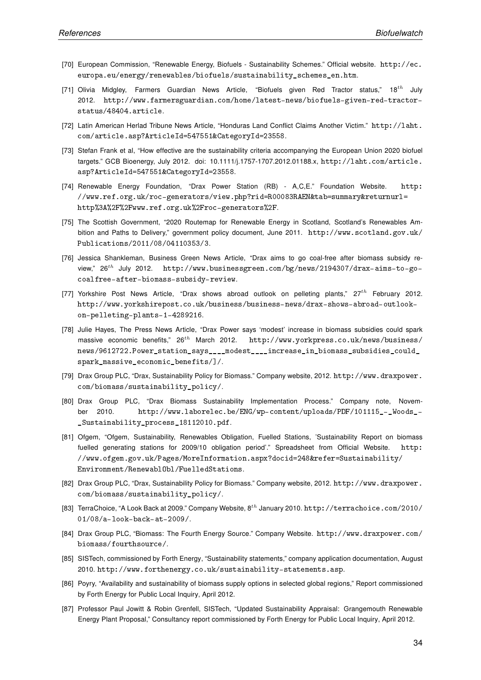- [70] European Commission, "Renewable Energy, Biofuels Sustainability Schemes." Official website. http://ec. europa.eu/energy/renewables/biofuels/sustainability\_schemes\_en.htm.
- [71] Olivia Midgley, Farmers Guardian News Article, "Biofuels given Red Tractor status," 18<sup>th</sup> July 2012. http://www.farmersguardian.com/home/latest-news/biofuels-given-red-tractorstatus/48404.article.
- [72] Latin American Herlad Tribune News Article, "Honduras Land Conflict Claims Another Victim." http://laht. com/article.asp?ArticleId=547551&CategoryId=23558.
- [73] Stefan Frank et al, "How effective are the sustainability criteria accompanying the European Union 2020 biofuel targets." GCB Bioenergy, July 2012. doi: 10.1111/j.1757-1707.2012.01188.x, http://laht.com/article. asp?ArticleId=547551&CategoryId=23558.
- [74] Renewable Energy Foundation, "Drax Power Station (RB) A,C,E." Foundation Website. http: //www.ref.org.uk/roc-generators/view.php?rid=R00083RAEN&tab=summary&returnurl= http%3A%2F%2Fwww.ref.org.uk%2Froc-generators%2F.
- [75] The Scottish Government, "2020 Routemap for Renewable Energy in Scotland, Scotland's Renewables Ambition and Paths to Delivery," government policy document, June 2011. http://www.scotland.gov.uk/ Publications/2011/08/04110353/3.
- [76] Jessica Shankleman, Business Green News Article, "Drax aims to go coal-free after biomass subsidy review," 26th July 2012. http://www.businessgreen.com/bg/news/2194307/drax-aims-to-gocoalfree-after-biomass-subsidy-review.
- [77] Yorkshire Post News Article, "Drax shows abroad outlook on pelleting plants,"  $27^{th}$  February 2012. http://www.yorkshirepost.co.uk/business/business-news/drax-shows-abroad-outlookon-pelleting-plants-1-4289216.
- [78] Julie Hayes, The Press News Article, "Drax Power says 'modest' increase in biomass subsidies could spark massive economic benefits,"  $26^{th}$  March 2012. http://www.yorkpress.co.uk/news/business/ news/9612722.Power\_station\_says\_\_\_\_modest\_\_\_\_increase\_in\_biomass\_subsidies\_could\_ spark\_massive\_economic\_benefits/]/.
- [79] Drax Group PLC, "Drax, Sustainability Policy for Biomass." Company website, 2012. http://www.draxpower. com/biomass/sustainability\_policy/.
- [80] Drax Group PLC, "Drax Biomass Sustainability Implementation Process." Company note, November 2010. http://www.laborelec.be/ENG/wp-content/uploads/PDF/101115\_-\_Woods\_- \_Sustainability\_process\_18112010.pdf.
- [81] Ofgem, "Ofgem, Sustainability, Renewables Obligation, Fuelled Stations, 'Sustainability Report on biomass fuelled generating stations for 2009/10 obligation period'." Spreadsheet from Official Website. http: //www.ofgem.gov.uk/Pages/MoreInformation.aspx?docid=248&refer=Sustainability/ Environment/RenewablObl/FuelledStations.
- [82] Drax Group PLC, "Drax, Sustainability Policy for Biomass." Company website, 2012. http://www.draxpower. com/biomass/sustainability\_policy/.
- [83] TerraChoice, "A Look Back at 2009." Company Website, 8<sup>th</sup> January 2010. http://terrachoice.com/2010/ 01/08/a-look-back-at-2009/.
- [84] Drax Group PLC, "Biomass: The Fourth Energy Source." Company Website. http://www.draxpower.com/ biomass/fourthsource/.
- [85] SISTech, commissioned by Forth Energy, "Sustainability statements," company application documentation, August 2010. http://www.forthenergy.co.uk/sustainability-statements.asp.
- [86] Poyry, "Availability and sustainability of biomass supply options in selected global regions," Report commissioned by Forth Energy for Public Local Inquiry, April 2012.
- [87] Professor Paul Jowitt & Robin Grenfell, SISTech, "Updated Sustainability Appraisal: Grangemouth Renewable Energy Plant Proposal," Consultancy report commissioned by Forth Energy for Public Local Inquiry, April 2012.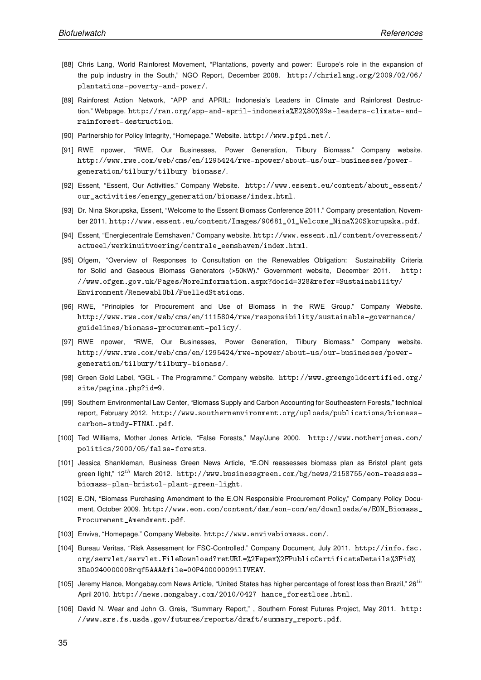- [88] Chris Lang, World Rainforest Movement, "Plantations, poverty and power: Europe's role in the expansion of the pulp industry in the South," NGO Report, December 2008. http://chrislang.org/2009/02/06/ plantations-poverty-and-power/.
- [89] Rainforest Action Network, "APP and APRIL: Indonesia's Leaders in Climate and Rainforest Destruction." Webpage. http://ran.org/app-and-april-indonesia%E2%80%99s-leaders-climate-andrainforest-destruction.
- [90] Partnership for Policy Integrity, "Homepage." Website. http://www.pfpi.net/.
- [91] RWE npower, "RWE, Our Businesses, Power Generation, Tilbury Biomass." Company website. http://www.rwe.com/web/cms/en/1295424/rwe-npower/about-us/our-businesses/powergeneration/tilbury/tilbury-biomass/.
- [92] Essent, "Essent, Our Activities." Company Website. http://www.essent.eu/content/about\_essent/ our\_activities/energy\_generation/biomass/index.html.
- [93] Dr. Nina Skorupska, Essent, "Welcome to the Essent Biomass Conference 2011." Company presentation, November 2011. http://www.essent.eu/content/Images/90681\_01\_Welcome\_Nina%20Skorupska.pdf.
- [94] Essent, "Energiecentrale Eemshaven." Company website. http://www.essent.nl/content/overessent/ actueel/werkinuitvoering/centrale\_eemshaven/index.html.
- [95] Ofgem, "Overview of Responses to Consultation on the Renewables Obligation: Sustainability Criteria for Solid and Gaseous Biomass Generators (>50kW)." Government website, December 2011. http: //www.ofgem.gov.uk/Pages/MoreInformation.aspx?docid=328&refer=Sustainability/ Environment/RenewablObl/FuelledStations.
- [96] RWE, "Principles for Procurement and Use of Biomass in the RWE Group." Company Website. http://www.rwe.com/web/cms/en/1115804/rwe/responsibility/sustainable-governance/ guidelines/biomass-procurement-policy/.
- [97] RWE npower, "RWE, Our Businesses, Power Generation, Tilbury Biomass." Company website. http://www.rwe.com/web/cms/en/1295424/rwe-npower/about-us/our-businesses/powergeneration/tilbury/tilbury-biomass/.
- [98] Green Gold Label, "GGL The Programme." Company website. http://www.greengoldcertified.org/ site/pagina.php?id=9.
- [99] Southern Environmental Law Center, "Biomass Supply and Carbon Accounting for Southeastern Forests," technical report, February 2012. http://www.southernenvironment.org/uploads/publications/biomasscarbon-study-FINAL.pdf.
- [100] Ted Williams, Mother Jones Article, "False Forests," May/June 2000. http://www.motherjones.com/ politics/2000/05/false-forests.
- [101] Jessica Shankleman, Business Green News Article, "E.ON reassesses biomass plan as Bristol plant gets green light,"  $12^{th}$  March 2012. http://www.businessgreen.com/bg/news/2158755/eon-reassessbiomass-plan-bristol-plant-green-light.
- [102] E.ON, "Biomass Purchasing Amendment to the E.ON Responsible Procurement Policy," Company Policy Document, October 2009. http://www.eon.com/content/dam/eon-com/en/downloads/e/EON\_Biomass\_ Procurement\_Amendment.pdf.
- [103] Enviva, "Homepage." Company Website. http://www.envivabiomass.com/.
- [104] Bureau Veritas, "Risk Assessment for FSC-Controlled." Company Document, July 2011. http://info.fsc. org/servlet/servlet.FileDownload?retURL=%2Fapex%2FPublicCertificateDetails%3Fid% 3Da0240000008rqf5AAA&file=00P40000009ilIVEAY.
- [105] Jeremy Hance, Mongabay.com News Article, "United States has higher percentage of forest loss than Brazil,"  $26^{th}$ April 2010. http://news.mongabay.com/2010/0427-hance\_forestloss.html.
- [106] David N. Wear and John G. Greis, "Summary Report," , Southern Forest Futures Project, May 2011. http: //www.srs.fs.usda.gov/futures/reports/draft/summary\_report.pdf.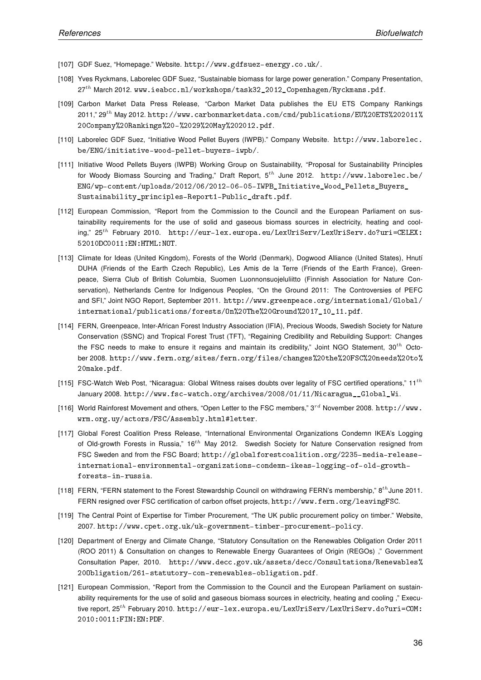- [107] GDF Suez, "Homepage." Website. http://www.gdfsuez-energy.co.uk/.
- [108] Yves Ryckmans, Laborelec GDF Suez, "Sustainable biomass for large power generation." Company Presentation, 27<sup>th</sup> March 2012. www.ieabcc.nl/workshops/task32\_2012\_Copenhagen/Ryckmans.pdf.
- [109] Carbon Market Data Press Release, "Carbon Market Data publishes the EU ETS Company Rankings 2011," 29th May 2012. http://www.carbonmarketdata.com/cmd/publications/EU%20ETS%202011% 20Company%20Rankings%20-%2029%20May%202012.pdf.
- [110] Laborelec GDF Suez, "Initiative Wood Pellet Buyers (IWPB)." Company Website. http://www.laborelec. be/ENG/initiative-wood-pellet-buyers-iwpb/.
- [111] Initiative Wood Pellets Buyers (IWPB) Working Group on Sustainability, "Proposal for Sustainability Principles for Woody Biomass Sourcing and Trading," Draft Report,  $5^{th}$  June 2012. http://www.laborelec.be/ ENG/wp-content/uploads/2012/06/2012-06-05-IWPB\_Initiative\_Wood\_Pellets\_Buyers\_ Sustainability\_principles-Report1-Public\_draft.pdf.
- [112] European Commission, "Report from the Commission to the Council and the European Parliament on sustainability requirements for the use of solid and gaseous biomass sources in electricity, heating and cooling," 25th February 2010. http://eur-lex.europa.eu/LexUriServ/LexUriServ.do?uri=CELEX: 52010DC0011:EN:HTML:NOT.
- [113] Climate for Ideas (United Kingdom), Forests of the World (Denmark), Dogwood Alliance (United States), Hnutí DUHA (Friends of the Earth Czech Republic), Les Amis de la Terre (Friends of the Earth France), Greenpeace, Sierra Club of British Columbia, Suomen Luonnonsuojeluliitto (Finnish Association for Nature Conservation), Netherlands Centre for Indigenous Peoples, "On the Ground 2011: The Controversies of PEFC and SFI," Joint NGO Report, September 2011. http://www.greenpeace.org/international/Global/ international/publications/forests/On%20The%20Ground%2017\_10\_11.pdf.
- [114] FERN, Greenpeace, Inter-African Forest Industry Association (IFIA), Precious Woods, Swedish Society for Nature Conservation (SSNC) and Tropical Forest Trust (TFT), "Regaining Credibility and Rebuilding Support: Changes the FSC needs to make to ensure it regains and maintain its credibility," Joint NGO Statement,  $30^{th}$  October 2008. http://www.fern.org/sites/fern.org/files/changes%20the%20FSC%20needs%20to% 20make.pdf.
- [115] FSC-Watch Web Post, "Nicaragua: Global Witness raises doubts over legality of FSC certified operations,"  $11^{th}$ January 2008. http://www.fsc-watch.org/archives/2008/01/11/Nicaragua\_\_Global\_Wi.
- [116] World Rainforest Movement and others, "Open Letter to the FSC members,"  $3^{rd}$  November 2008. http://www. wrm.org.uy/actors/FSC/Assembly.html#letter.
- [117] Global Forest Coalition Press Release, "International Environmental Organizations Condemn IKEA's Logging of Old-growth Forests in Russia," 16<sup>th</sup> May 2012. Swedish Society for Nature Conservation resigned from FSC Sweden and from the FSC Board; http://globalforestcoalition.org/2235-media-releaseinternational-environmental-organizations-condemn-ikeas-logging-of-old-growthforests-in-russia.
- [118] FERN, "FERN statement to the Forest Stewardship Council on withdrawing FERN's membership," 8<sup>th</sup> June 2011. FERN resigned over FSC certification of carbon offset projects, http://www.fern.org/leavingFSC.
- [119] The Central Point of Expertise for Timber Procurement, "The UK public procurement policy on timber." Website, 2007. http://www.cpet.org.uk/uk-government-timber-procurement-policy.
- [120] Department of Energy and Climate Change, "Statutory Consultation on the Renewables Obligation Order 2011 (ROO 2011) & Consultation on changes to Renewable Energy Guarantees of Origin (REGOs) ," Government Consultation Paper, 2010. http://www.decc.gov.uk/assets/decc/Consultations/Renewables% 20Obligation/261-statutory-con-renewables-obligation.pdf.
- [121] European Commission, "Report from the Commission to the Council and the European Parliament on sustainability requirements for the use of solid and gaseous biomass sources in electricity, heating and cooling ," Executive report, 25<sup>th</sup> February 2010. http://eur-lex.europa.eu/LexUriServ/LexUriServ.do?uri=COM: 2010:0011:FIN:EN:PDF.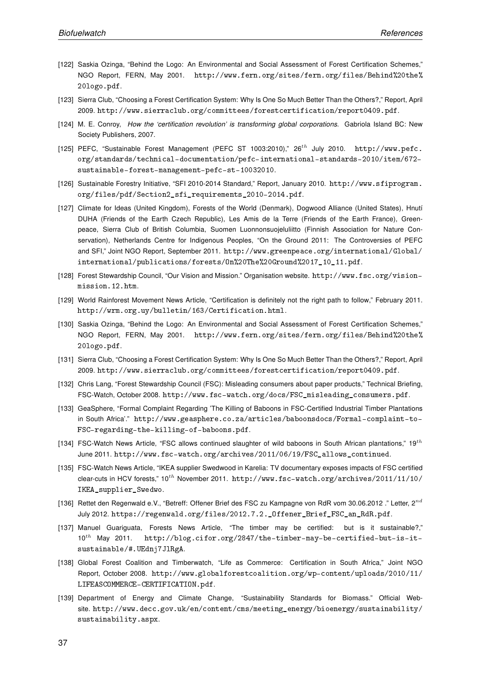- [122] Saskia Ozinga, "Behind the Logo: An Environmental and Social Assessment of Forest Certification Schemes," NGO Report, FERN, May 2001. http://www.fern.org/sites/fern.org/files/Behind%20the% 20logo.pdf.
- [123] Sierra Club, "Choosing a Forest Certification System: Why Is One So Much Better Than the Others?," Report, April 2009. http://www.sierraclub.org/committees/forestcertification/report0409.pdf.
- [124] M. E. Conroy, How the 'certification revolution' is transforming global corporations. Gabriola Island BC: New Society Publishers, 2007.
- [125] PEFC, "Sustainable Forest Management (PEFC ST 1003:2010)," 26th July 2010. http://www.pefc. org/standards/technical-documentation/pefc-international-standards-2010/item/672 sustainable-forest-management-pefc-st-10032010.
- [126] Sustainable Forestry Initiative, "SFI 2010-2014 Standard," Report, January 2010. http://www.sfiprogram. org/files/pdf/Section2\_sfi\_requirements\_2010-2014.pdf.
- [127] Climate for Ideas (United Kingdom), Forests of the World (Denmark), Dogwood Alliance (United States), Hnutí DUHA (Friends of the Earth Czech Republic), Les Amis de la Terre (Friends of the Earth France), Greenpeace, Sierra Club of British Columbia, Suomen Luonnonsuojeluliitto (Finnish Association for Nature Conservation), Netherlands Centre for Indigenous Peoples, "On the Ground 2011: The Controversies of PEFC and SFI," Joint NGO Report, September 2011. http://www.greenpeace.org/international/Global/ international/publications/forests/On%20The%20Ground%2017\_10\_11.pdf.
- [128] Forest Stewardship Council, "Our Vision and Mission." Organisation website. http://www.fsc.org/visionmission.12.htm.
- [129] World Rainforest Movement News Article, "Certification is definitely not the right path to follow," February 2011. http://wrm.org.uy/bulletin/163/Certification.html.
- [130] Saskia Ozinga, "Behind the Logo: An Environmental and Social Assessment of Forest Certification Schemes," NGO Report, FERN, May 2001. http://www.fern.org/sites/fern.org/files/Behind%20the% 20logo.pdf.
- [131] Sierra Club, "Choosing a Forest Certification System: Why Is One So Much Better Than the Others?," Report, April 2009. http://www.sierraclub.org/committees/forestcertification/report0409.pdf.
- [132] Chris Lang, "Forest Stewardship Council (FSC): Misleading consumers about paper products," Technical Briefing, FSC-Watch, October 2008. http://www.fsc-watch.org/docs/FSC\_misleading\_consumers.pdf.
- [133] GeaSphere, "Formal Complaint Regarding 'The Killing of Baboons in FSC-Certified Industrial Timber Plantations in South Africa'." http://www.geasphere.co.za/articles/baboonsdocs/Formal-complaint-to-FSC-regarding-the-killing-of-baboons.pdf.
- [134] FSC-Watch News Article, "FSC allows continued slaughter of wild baboons in South African plantations,"  $19^{th}$ June 2011. http://www.fsc-watch.org/archives/2011/06/19/FSC\_allows\_continued.
- [135] FSC-Watch News Article, "IKEA supplier Swedwood in Karelia: TV documentary exposes impacts of FSC certified clear-cuts in HCV forests,"  $10^{th}$  November 2011. http://www.fsc-watch.org/archives/2011/11/10/ IKEA\_supplier\_Swedwo.
- [136] Rettet den Regenwald e.V., "Betreff: Offener Brief des FSC zu Kampagne von RdR vom 30.06.2012 ." Letter,  $2^{nd}$ July 2012. https://regenwald.org/files/2012.7.2.\_Offener\_Brief\_FSC\_an\_RdR.pdf.
- [137] Manuel Guariguata, Forests News Article, "The timber may be certified: but is it sustainable?,"  $10^{th}$  May 2011. http://blog.cifor.org/2847/the-timber-may-be-certified-but-is-itsustainable/#.UEdnj7JlRgA.
- [138] Global Forest Coalition and Timberwatch, "Life as Commerce: Certification in South Africa," Joint NGO Report, October 2008. http://www.globalforestcoalition.org/wp-content/uploads/2010/11/ LIFEASCOMMERCE-CERTIFICATION.pdf.
- [139] Department of Energy and Climate Change, "Sustainability Standards for Biomass." Official Website. http://www.decc.gov.uk/en/content/cms/meeting\_energy/bioenergy/sustainability/ sustainability.aspx.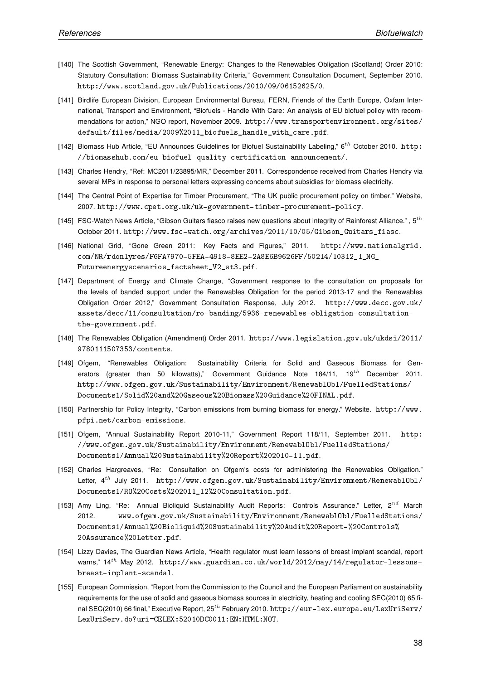- [140] The Scottish Government, "Renewable Energy: Changes to the Renewables Obligation (Scotland) Order 2010: Statutory Consultation: Biomass Sustainability Criteria," Government Consultation Document, September 2010. http://www.scotland.gov.uk/Publications/2010/09/06152625/0.
- [141] Birdlife European Division, European Environmental Bureau, FERN, Friends of the Earth Europe, Oxfam International, Transport and Environment, "Biofuels - Handle With Care: An analysis of EU biofuel policy with recommendations for action," NGO report, November 2009. http://www.transportenvironment.org/sites/ default/files/media/2009%2011\_biofuels\_handle\_with\_care.pdf.
- [142] Biomass Hub Article, "EU Announces Guidelines for Biofuel Sustainability Labeling,"  $6^{th}$  October 2010. http: //biomasshub.com/eu-biofuel-quality-certification-announcement/.
- [143] Charles Hendry, "Ref: MC2011/23895/MR," December 2011. Correspondence received from Charles Hendry via several MPs in response to personal letters expressing concerns about subsidies for biomass electricity.
- [144] The Central Point of Expertise for Timber Procurement, "The UK public procurement policy on timber." Website, 2007. http://www.cpet.org.uk/uk-government-timber-procurement-policy.
- [145] FSC-Watch News Article, "Gibson Guitars fiasco raises new questions about integrity of Rainforest Alliance.",  $5^{th}$ October 2011. http://www.fsc-watch.org/archives/2011/10/05/Gibson\_Guitars\_fiasc.
- [146] National Grid, "Gone Green 2011: Key Facts and Figures," 2011. http://www.nationalgrid. com/NR/rdonlyres/F6FA7970-5FEA-4918-8EE2-2A8E6B9626FF/50214/10312\_1\_NG\_ Futureenergyscenarios\_factsheet\_V2\_st3.pdf.
- [147] Department of Energy and Climate Change, "Government response to the consultation on proposals for the levels of banded support under the Renewables Obligation for the period 2013-17 and the Renewables Obligation Order 2012," Government Consultation Response, July 2012. http://www.decc.gov.uk/ assets/decc/11/consultation/ro-banding/5936-renewables-obligation-consultationthe-government.pdf.
- [148] The Renewables Obligation (Amendment) Order 2011. http://www.legislation.gov.uk/ukdsi/2011/ 9780111507353/contents.
- [149] Ofgem, "Renewables Obligation: Sustainability Criteria for Solid and Gaseous Biomass for Generators (greater than 50 kilowatts)," Government Guidance Note  $184/11$ ,  $19^{th}$  December 2011. http://www.ofgem.gov.uk/Sustainability/Environment/RenewablObl/FuelledStations/ Documents1/Solid%20and%20Gaseous%20Biomass%20Guidance%20FINAL.pdf.
- [150] Partnership for Policy Integrity, "Carbon emissions from burning biomass for energy." Website. http://www. pfpi.net/carbon-emissions.
- [151] Ofgem, "Annual Sustainability Report 2010-11," Government Report 118/11, September 2011. http: //www.ofgem.gov.uk/Sustainability/Environment/RenewablObl/FuelledStations/ Documents1/Annual%20Sustainability%20Report%202010-11.pdf.
- [152] Charles Hargreaves, "Re: Consultation on Ofgem's costs for administering the Renewables Obligation." Letter, 4<sup>th</sup> July 2011. http://www.ofgem.gov.uk/Sustainability/Environment/RenewablObl/ Documents1/RO%20Costs%202011\_12%20Consultation.pdf.
- [153] Amy Ling, "Re: Annual Bioliquid Sustainability Audit Reports: Controls Assurance." Letter,  $2^{nd}$  March 2012. www.ofgem.gov.uk/Sustainability/Environment/RenewablObl/FuelledStations/ Documents1/Annual%20Bioliquid%20Sustainability%20Audit%20Report-%20Controls% 20Assurance%20Letter.pdf.
- [154] Lizzy Davies, The Guardian News Article, "Health regulator must learn lessons of breast implant scandal, report warns,"  $14^{th}$  May 2012. http://www.guardian.co.uk/world/2012/may/14/regulator-lessonsbreast-implant-scandal.
- [155] European Commission, "Report from the Commission to the Council and the European Parliament on sustainability requirements for the use of solid and gaseous biomass sources in electricity, heating and cooling SEC(2010) 65 final SEC(2010) 66 final," Executive Report, 25<sup>th</sup> February 2010. http://eur-lex.europa.eu/LexUriServ/ LexUriServ.do?uri=CELEX:52010DC0011:EN:HTML:NOT.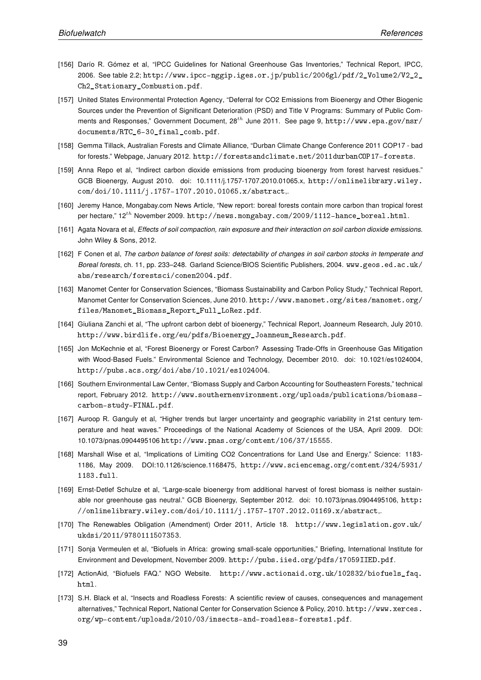- [156] Darío R. Gómez et al, "IPCC Guidelines for National Greenhouse Gas Inventories," Technical Report, IPCC, 2006. See table 2.2; http://www.ipcc-nggip.iges.or.jp/public/2006gl/pdf/2\_Volume2/V2\_2\_ Ch2 Stationary Combustion.pdf.
- [157] United States Environmental Protection Agency, "Deferral for CO2 Emissions from Bioenergy and Other Biogenic Sources under the Prevention of Significant Deterioration (PSD) and Title V Programs: Summary of Public Comments and Responses," Government Document, 28<sup>th</sup> June 2011. See page 9, http://www.epa.gov/nsr/ documents/RTC\_6-30\_final\_comb.pdf.
- [158] Gemma Tillack, Australian Forests and Climate Alliance, "Durban Climate Change Conference 2011 COP17 bad for forests." Webpage, January 2012. http://forestsandclimate.net/2011durbanCOP17-forests.
- [159] Anna Repo et al, "Indirect carbon dioxide emissions from producing bioenergy from forest harvest residues." GCB Bioenergy, August 2010. doi: 10.1111/j.1757-1707.2010.01065.x, http://onlinelibrary.wiley. com/doi/10.1111/j.1757-1707.2010.01065.x/abstract,.
- [160] Jeremy Hance, Mongabay.com News Article, "New report: boreal forests contain more carbon than tropical forest per hectare,"  $12^{th}$  November 2009. http://news.mongabay.com/2009/1112-hance\_boreal.html.
- [161] Agata Novara et al, Effects of soil compaction, rain exposure and their interaction on soil carbon dioxide emissions. John Wiley & Sons, 2012.
- [162] F Conen et al, The carbon balance of forest soils: detectability of changes in soil carbon stocks in temperate and Boreal forests, ch. 11, pp. 233–248. Garland Science/BIOS Scientific Publishers, 2004. www.geos.ed.ac.uk/ abs/research/forestsci/conen2004.pdf.
- [163] Manomet Center for Conservation Sciences, "Biomass Sustainability and Carbon Policy Study," Technical Report, Manomet Center for Conservation Sciences, June 2010. http://www.manomet.org/sites/manomet.org/ files/Manomet\_Biomass\_Report\_Full\_LoRez.pdf.
- [164] Giuliana Zanchi et al, "The upfront carbon debt of bioenergy," Technical Report, Joanneum Research, July 2010. http://www.birdlife.org/eu/pdfs/Bioenergy\_Joanneum\_Research.pdf.
- [165] Jon McKechnie et al, "Forest Bioenergy or Forest Carbon? Assessing Trade-Offs in Greenhouse Gas Mitigation with Wood-Based Fuels." Environmental Science and Technology, December 2010. doi: 10.1021/es1024004, http://pubs.acs.org/doi/abs/10.1021/es1024004.
- [166] Southern Environmental Law Center, "Biomass Supply and Carbon Accounting for Southeastern Forests," technical report, February 2012. http://www.southernenvironment.org/uploads/publications/biomasscarbon-study-FINAL.pdf.
- [167] Auroop R. Ganguly et al, "Higher trends but larger uncertainty and geographic variability in 21st century temperature and heat waves." Proceedings of the National Academy of Sciences of the USA, April 2009. DOI: 10.1073/pnas.0904495106 http://www.pnas.org/content/106/37/15555.
- [168] Marshall Wise et al, "Implications of Limiting CO2 Concentrations for Land Use and Energy." Science: 1183- 1186, May 2009. DOI:10.1126/science.1168475, http://www.sciencemag.org/content/324/5931/ 1183.full.
- [169] Ernst-Detlef Schulze et al, "Large-scale bioenergy from additional harvest of forest biomass is neither sustainable nor greenhouse gas neutral." GCB Bioenergy, September 2012. doi: 10.1073/pnas.0904495106, http: //onlinelibrary.wiley.com/doi/10.1111/j.1757-1707.2012.01169.x/abstract,.
- [170] The Renewables Obligation (Amendment) Order 2011, Article 18. http://www.legislation.gov.uk/ ukdsi/2011/9780111507353.
- [171] Sonja Vermeulen et al, "Biofuels in Africa: growing small-scale opportunities," Briefing, International Institute for Environment and Development, November 2009. http://pubs.iied.org/pdfs/17059IIED.pdf.
- [172] ActionAid, "Biofuels FAQ." NGO Website. http://www.actionaid.org.uk/102832/biofuels\_faq. html.
- [173] S.H. Black et al, "Insects and Roadless Forests: A scientific review of causes, consequences and management alternatives," Technical Report, National Center for Conservation Science & Policy, 2010. http://www.xerces. org/wp-content/uploads/2010/03/insects-and-roadless-forests1.pdf.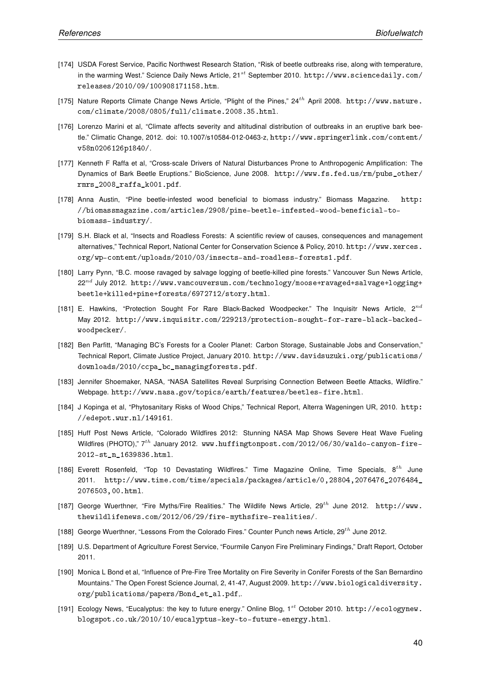- [174] USDA Forest Service, Pacific Northwest Research Station, "Risk of beetle outbreaks rise, along with temperature, in the warming West." Science Daily News Article, 21<sup>st</sup> September 2010. http://www.sciencedaily.com/ releases/2010/09/100908171158.htm.
- [175] Nature Reports Climate Change News Article, "Plight of the Pines," 24<sup>th</sup> April 2008. http://www.nature. com/climate/2008/0805/full/climate.2008.35.html.
- [176] Lorenzo Marini et al, "Climate affects severity and altitudinal distribution of outbreaks in an eruptive bark beetle." Climatic Change, 2012. doi: 10.1007/s10584-012-0463-z, http://www.springerlink.com/content/ v58n0206126p1840/.
- [177] Kenneth F Raffa et al, "Cross-scale Drivers of Natural Disturbances Prone to Anthropogenic Amplification: The Dynamics of Bark Beetle Eruptions." BioScience, June 2008. http://www.fs.fed.us/rm/pubs\_other/ rmrs\_2008\_raffa\_k001.pdf.
- [178] Anna Austin, "Pine beetle-infested wood beneficial to biomass industry." Biomass Magazine. http: //biomassmagazine.com/articles/2908/pine-beetle-infested-wood-beneficial-tobiomass-industry/.
- [179] S.H. Black et al, "Insects and Roadless Forests: A scientific review of causes, consequences and management alternatives," Technical Report, National Center for Conservation Science & Policy, 2010. http://www.xerces. org/wp-content/uploads/2010/03/insects-and-roadless-forests1.pdf.
- [180] Larry Pynn, "B.C. moose ravaged by salvage logging of beetle-killed pine forests." Vancouver Sun News Article,  $22^{nd}$  July 2012. http://www.vancouversun.com/technology/moose+ravaged+salvage+logging+ beetle+killed+pine+forests/6972712/story.html.
- [181] E. Hawkins, "Protection Sought For Rare Black-Backed Woodpecker." The Inquisitr News Article,  $2^{nd}$ May 2012. http://www.inquisitr.com/229213/protection-sought-for-rare-black-backedwoodpecker/.
- [182] Ben Parfitt, "Managing BC's Forests for a Cooler Planet: Carbon Storage, Sustainable Jobs and Conservation," Technical Report, Climate Justice Project, January 2010. http://www.davidsuzuki.org/publications/ downloads/2010/ccpa\_bc\_managingforests.pdf.
- [183] Jennifer Shoemaker, NASA, "NASA Satellites Reveal Surprising Connection Between Beetle Attacks, Wildfire." Webpage. http://www.nasa.gov/topics/earth/features/beetles-fire.html.
- [184] J Kopinga et al, "Phytosanitary Risks of Wood Chips," Technical Report, Alterra Wageningen UR, 2010. http: //edepot.wur.nl/149161.
- [185] Huff Post News Article, "Colorado Wildfires 2012: Stunning NASA Map Shows Severe Heat Wave Fueling Wildfires (PHOTO),"  $7^{th}$  January 2012. www.huffingtonpost.com/2012/06/30/waldo-canyon-fire-2012-st\_n\_1639836.html.
- [186] Everett Rosenfeld, "Top 10 Devastating Wildfires." Time Magazine Online, Time Specials,  $8^{th}$  June 2011. http://www.time.com/time/specials/packages/article/0,28804,2076476\_2076484\_ 2076503,00.html.
- [187] George Wuerthner, "Fire Myths/Fire Realities." The Wildlife News Article, 29th June 2012. http://www. thewildlifenews.com/2012/06/29/fire-mythsfire-realities/.
- [188] George Wuerthner, "Lessons From the Colorado Fires." Counter Punch news Article, 29<sup>th</sup> June 2012.
- [189] U.S. Department of Agriculture Forest Service, "Fourmile Canyon Fire Preliminary Findings," Draft Report, October 2011.
- [190] Monica L Bond et al, "Influence of Pre-Fire Tree Mortality on Fire Severity in Conifer Forests of the San Bernardino Mountains." The Open Forest Science Journal, 2, 41-47, August 2009. http://www.biologicaldiversity. org/publications/papers/Bond\_et\_al.pdf,.
- [191] Ecology News, "Eucalyptus: the key to future energy." Online Blog, 1st October 2010. http://ecologynew. blogspot.co.uk/2010/10/eucalyptus-key-to-future-energy.html.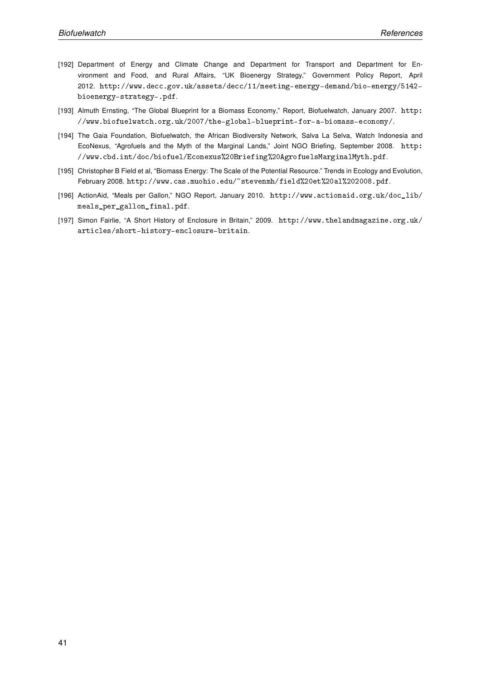- [192] Department of Energy and Climate Change and Department for Transport and Department for Environment and Food, and Rural Affairs, "UK Bioenergy Strategy," Government Policy Report, April 2012. http://www.decc.gov.uk/assets/decc/11/meeting-energy-demand/bio-energy/5142 bioenergy-strategy-.pdf.
- [193] Almuth Ernsting, "The Global Blueprint for a Biomass Economy," Report, Biofuelwatch, January 2007. http: //www.biofuelwatch.org.uk/2007/the-global-blueprint-for-a-biomass-economy/.
- [194] The Gaia Foundation, Biofuelwatch, the African Biodiversity Network, Salva La Selva, Watch Indonesia and EcoNexus, "Agrofuels and the Myth of the Marginal Lands," Joint NGO Briefing, September 2008. http: //www.cbd.int/doc/biofuel/Econexus%20Briefing%20AgrofuelsMarginalMyth.pdf.
- [195] Christopher B Field et al, "Biomass Energy: The Scale of the Potential Resource." Trends in Ecology and Evolution, February 2008. http://www.cas.muohio.edu/~stevenmh/field%20et%20al%202008.pdf.
- [196] ActionAid, "Meals per Gallon," NGO Report, January 2010. http://www.actionaid.org.uk/doc\_lib/ meals\_per\_gallon\_final.pdf.
- [197] Simon Fairlie, "A Short History of Enclosure in Britain," 2009. http://www.thelandmagazine.org.uk/ articles/short-history-enclosure-britain.